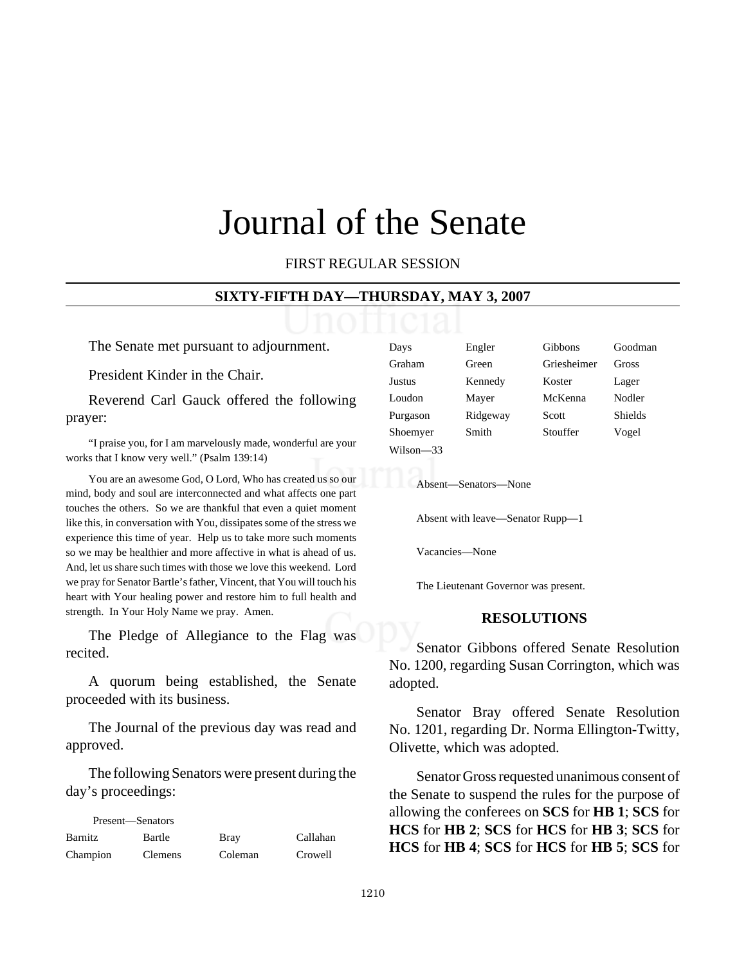# Journal of the Senate

FIRST REGULAR SESSION

#### **SIXTY-FIFTH DAY—THURSDAY, MAY 3, 2007**

The Senate met pursuant to adjournment.

President Kinder in the Chair.

Reverend Carl Gauck offered the following prayer:

"I praise you, for I am marvelously made, wonderful are your works that I know very well." (Psalm 139:14)

You are an awesome God, O Lord, Who has created us so our mind, body and soul are interconnected and what affects one part touches the others. So we are thankful that even a quiet moment like this, in conversation with You, dissipates some of the stress we experience this time of year. Help us to take more such moments so we may be healthier and more affective in what is ahead of us. And, let us share such times with those we love this weekend. Lord we pray for Senator Bartle's father, Vincent, that You will touch his heart with Your healing power and restore him to full health and strength. In Your Holy Name we pray. Amen.

The Pledge of Allegiance to the Flag was recited.

A quorum being established, the Senate proceeded with its business.

The Journal of the previous day was read and approved.

The following Senators were present during the day's proceedings:

| Present—Senators |                |             |          |
|------------------|----------------|-------------|----------|
| <b>Barnitz</b>   | Bartle         | <b>Bray</b> | Callahan |
| Champion         | <b>Clemens</b> | Coleman     | Crowell  |

| Days      | Engler   | Gibbons     | Goodman        |
|-----------|----------|-------------|----------------|
| Graham    | Green    | Griesheimer | Gross          |
| Justus    | Kennedy  | Koster      | Lager          |
| Loudon    | Mayer    | McKenna     | Nodler         |
| Purgason  | Ridgeway | Scott       | <b>Shields</b> |
| Shoemyer  | Smith    | Stouffer    | Vogel          |
| Wilson—33 |          |             |                |

Absent—Senators—None

Absent with leave—Senator Rupp—1

Vacancies—None

The Lieutenant Governor was present.

#### **RESOLUTIONS**

Senator Gibbons offered Senate Resolution No. 1200, regarding Susan Corrington, which was adopted.

Senator Bray offered Senate Resolution No. 1201, regarding Dr. Norma Ellington-Twitty, Olivette, which was adopted.

Senator Gross requested unanimous consent of the Senate to suspend the rules for the purpose of allowing the conferees on **SCS** for **HB 1**; **SCS** for **HCS** for **HB 2**; **SCS** for **HCS** for **HB 3**; **SCS** for **HCS** for **HB 4**; **SCS** for **HCS** for **HB 5**; **SCS** for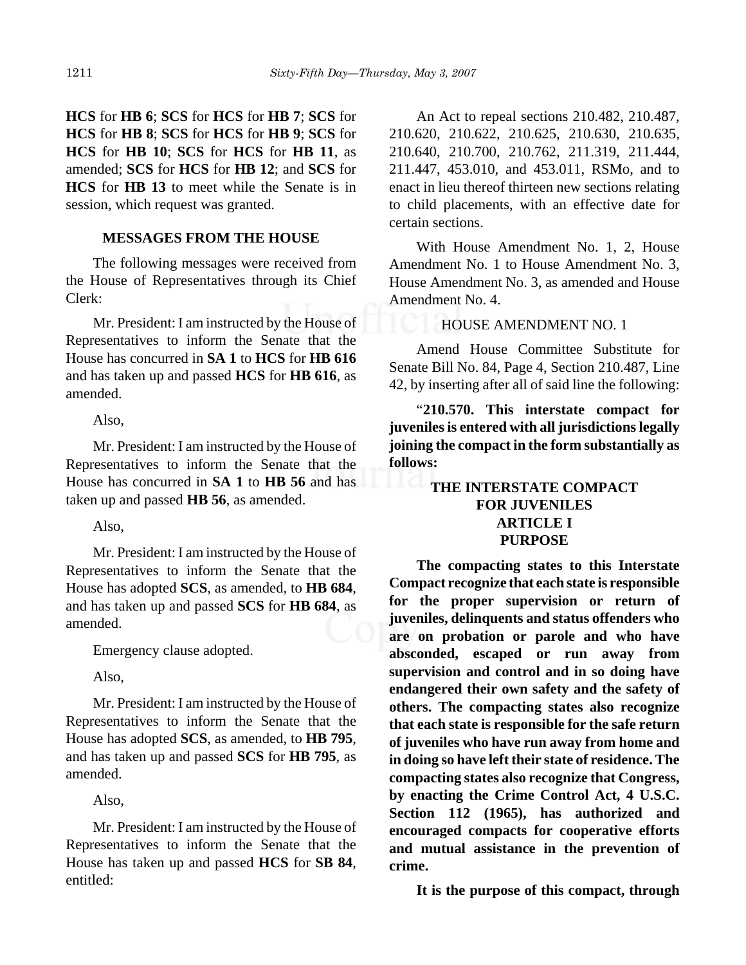**HCS** for **HB 6**; **SCS** for **HCS** for **HB 7**; **SCS** for **HCS** for **HB 8**; **SCS** for **HCS** for **HB 9**; **SCS** for **HCS** for **HB 10**; **SCS** for **HCS** for **HB 11**, as amended; **SCS** for **HCS** for **HB 12**; and **SCS** for **HCS** for **HB 13** to meet while the Senate is in session, which request was granted.

## **MESSAGES FROM THE HOUSE**

The following messages were received from the House of Representatives through its Chief Clerk:

Mr. President: I am instructed by the House of Representatives to inform the Senate that the House has concurred in **SA 1** to **HCS** for **HB 616** and has taken up and passed **HCS** for **HB 616**, as amended.

Also,

Mr. President: I am instructed by the House of Representatives to inform the Senate that the House has concurred in **SA 1** to **HB 56** and has taken up and passed **HB 56**, as amended.

Also,

Mr. President: I am instructed by the House of Representatives to inform the Senate that the House has adopted **SCS**, as amended, to **HB 684**, and has taken up and passed **SCS** for **HB 684**, as amended.

Emergency clause adopted.

Also,

Mr. President: I am instructed by the House of Representatives to inform the Senate that the House has adopted **SCS**, as amended, to **HB 795**, and has taken up and passed **SCS** for **HB 795**, as amended.

Also,

Mr. President: I am instructed by the House of Representatives to inform the Senate that the House has taken up and passed **HCS** for **SB 84**, entitled:

An Act to repeal sections 210.482, 210.487, 210.620, 210.622, 210.625, 210.630, 210.635, 210.640, 210.700, 210.762, 211.319, 211.444, 211.447, 453.010, and 453.011, RSMo, and to enact in lieu thereof thirteen new sections relating to child placements, with an effective date for certain sections.

With House Amendment No. 1, 2, House Amendment No. 1 to House Amendment No. 3, House Amendment No. 3, as amended and House Amendment No. 4.

HOUSE AMENDMENT NO. 1

Amend House Committee Substitute for Senate Bill No. 84, Page 4, Section 210.487, Line 42, by inserting after all of said line the following:

"**210.570. This interstate compact for juveniles is entered with all jurisdictions legally joining the compact in the form substantially as follows:**

# **THE INTERSTATE COMPACT FOR JUVENILES ARTICLE I PURPOSE**

**The compacting states to this Interstate Compact recognize that each state is responsible for the proper supervision or return of juveniles, delinquents and status offenders who are on probation or parole and who have absconded, escaped or run away from supervision and control and in so doing have endangered their own safety and the safety of others. The compacting states also recognize that each state is responsible for the safe return of juveniles who have run away from home and in doing so have left their state of residence. The compacting states also recognize that Congress, by enacting the Crime Control Act, 4 U.S.C. Section 112 (1965), has authorized and encouraged compacts for cooperative efforts and mutual assistance in the prevention of crime.**

**It is the purpose of this compact, through**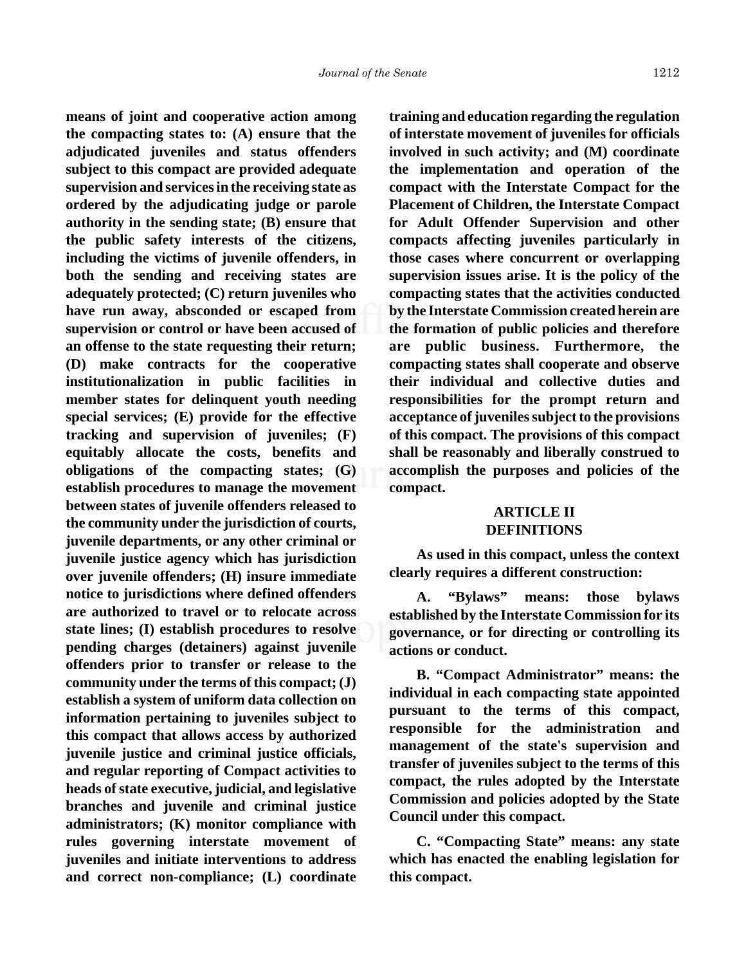**means of joint and cooperative action among the compacting states to: (A) ensure that the adjudicated juveniles and status offenders subject to this compact are provided adequate supervision and services in the receiving state as ordered by the adjudicating judge or parole authority in the sending state; (B) ensure that the public safety interests of the citizens, including the victims of juvenile offenders, in both the sending and receiving states are adequately protected; (C) return juveniles who have run away, absconded or escaped from supervision or control or have been accused of an offense to the state requesting their return; (D) make contracts for the cooperative institutionalization in public facilities in member states for delinquent youth needing special services; (E) provide for the effective tracking and supervision of juveniles; (F) equitably allocate the costs, benefits and obligations of the compacting states; (G) establish procedures to manage the movement between states of juvenile offenders released to the community under the jurisdiction of courts, juvenile departments, or any other criminal or juvenile justice agency which has jurisdiction over juvenile offenders; (H) insure immediate notice to jurisdictions where defined offenders are authorized to travel or to relocate across state lines; (I) establish procedures to resolve pending charges (detainers) against juvenile offenders prior to transfer or release to the community under the terms of this compact; (J) establish a system of uniform data collection on information pertaining to juveniles subject to this compact that allows access by authorized juvenile justice and criminal justice officials, and regular reporting of Compact activities to heads of state executive, judicial, and legislative branches and juvenile and criminal justice administrators; (K) monitor compliance with rules governing interstate movement of juveniles and initiate interventions to address and correct non-compliance; (L) coordinate** **training and education regarding the regulation of interstate movement of juveniles for officials involved in such activity; and (M) coordinate the implementation and operation of the compact with the Interstate Compact for the Placement of Children, the Interstate Compact for Adult Offender Supervision and other compacts affecting juveniles particularly in those cases where concurrent or overlapping supervision issues arise. It is the policy of the compacting states that the activities conducted by the Interstate Commission created herein are the formation of public policies and therefore are public business. Furthermore, the compacting states shall cooperate and observe their individual and collective duties and responsibilities for the prompt return and acceptance of juveniles subject to the provisions of this compact. The provisions of this compact shall be reasonably and liberally construed to accomplish the purposes and policies of the compact.**

## **ARTICLE II DEFINITIONS**

**As used in this compact, unless the context clearly requires a different construction:**

**A. "Bylaws" means: those bylaws established by the Interstate Commission for its governance, or for directing or controlling its actions or conduct.**

**B. "Compact Administrator" means: the individual in each compacting state appointed pursuant to the terms of this compact, responsible for the administration and management of the state's supervision and transfer of juveniles subject to the terms of this compact, the rules adopted by the Interstate Commission and policies adopted by the State Council under this compact.**

**C. "Compacting State" means: any state which has enacted the enabling legislation for this compact.**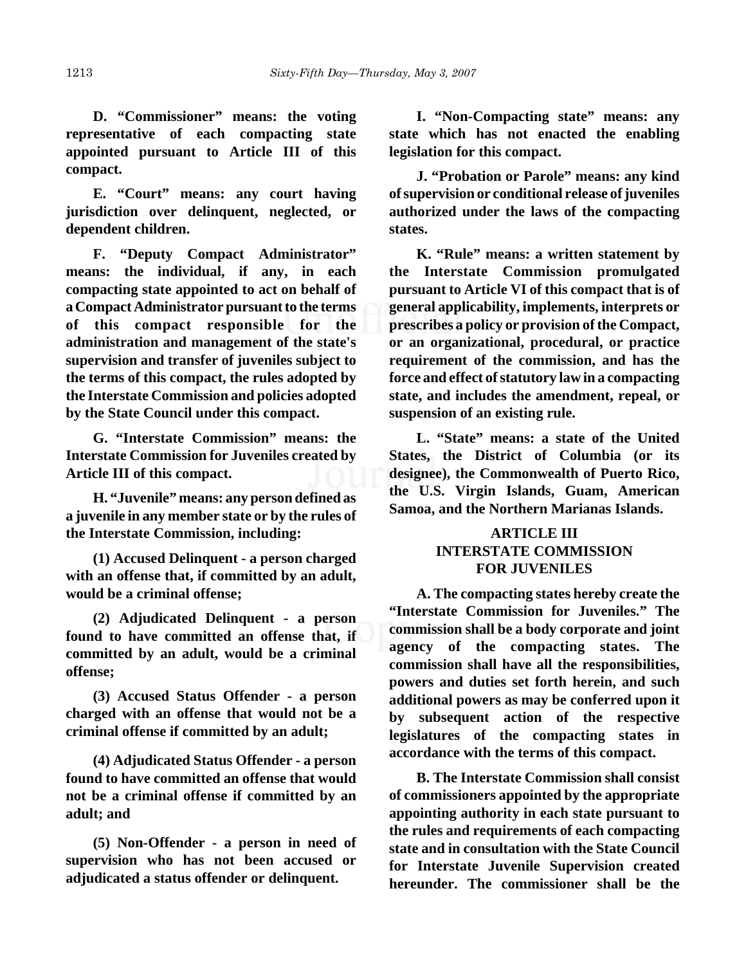**D. "Commissioner" means: the voting representative of each compacting state appointed pursuant to Article III of this compact.**

**E. "Court" means: any court having jurisdiction over delinquent, neglected, or dependent children.**

**F. "Deputy Compact Administrator" means: the individual, if any, in each compacting state appointed to act on behalf of a Compact Administrator pursuant to the terms of this compact responsible for the administration and management of the state's supervision and transfer of juveniles subject to the terms of this compact, the rules adopted by the Interstate Commission and policies adopted by the State Council under this compact.**

**G. "Interstate Commission" means: the Interstate Commission for Juveniles created by Article III of this compact.**

**H. "Juvenile" means: any person defined as a juvenile in any member state or by the rules of the Interstate Commission, including:**

**(1) Accused Delinquent - a person charged with an offense that, if committed by an adult, would be a criminal offense;**

**(2) Adjudicated Delinquent - a person found to have committed an offense that, if committed by an adult, would be a criminal offense;**

**(3) Accused Status Offender - a person charged with an offense that would not be a criminal offense if committed by an adult;**

**(4) Adjudicated Status Offender - a person found to have committed an offense that would not be a criminal offense if committed by an adult; and**

**(5) Non-Offender - a person in need of supervision who has not been accused or adjudicated a status offender or delinquent.**

**I. "Non-Compacting state" means: any state which has not enacted the enabling legislation for this compact.**

**J. "Probation or Parole" means: any kind of supervision or conditional release of juveniles authorized under the laws of the compacting states.**

**K. "Rule" means: a written statement by the Interstate Commission promulgated pursuant to Article VI of this compact that is of general applicability, implements, interprets or prescribes a policy or provision of the Compact, or an organizational, procedural, or practice requirement of the commission, and has the force and effect of statutory law in a compacting state, and includes the amendment, repeal, or suspension of an existing rule.**

**L. "State" means: a state of the United States, the District of Columbia (or its designee), the Commonwealth of Puerto Rico, the U.S. Virgin Islands, Guam, American Samoa, and the Northern Marianas Islands.**

# **ARTICLE III INTERSTATE COMMISSION FOR JUVENILES**

**A. The compacting states hereby create the "Interstate Commission for Juveniles." The commission shall be a body corporate and joint agency of the compacting states. The commission shall have all the responsibilities, powers and duties set forth herein, and such additional powers as may be conferred upon it by subsequent action of the respective legislatures of the compacting states in accordance with the terms of this compact.**

**B. The Interstate Commission shall consist of commissioners appointed by the appropriate appointing authority in each state pursuant to the rules and requirements of each compacting state and in consultation with the State Council for Interstate Juvenile Supervision created hereunder. The commissioner shall be the**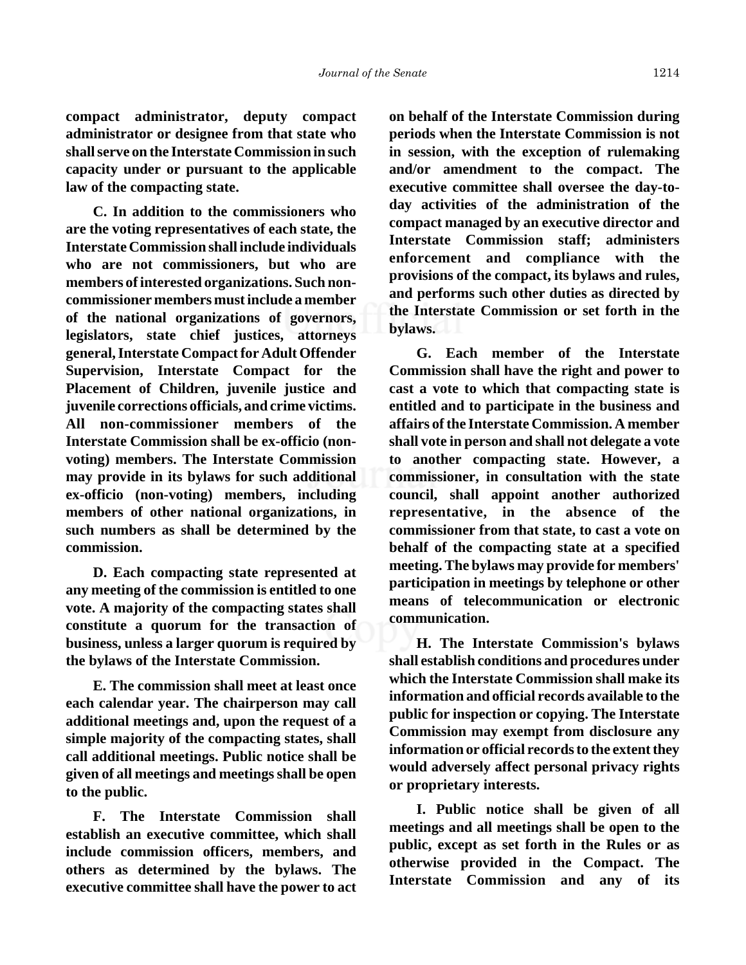**compact administrator, deputy compact administrator or designee from that state who shall serve on the Interstate Commission in such capacity under or pursuant to the applicable law of the compacting state.**

**C. In addition to the commissioners who are the voting representatives of each state, the Interstate Commission shall include individuals who are not commissioners, but who are members of interested organizations. Such noncommissioner members must include a member of the national organizations of governors, legislators, state chief justices, attorneys general, Interstate Compact for Adult Offender Supervision, Interstate Compact for the Placement of Children, juvenile justice and juvenile corrections officials, and crime victims. All non-commissioner members of the Interstate Commission shall be ex-officio (nonvoting) members. The Interstate Commission may provide in its bylaws for such additional ex-officio (non-voting) members, including members of other national organizations, in such numbers as shall be determined by the commission.**

**D. Each compacting state represented at any meeting of the commission is entitled to one vote. A majority of the compacting states shall constitute a quorum for the transaction of business, unless a larger quorum is required by the bylaws of the Interstate Commission.**

**E. The commission shall meet at least once each calendar year. The chairperson may call additional meetings and, upon the request of a simple majority of the compacting states, shall call additional meetings. Public notice shall be given of all meetings and meetings shall be open to the public.**

**F. The Interstate Commission shall establish an executive committee, which shall include commission officers, members, and others as determined by the bylaws. The executive committee shall have the power to act**

**on behalf of the Interstate Commission during periods when the Interstate Commission is not in session, with the exception of rulemaking and/or amendment to the compact. The executive committee shall oversee the day-today activities of the administration of the compact managed by an executive director and Interstate Commission staff; administers enforcement and compliance with the provisions of the compact, its bylaws and rules, and performs such other duties as directed by the Interstate Commission or set forth in the bylaws.**

**G. Each member of the Interstate Commission shall have the right and power to cast a vote to which that compacting state is entitled and to participate in the business and affairs of the Interstate Commission. A member shall vote in person and shall not delegate a vote to another compacting state. However, a commissioner, in consultation with the state council, shall appoint another authorized representative, in the absence of the commissioner from that state, to cast a vote on behalf of the compacting state at a specified meeting. The bylaws may provide for members' participation in meetings by telephone or other means of telecommunication or electronic communication.**

**H. The Interstate Commission's bylaws shall establish conditions and procedures under which the Interstate Commission shall make its information and official records available to the public for inspection or copying. The Interstate Commission may exempt from disclosure any information or official records to the extent they would adversely affect personal privacy rights or proprietary interests.**

**I. Public notice shall be given of all meetings and all meetings shall be open to the public, except as set forth in the Rules or as otherwise provided in the Compact. The Interstate Commission and any of its**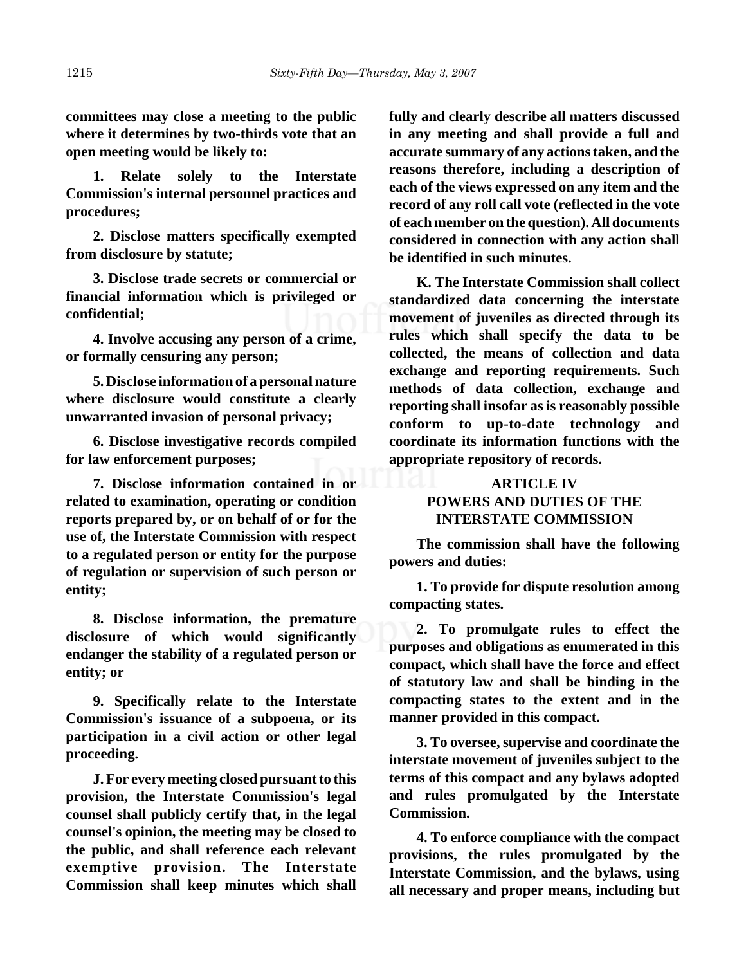**committees may close a meeting to the public where it determines by two-thirds vote that an open meeting would be likely to:**

**1. Relate solely to the Interstate Commission's internal personnel practices and procedures;**

**2. Disclose matters specifically exempted from disclosure by statute;**

**3. Disclose trade secrets or commercial or financial information which is privileged or confidential;**

**4. Involve accusing any person of a crime, or formally censuring any person;**

**5. Disclose information of a personal nature where disclosure would constitute a clearly unwarranted invasion of personal privacy;**

**6. Disclose investigative records compiled for law enforcement purposes;**

**7. Disclose information contained in or related to examination, operating or condition reports prepared by, or on behalf of or for the use of, the Interstate Commission with respect to a regulated person or entity for the purpose of regulation or supervision of such person or entity;**

**8. Disclose information, the premature disclosure of which would significantly endanger the stability of a regulated person or entity; or**

**9. Specifically relate to the Interstate Commission's issuance of a subpoena, or its participation in a civil action or other legal proceeding.**

**J. For every meeting closed pursuant to this provision, the Interstate Commission's legal counsel shall publicly certify that, in the legal counsel's opinion, the meeting may be closed to the public, and shall reference each relevant exemptive provision. The Interstate Commission shall keep minutes which shall** **fully and clearly describe all matters discussed in any meeting and shall provide a full and accurate summary of any actions taken, and the reasons therefore, including a description of each of the views expressed on any item and the record of any roll call vote (reflected in the vote of each member on the question). All documents considered in connection with any action shall be identified in such minutes.**

**K. The Interstate Commission shall collect standardized data concerning the interstate movement of juveniles as directed through its rules which shall specify the data to be collected, the means of collection and data exchange and reporting requirements. Such methods of data collection, exchange and reporting shall insofar as is reasonably possible conform to up-to-date technology and coordinate its information functions with the appropriate repository of records.**

# **ARTICLE IV POWERS AND DUTIES OF THE INTERSTATE COMMISSION**

**The commission shall have the following powers and duties:**

**1. To provide for dispute resolution among compacting states.**

**2. To promulgate rules to effect the purposes and obligations as enumerated in this compact, which shall have the force and effect of statutory law and shall be binding in the compacting states to the extent and in the manner provided in this compact.**

**3. To oversee, supervise and coordinate the interstate movement of juveniles subject to the terms of this compact and any bylaws adopted and rules promulgated by the Interstate Commission.**

**4. To enforce compliance with the compact provisions, the rules promulgated by the Interstate Commission, and the bylaws, using all necessary and proper means, including but**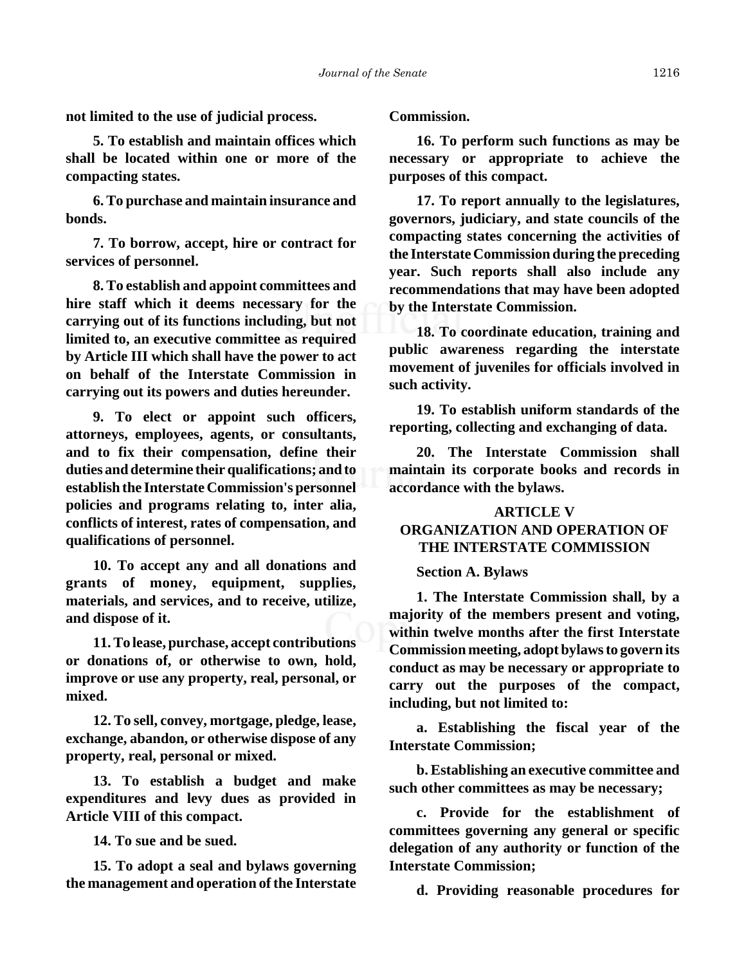**not limited to the use of judicial process.**

**5. To establish and maintain offices which shall be located within one or more of the compacting states.**

**6. To purchase and maintain insurance and bonds.**

**7. To borrow, accept, hire or contract for services of personnel.**

**8. To establish and appoint committees and hire staff which it deems necessary for the carrying out of its functions including, but not limited to, an executive committee as required by Article III which shall have the power to act on behalf of the Interstate Commission in carrying out its powers and duties hereunder.**

**9. To elect or appoint such officers, attorneys, employees, agents, or consultants, and to fix their compensation, define their duties and determine their qualifications; and to establish the Interstate Commission's personnel policies and programs relating to, inter alia, conflicts of interest, rates of compensation, and qualifications of personnel.**

**10. To accept any and all donations and grants of money, equipment, supplies, materials, and services, and to receive, utilize, and dispose of it.**

**11. To lease, purchase, accept contributions or donations of, or otherwise to own, hold, improve or use any property, real, personal, or mixed.**

**12. To sell, convey, mortgage, pledge, lease, exchange, abandon, or otherwise dispose of any property, real, personal or mixed.**

**13. To establish a budget and make expenditures and levy dues as provided in Article VIII of this compact.**

**14. To sue and be sued.**

**15. To adopt a seal and bylaws governing the management and operation of the Interstate** **Commission.**

**16. To perform such functions as may be necessary or appropriate to achieve the purposes of this compact.**

**17. To report annually to the legislatures, governors, judiciary, and state councils of the compacting states concerning the activities of the Interstate Commission during the preceding year. Such reports shall also include any recommendations that may have been adopted by the Interstate Commission.**

**18. To coordinate education, training and public awareness regarding the interstate movement of juveniles for officials involved in such activity.**

**19. To establish uniform standards of the reporting, collecting and exchanging of data.**

**20. The Interstate Commission shall maintain its corporate books and records in accordance with the bylaws.**

# **ARTICLE V ORGANIZATION AND OPERATION OF THE INTERSTATE COMMISSION**

#### **Section A. Bylaws**

**1. The Interstate Commission shall, by a majority of the members present and voting, within twelve months after the first Interstate Commission meeting, adopt bylaws to govern its conduct as may be necessary or appropriate to carry out the purposes of the compact, including, but not limited to:**

**a. Establishing the fiscal year of the Interstate Commission;**

**b. Establishing an executive committee and such other committees as may be necessary;**

**c. Provide for the establishment of committees governing any general or specific delegation of any authority or function of the Interstate Commission;**

**d. Providing reasonable procedures for**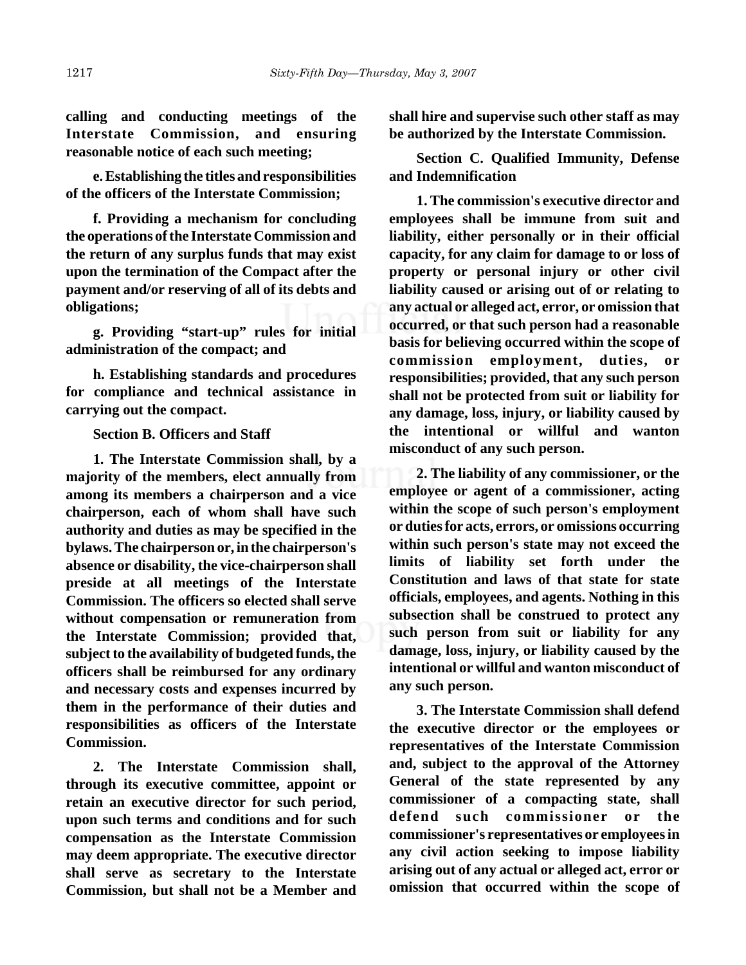**calling and conducting meetings of the Interstate Commission, and ensuring reasonable notice of each such meeting;**

**e. Establishing the titles and responsibilities of the officers of the Interstate Commission;**

**f. Providing a mechanism for concluding the operations of the Interstate Commission and the return of any surplus funds that may exist upon the termination of the Compact after the payment and/or reserving of all of its debts and obligations;**

**g. Providing "start-up" rules for initial administration of the compact; and**

**h. Establishing standards and procedures for compliance and technical assistance in carrying out the compact.**

#### **Section B. Officers and Staff**

**1. The Interstate Commission shall, by a majority of the members, elect annually from among its members a chairperson and a vice chairperson, each of whom shall have such authority and duties as may be specified in the bylaws. The chairperson or, in the chairperson's absence or disability, the vice-chairperson shall preside at all meetings of the Interstate Commission. The officers so elected shall serve without compensation or remuneration from the Interstate Commission; provided that, subject to the availability of budgeted funds, the officers shall be reimbursed for any ordinary and necessary costs and expenses incurred by them in the performance of their duties and responsibilities as officers of the Interstate Commission.**

**2. The Interstate Commission shall, through its executive committee, appoint or retain an executive director for such period, upon such terms and conditions and for such compensation as the Interstate Commission may deem appropriate. The executive director shall serve as secretary to the Interstate Commission, but shall not be a Member and** **shall hire and supervise such other staff as may be authorized by the Interstate Commission.**

**Section C. Qualified Immunity, Defense and Indemnification**

**1. The commission's executive director and employees shall be immune from suit and liability, either personally or in their official capacity, for any claim for damage to or loss of property or personal injury or other civil liability caused or arising out of or relating to any actual or alleged act, error, or omission that occurred, or that such person had a reasonable basis for believing occurred within the scope of** commission employment, duties, **responsibilities; provided, that any such person shall not be protected from suit or liability for any damage, loss, injury, or liability caused by the intentional or willful and wanton misconduct of any such person.**

**2. The liability of any commissioner, or the employee or agent of a commissioner, acting within the scope of such person's employment or duties for acts, errors, or omissions occurring within such person's state may not exceed the limits of liability set forth under the Constitution and laws of that state for state officials, employees, and agents. Nothing in this subsection shall be construed to protect any such person from suit or liability for any damage, loss, injury, or liability caused by the intentional or willful and wanton misconduct of any such person.**

**3. The Interstate Commission shall defend the executive director or the employees or representatives of the Interstate Commission and, subject to the approval of the Attorney General of the state represented by any commissioner of a compacting state, shall defend such commissioner or the commissioner's representatives or employees in any civil action seeking to impose liability arising out of any actual or alleged act, error or omission that occurred within the scope of**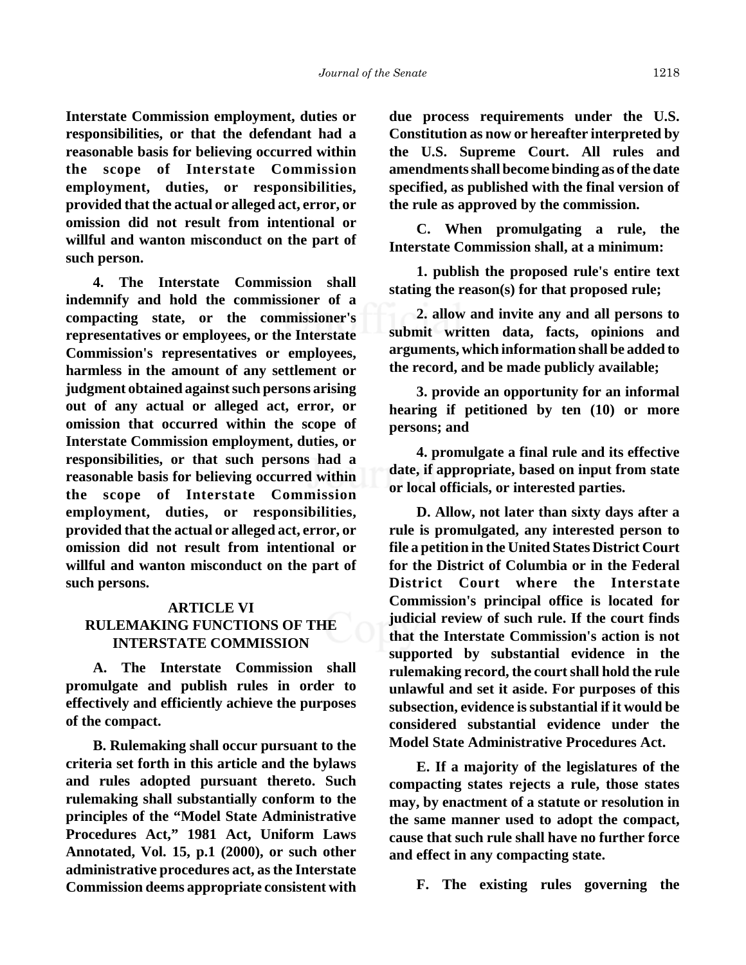**Interstate Commission employment, duties or responsibilities, or that the defendant had a reasonable basis for believing occurred within the scope of Interstate Commission employment, duties, or responsibilities, provided that the actual or alleged act, error, or omission did not result from intentional or willful and wanton misconduct on the part of such person.**

**4. The Interstate Commission shall indemnify and hold the commissioner of a compacting state, or the commissioner's representatives or employees, or the Interstate Commission's representatives or employees, harmless in the amount of any settlement or judgment obtained against such persons arising out of any actual or alleged act, error, or omission that occurred within the scope of Interstate Commission employment, duties, or responsibilities, or that such persons had a reasonable basis for believing occurred within the scope of Interstate Commission employment, duties, or responsibilities, provided that the actual or alleged act, error, or omission did not result from intentional or willful and wanton misconduct on the part of such persons.**

# **ARTICLE VI RULEMAKING FUNCTIONS OF THE INTERSTATE COMMISSION**

**A. The Interstate Commission shall promulgate and publish rules in order to effectively and efficiently achieve the purposes of the compact.**

**B. Rulemaking shall occur pursuant to the criteria set forth in this article and the bylaws and rules adopted pursuant thereto. Such rulemaking shall substantially conform to the principles of the "Model State Administrative Procedures Act," 1981 Act, Uniform Laws Annotated, Vol. 15, p.1 (2000), or such other administrative procedures act, as the Interstate Commission deems appropriate consistent with**

**due process requirements under the U.S. Constitution as now or hereafter interpreted by the U.S. Supreme Court. All rules and amendments shall become binding as of the date specified, as published with the final version of the rule as approved by the commission.**

**C. When promulgating a rule, the Interstate Commission shall, at a minimum:**

**1. publish the proposed rule's entire text stating the reason(s) for that proposed rule;**

**2. allow and invite any and all persons to submit written data, facts, opinions and arguments, which information shall be added to the record, and be made publicly available;**

**3. provide an opportunity for an informal hearing if petitioned by ten (10) or more persons; and**

**4. promulgate a final rule and its effective date, if appropriate, based on input from state or local officials, or interested parties.**

**D. Allow, not later than sixty days after a rule is promulgated, any interested person to file a petition in the United States District Court for the District of Columbia or in the Federal District Court where the Interstate Commission's principal office is located for judicial review of such rule. If the court finds that the Interstate Commission's action is not supported by substantial evidence in the rulemaking record, the court shall hold the rule unlawful and set it aside. For purposes of this subsection, evidence is substantial if it would be considered substantial evidence under the Model State Administrative Procedures Act.**

**E. If a majority of the legislatures of the compacting states rejects a rule, those states may, by enactment of a statute or resolution in the same manner used to adopt the compact, cause that such rule shall have no further force and effect in any compacting state.**

**F. The existing rules governing the**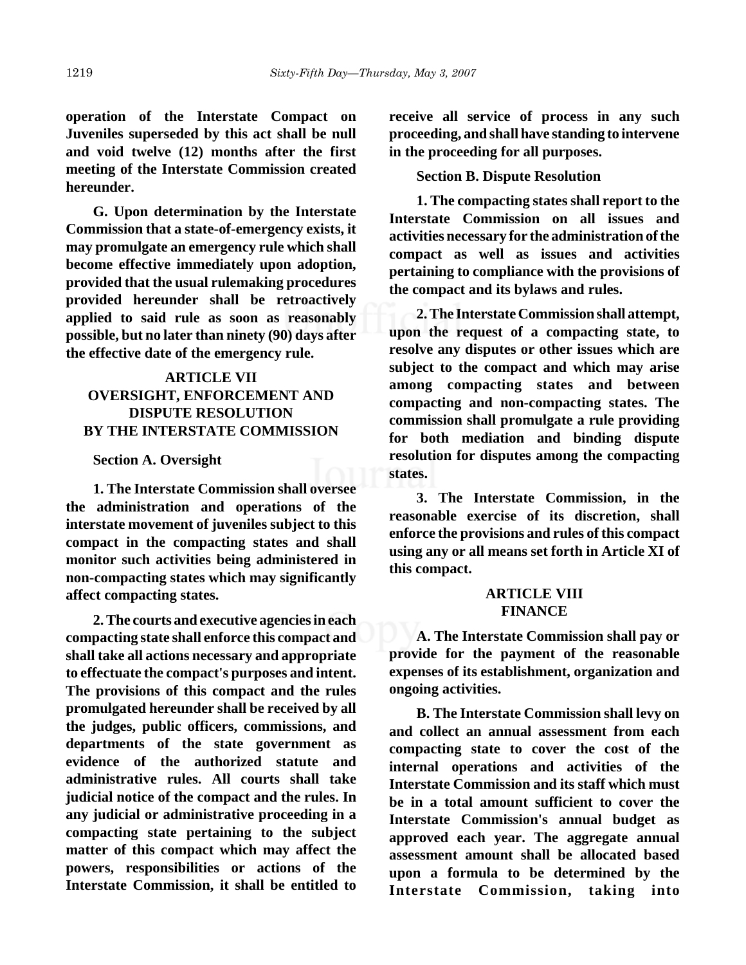**operation of the Interstate Compact on Juveniles superseded by this act shall be null and void twelve (12) months after the first meeting of the Interstate Commission created hereunder.**

**G. Upon determination by the Interstate Commission that a state-of-emergency exists, it may promulgate an emergency rule which shall become effective immediately upon adoption, provided that the usual rulemaking procedures provided hereunder shall be retroactively applied to said rule as soon as reasonably possible, but no later than ninety (90) days after the effective date of the emergency rule.**

# **ARTICLE VII OVERSIGHT, ENFORCEMENT AND DISPUTE RESOLUTION BY THE INTERSTATE COMMISSION**

## **Section A. Oversight**

**1. The Interstate Commission shall oversee the administration and operations of the interstate movement of juveniles subject to this compact in the compacting states and shall monitor such activities being administered in non-compacting states which may significantly affect compacting states.**

**2. The courts and executive agencies in each compacting state shall enforce this compact and shall take all actions necessary and appropriate to effectuate the compact's purposes and intent. The provisions of this compact and the rules promulgated hereunder shall be received by all the judges, public officers, commissions, and departments of the state government as evidence of the authorized statute and administrative rules. All courts shall take judicial notice of the compact and the rules. In any judicial or administrative proceeding in a compacting state pertaining to the subject matter of this compact which may affect the powers, responsibilities or actions of the Interstate Commission, it shall be entitled to**

**receive all service of process in any such proceeding, and shall have standing to intervene in the proceeding for all purposes.**

**Section B. Dispute Resolution**

**1. The compacting states shall report to the Interstate Commission on all issues and activities necessary for the administration of the compact as well as issues and activities pertaining to compliance with the provisions of the compact and its bylaws and rules.**

**2. The Interstate Commission shall attempt, upon the request of a compacting state, to resolve any disputes or other issues which are subject to the compact and which may arise among compacting states and between compacting and non-compacting states. The commission shall promulgate a rule providing for both mediation and binding dispute resolution for disputes among the compacting states.**

**3. The Interstate Commission, in the reasonable exercise of its discretion, shall enforce the provisions and rules of this compact using any or all means set forth in Article XI of this compact.**

# **ARTICLE VIII FINANCE**

**A. The Interstate Commission shall pay or provide for the payment of the reasonable expenses of its establishment, organization and ongoing activities.**

**B. The Interstate Commission shall levy on and collect an annual assessment from each compacting state to cover the cost of the internal operations and activities of the Interstate Commission and its staff which must be in a total amount sufficient to cover the Interstate Commission's annual budget as approved each year. The aggregate annual assessment amount shall be allocated based upon a formula to be determined by the Interstate Commission, taking into**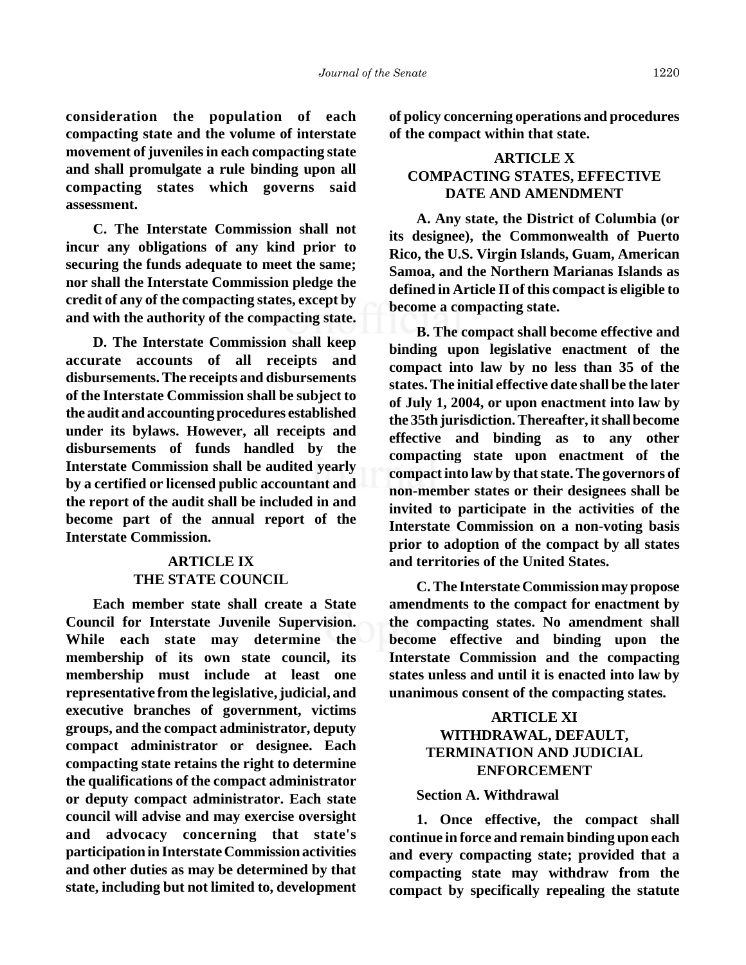**consideration the population of each compacting state and the volume of interstate movement of juveniles in each compacting state and shall promulgate a rule binding upon all compacting states which governs said assessment.**

**C. The Interstate Commission shall not incur any obligations of any kind prior to securing the funds adequate to meet the same; nor shall the Interstate Commission pledge the credit of any of the compacting states, except by and with the authority of the compacting state.**

**D. The Interstate Commission shall keep accurate accounts of all receipts and disbursements. The receipts and disbursements of the Interstate Commission shall be subject to the audit and accounting procedures established under its bylaws. However, all receipts and disbursements of funds handled by the Interstate Commission shall be audited yearly by a certified or licensed public accountant and the report of the audit shall be included in and become part of the annual report of the Interstate Commission.**

# **ARTICLE IX THE STATE COUNCIL**

**Each member state shall create a State Council for Interstate Juvenile Supervision. While each state may determine the membership of its own state council, its membership must include at least one representative from the legislative, judicial, and executive branches of government, victims groups, and the compact administrator, deputy compact administrator or designee. Each compacting state retains the right to determine the qualifications of the compact administrator or deputy compact administrator. Each state council will advise and may exercise oversight and advocacy concerning that state's participation in Interstate Commission activities and other duties as may be determined by that state, including but not limited to, development** **of policy concerning operations and procedures of the compact within that state.**

# **ARTICLE X COMPACTING STATES, EFFECTIVE DATE AND AMENDMENT**

**A. Any state, the District of Columbia (or its designee), the Commonwealth of Puerto Rico, the U.S. Virgin Islands, Guam, American Samoa, and the Northern Marianas Islands as defined in Article II of this compact is eligible to become a compacting state.**

**B. The compact shall become effective and binding upon legislative enactment of the compact into law by no less than 35 of the states. The initial effective date shall be the later of July 1, 2004, or upon enactment into law by the 35th jurisdiction. Thereafter, it shall become effective and binding as to any other compacting state upon enactment of the compact into law by that state. The governors of non-member states or their designees shall be invited to participate in the activities of the Interstate Commission on a non-voting basis prior to adoption of the compact by all states and territories of the United States.**

**C. The Interstate Commission may propose amendments to the compact for enactment by the compacting states. No amendment shall become effective and binding upon the Interstate Commission and the compacting states unless and until it is enacted into law by unanimous consent of the compacting states.**

# **ARTICLE XI WITHDRAWAL, DEFAULT, TERMINATION AND JUDICIAL ENFORCEMENT**

## **Section A. Withdrawal**

**1. Once effective, the compact shall continue in force and remain binding upon each and every compacting state; provided that a compacting state may withdraw from the compact by specifically repealing the statute**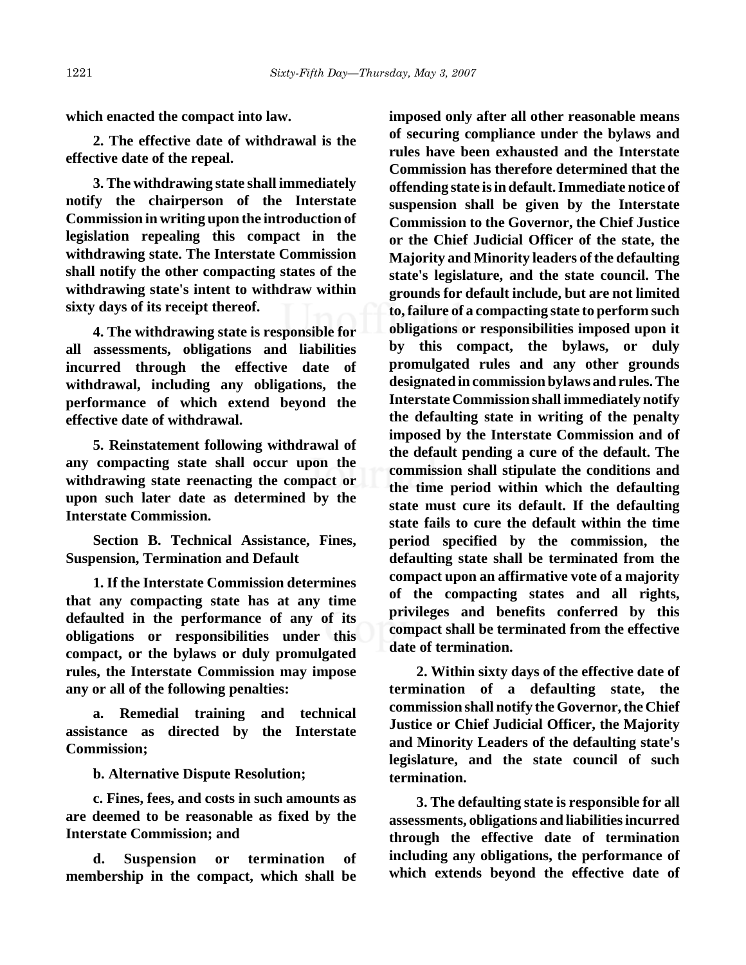**which enacted the compact into law.**

**2. The effective date of withdrawal is the effective date of the repeal.**

**3. The withdrawing state shall immediately notify the chairperson of the Interstate Commission in writing upon the introduction of legislation repealing this compact in the withdrawing state. The Interstate Commission shall notify the other compacting states of the withdrawing state's intent to withdraw within sixty days of its receipt thereof.**

**4. The withdrawing state is responsible for all assessments, obligations and liabilities incurred through the effective date of withdrawal, including any obligations, the performance of which extend beyond the effective date of withdrawal.**

**5. Reinstatement following withdrawal of any compacting state shall occur upon the withdrawing state reenacting the compact or upon such later date as determined by the Interstate Commission.**

**Section B. Technical Assistance, Fines, Suspension, Termination and Default** 

**1. If the Interstate Commission determines that any compacting state has at any time defaulted in the performance of any of its obligations or responsibilities under this compact, or the bylaws or duly promulgated rules, the Interstate Commission may impose any or all of the following penalties:**

**a. Remedial training and technical assistance as directed by the Interstate Commission;**

**b. Alternative Dispute Resolution;**

**c. Fines, fees, and costs in such amounts as are deemed to be reasonable as fixed by the Interstate Commission; and**

**d. Suspension or termination of membership in the compact, which shall be** **imposed only after all other reasonable means of securing compliance under the bylaws and rules have been exhausted and the Interstate Commission has therefore determined that the offending state is in default. Immediate notice of suspension shall be given by the Interstate Commission to the Governor, the Chief Justice or the Chief Judicial Officer of the state, the Majority and Minority leaders of the defaulting state's legislature, and the state council. The grounds for default include, but are not limited to, failure of a compacting state to perform such obligations or responsibilities imposed upon it by this compact, the bylaws, or duly promulgated rules and any other grounds designated in commission bylaws and rules. The Interstate Commission shall immediately notify the defaulting state in writing of the penalty imposed by the Interstate Commission and of the default pending a cure of the default. The commission shall stipulate the conditions and the time period within which the defaulting state must cure its default. If the defaulting state fails to cure the default within the time period specified by the commission, the defaulting state shall be terminated from the compact upon an affirmative vote of a majority of the compacting states and all rights, privileges and benefits conferred by this compact shall be terminated from the effective date of termination.**

**2. Within sixty days of the effective date of termination of a defaulting state, the commission shall notify the Governor, the Chief Justice or Chief Judicial Officer, the Majority and Minority Leaders of the defaulting state's legislature, and the state council of such termination.**

**3. The defaulting state is responsible for all assessments, obligations and liabilities incurred through the effective date of termination including any obligations, the performance of which extends beyond the effective date of**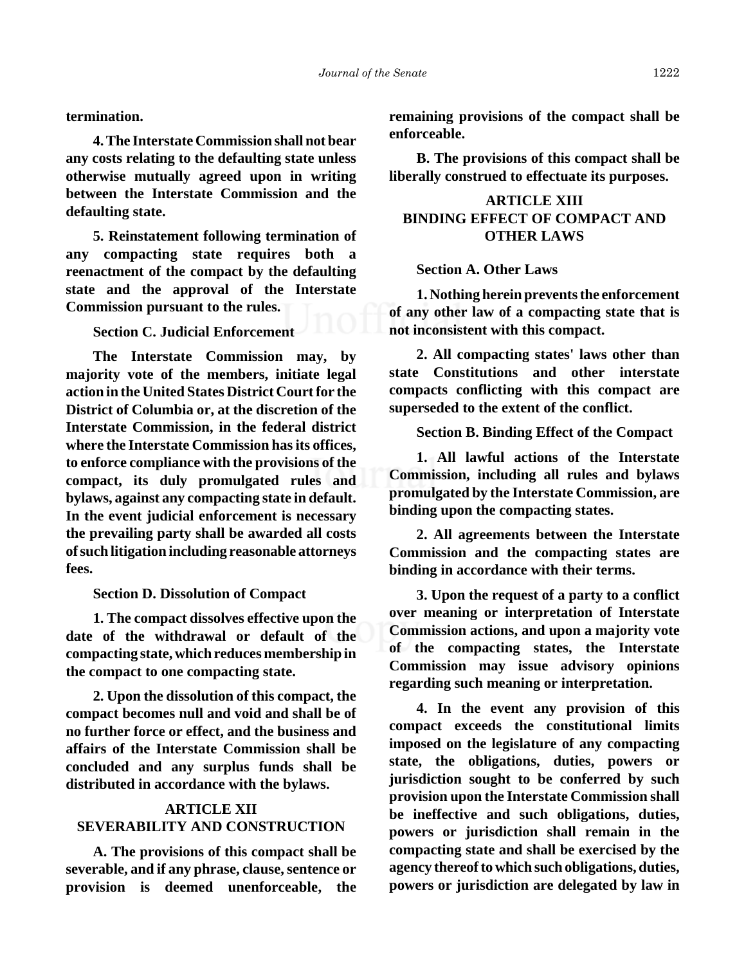**termination.**

**4. The Interstate Commission shall not bear any costs relating to the defaulting state unless otherwise mutually agreed upon in writing between the Interstate Commission and the defaulting state.**

**5. Reinstatement following termination of any compacting state requires both a reenactment of the compact by the defaulting state and the approval of the Interstate Commission pursuant to the rules.**

**Section C. Judicial Enforcement**

**The Interstate Commission may, by majority vote of the members, initiate legal action in the United States District Court for the District of Columbia or, at the discretion of the Interstate Commission, in the federal district where the Interstate Commission has its offices, to enforce compliance with the provisions of the compact, its duly promulgated rules and bylaws, against any compacting state in default. In the event judicial enforcement is necessary the prevailing party shall be awarded all costs of such litigation including reasonable attorneys fees.**

**Section D. Dissolution of Compact**

**1. The compact dissolves effective upon the date of the withdrawal or default of the compacting state, which reduces membership in the compact to one compacting state.**

**2. Upon the dissolution of this compact, the compact becomes null and void and shall be of no further force or effect, and the business and affairs of the Interstate Commission shall be concluded and any surplus funds shall be distributed in accordance with the bylaws.**

# **ARTICLE XII SEVERABILITY AND CONSTRUCTION**

**A. The provisions of this compact shall be severable, and if any phrase, clause, sentence or provision is deemed unenforceable, the** **remaining provisions of the compact shall be enforceable.**

**B. The provisions of this compact shall be liberally construed to effectuate its purposes.**

# **ARTICLE XIII BINDING EFFECT OF COMPACT AND OTHER LAWS**

**Section A. Other Laws**

**1. Nothing herein prevents the enforcement of any other law of a compacting state that is not inconsistent with this compact.**

**2. All compacting states' laws other than state Constitutions and other interstate compacts conflicting with this compact are superseded to the extent of the conflict.**

**Section B. Binding Effect of the Compact**

**1. All lawful actions of the Interstate Commission, including all rules and bylaws promulgated by the Interstate Commission, are binding upon the compacting states.**

**2. All agreements between the Interstate Commission and the compacting states are binding in accordance with their terms.**

**3. Upon the request of a party to a conflict over meaning or interpretation of Interstate Commission actions, and upon a majority vote of the compacting states, the Interstate Commission may issue advisory opinions regarding such meaning or interpretation.**

**4. In the event any provision of this compact exceeds the constitutional limits imposed on the legislature of any compacting state, the obligations, duties, powers or jurisdiction sought to be conferred by such provision upon the Interstate Commission shall be ineffective and such obligations, duties, powers or jurisdiction shall remain in the compacting state and shall be exercised by the agency thereof to which such obligations, duties, powers or jurisdiction are delegated by law in**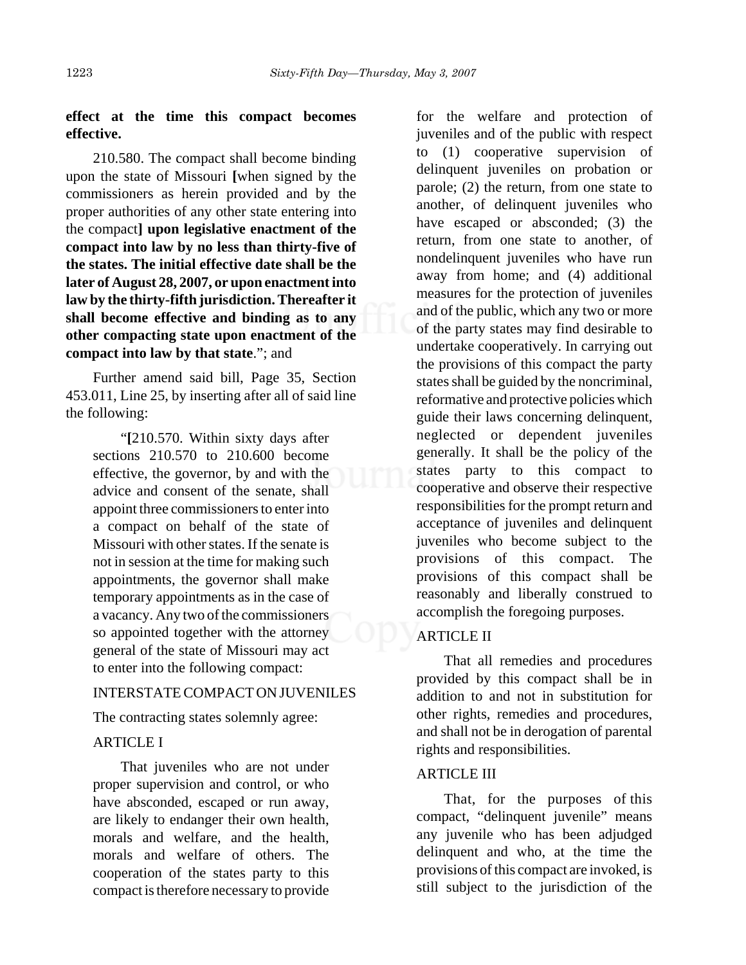# **effect at the time this compact becomes effective.**

210.580. The compact shall become binding upon the state of Missouri **[**when signed by the commissioners as herein provided and by the proper authorities of any other state entering into the compact**] upon legislative enactment of the compact into law by no less than thirty-five of the states. The initial effective date shall be the later of August 28, 2007, or upon enactment into law by the thirty-fifth jurisdiction. Thereafter it shall become effective and binding as to any other compacting state upon enactment of the compact into law by that state**."; and

Further amend said bill, Page 35, Section 453.011, Line 25, by inserting after all of said line the following:

"**[**210.570. Within sixty days after sections 210.570 to 210.600 become effective, the governor, by and with the advice and consent of the senate, shall appoint three commissioners to enter into a compact on behalf of the state of Missouri with other states. If the senate is not in session at the time for making such appointments, the governor shall make temporary appointments as in the case of a vacancy. Any two of the commissioners so appointed together with the attorney general of the state of Missouri may act to enter into the following compact:

## INTERSTATE COMPACT ON JUVENILES

The contracting states solemnly agree:

#### ARTICLE I

That juveniles who are not under proper supervision and control, or who have absconded, escaped or run away, are likely to endanger their own health, morals and welfare, and the health, morals and welfare of others. The cooperation of the states party to this compact is therefore necessary to provide

for the welfare and protection of juveniles and of the public with respect to (1) cooperative supervision of delinquent juveniles on probation or parole; (2) the return, from one state to another, of delinquent juveniles who have escaped or absconded; (3) the return, from one state to another, of nondelinquent juveniles who have run away from home; and (4) additional measures for the protection of juveniles and of the public, which any two or more of the party states may find desirable to undertake cooperatively. In carrying out the provisions of this compact the party states shall be guided by the noncriminal, reformative and protective policies which guide their laws concerning delinquent, neglected or dependent juveniles generally. It shall be the policy of the states party to this compact to cooperative and observe their respective responsibilities for the prompt return and acceptance of juveniles and delinquent juveniles who become subject to the provisions of this compact. The provisions of this compact shall be reasonably and liberally construed to accomplish the foregoing purposes.

# ARTICLE II

That all remedies and procedures provided by this compact shall be in addition to and not in substitution for other rights, remedies and procedures, and shall not be in derogation of parental rights and responsibilities.

#### ARTICLE III

 That, for the purposes of this compact, "delinquent juvenile" means any juvenile who has been adjudged delinquent and who, at the time the provisions of this compact are invoked, is still subject to the jurisdiction of the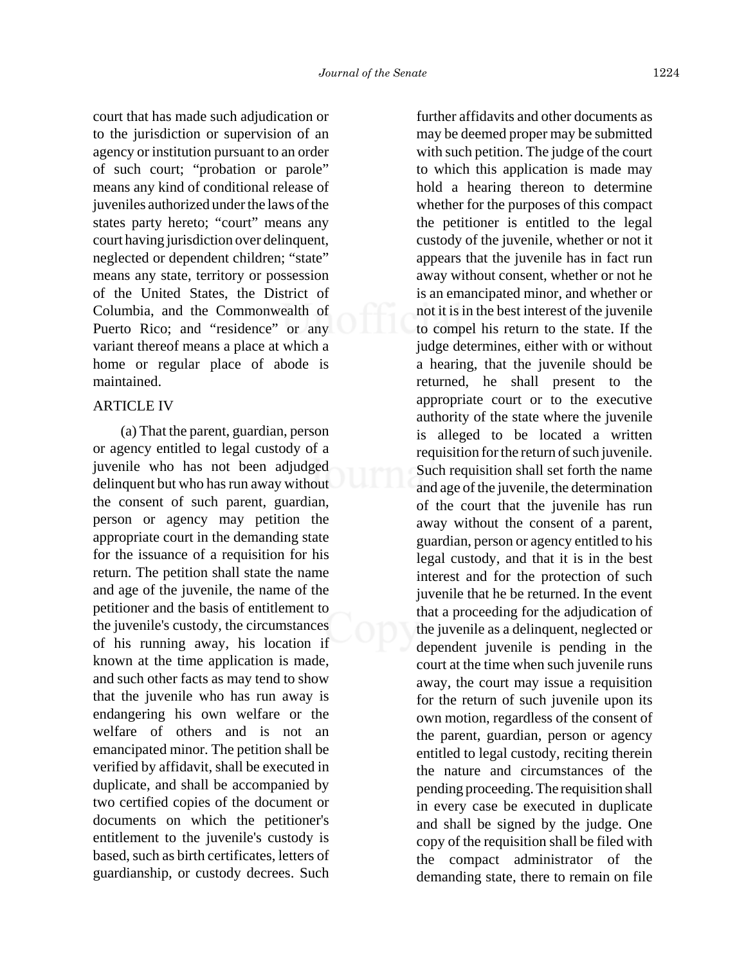court that has made such adjudication or to the jurisdiction or supervision of an agency or institution pursuant to an order of such court; "probation or parole" means any kind of conditional release of juveniles authorized under the laws of the states party hereto; "court" means any court having jurisdiction over delinquent, neglected or dependent children; "state" means any state, territory or possession of the United States, the District of Columbia, and the Commonwealth of Puerto Rico; and "residence" or any variant thereof means a place at which a home or regular place of abode is maintained.

#### ARTICLE IV

(a) That the parent, guardian, person or agency entitled to legal custody of a juvenile who has not been adjudged delinquent but who has run away without the consent of such parent, guardian, person or agency may petition the appropriate court in the demanding state for the issuance of a requisition for his return. The petition shall state the name and age of the juvenile, the name of the petitioner and the basis of entitlement to the juvenile's custody, the circumstances of his running away, his location if known at the time application is made, and such other facts as may tend to show that the juvenile who has run away is endangering his own welfare or the welfare of others and is not an emancipated minor. The petition shall be verified by affidavit, shall be executed in duplicate, and shall be accompanied by two certified copies of the document or documents on which the petitioner's entitlement to the juvenile's custody is based, such as birth certificates, letters of guardianship, or custody decrees. Such

further affidavits and other documents as may be deemed proper may be submitted with such petition. The judge of the court to which this application is made may hold a hearing thereon to determine whether for the purposes of this compact the petitioner is entitled to the legal custody of the juvenile, whether or not it appears that the juvenile has in fact run away without consent, whether or not he is an emancipated minor, and whether or not it is in the best interest of the juvenile to compel his return to the state. If the judge determines, either with or without a hearing, that the juvenile should be returned, he shall present to the appropriate court or to the executive authority of the state where the juvenile is alleged to be located a written requisition for the return of such juvenile. Such requisition shall set forth the name and age of the juvenile, the determination of the court that the juvenile has run away without the consent of a parent, guardian, person or agency entitled to his legal custody, and that it is in the best interest and for the protection of such juvenile that he be returned. In the event that a proceeding for the adjudication of the juvenile as a delinquent, neglected or dependent juvenile is pending in the court at the time when such juvenile runs away, the court may issue a requisition for the return of such juvenile upon its own motion, regardless of the consent of the parent, guardian, person or agency entitled to legal custody, reciting therein the nature and circumstances of the pending proceeding. The requisition shall in every case be executed in duplicate and shall be signed by the judge. One copy of the requisition shall be filed with the compact administrator of the demanding state, there to remain on file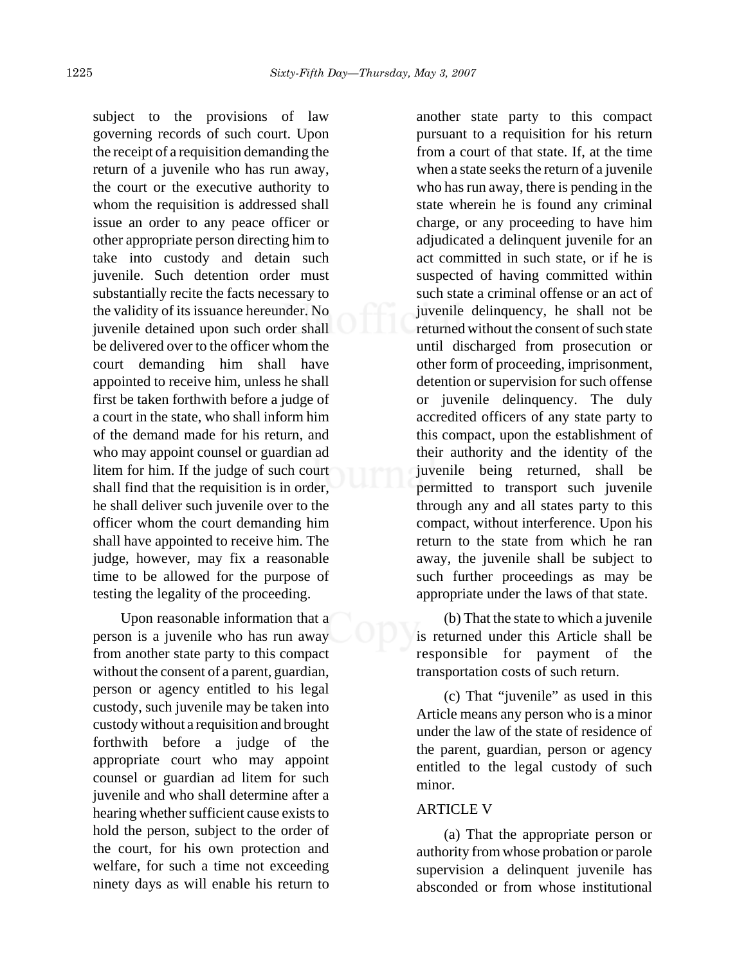subject to the provisions of law governing records of such court. Upon the receipt of a requisition demanding the return of a juvenile who has run away, the court or the executive authority to whom the requisition is addressed shall issue an order to any peace officer or other appropriate person directing him to take into custody and detain such juvenile. Such detention order must substantially recite the facts necessary to the validity of its issuance hereunder. No juvenile detained upon such order shall be delivered over to the officer whom the court demanding him shall have appointed to receive him, unless he shall first be taken forthwith before a judge of a court in the state, who shall inform him of the demand made for his return, and who may appoint counsel or guardian ad litem for him. If the judge of such court shall find that the requisition is in order, he shall deliver such juvenile over to the officer whom the court demanding him shall have appointed to receive him. The judge, however, may fix a reasonable time to be allowed for the purpose of testing the legality of the proceeding.

Upon reasonable information that a person is a juvenile who has run away from another state party to this compact without the consent of a parent, guardian, person or agency entitled to his legal custody, such juvenile may be taken into custody without a requisition and brought forthwith before a judge of the appropriate court who may appoint counsel or guardian ad litem for such juvenile and who shall determine after a hearing whether sufficient cause exists to hold the person, subject to the order of the court, for his own protection and welfare, for such a time not exceeding ninety days as will enable his return to

another state party to this compact pursuant to a requisition for his return from a court of that state. If, at the time when a state seeks the return of a juvenile who has run away, there is pending in the state wherein he is found any criminal charge, or any proceeding to have him adjudicated a delinquent juvenile for an act committed in such state, or if he is suspected of having committed within such state a criminal offense or an act of juvenile delinquency, he shall not be returned without the consent of such state until discharged from prosecution or other form of proceeding, imprisonment, detention or supervision for such offense or juvenile delinquency. The duly accredited officers of any state party to this compact, upon the establishment of their authority and the identity of the juvenile being returned, shall be permitted to transport such juvenile through any and all states party to this compact, without interference. Upon his return to the state from which he ran away, the juvenile shall be subject to such further proceedings as may be appropriate under the laws of that state.

(b) That the state to which a juvenile is returned under this Article shall be responsible for payment of the transportation costs of such return.

(c) That "juvenile" as used in this Article means any person who is a minor under the law of the state of residence of the parent, guardian, person or agency entitled to the legal custody of such minor.

#### ARTICLE V

(a) That the appropriate person or authority from whose probation or parole supervision a delinquent juvenile has absconded or from whose institutional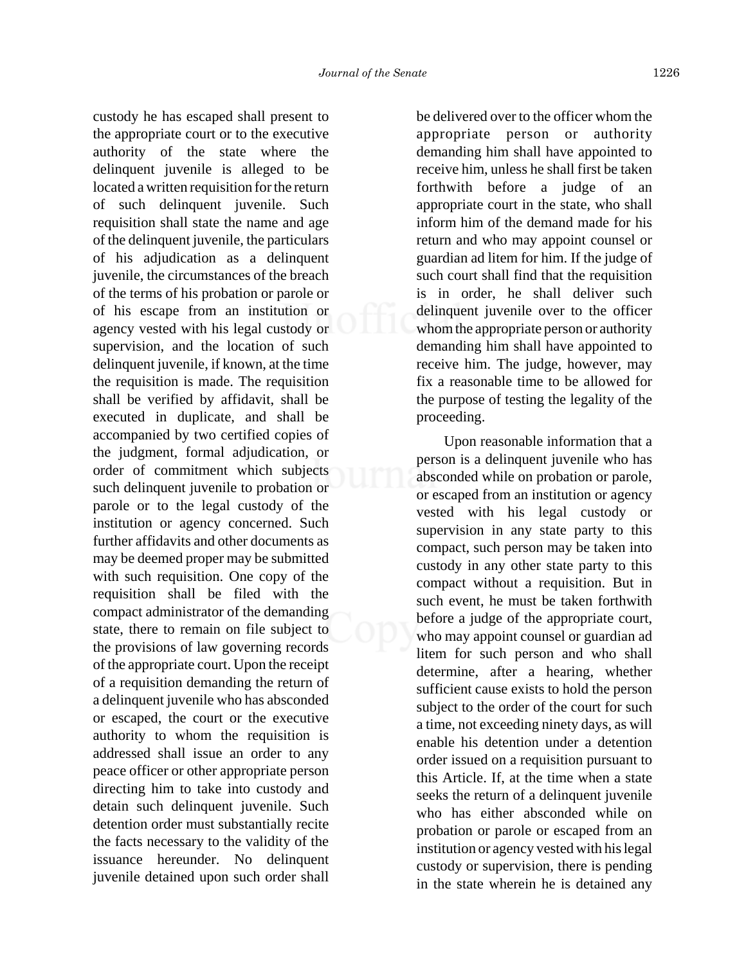custody he has escaped shall present to the appropriate court or to the executive authority of the state where the delinquent juvenile is alleged to be located a written requisition for the return of such delinquent juvenile. Such requisition shall state the name and age of the delinquent juvenile, the particulars of his adjudication as a delinquent juvenile, the circumstances of the breach of the terms of his probation or parole or of his escape from an institution or agency vested with his legal custody or supervision, and the location of such delinquent juvenile, if known, at the time the requisition is made. The requisition shall be verified by affidavit, shall be executed in duplicate, and shall be accompanied by two certified copies of the judgment, formal adjudication, or order of commitment which subjects such delinquent juvenile to probation or parole or to the legal custody of the institution or agency concerned. Such further affidavits and other documents as may be deemed proper may be submitted with such requisition. One copy of the requisition shall be filed with the compact administrator of the demanding state, there to remain on file subject to the provisions of law governing records of the appropriate court. Upon the receipt of a requisition demanding the return of a delinquent juvenile who has absconded or escaped, the court or the executive authority to whom the requisition is addressed shall issue an order to any peace officer or other appropriate person directing him to take into custody and detain such delinquent juvenile. Such detention order must substantially recite the facts necessary to the validity of the issuance hereunder. No delinquent juvenile detained upon such order shall

be delivered over to the officer whom the appropriate person or authority demanding him shall have appointed to receive him, unless he shall first be taken forthwith before a judge of an appropriate court in the state, who shall inform him of the demand made for his return and who may appoint counsel or guardian ad litem for him. If the judge of such court shall find that the requisition is in order, he shall deliver such delinquent juvenile over to the officer whom the appropriate person or authority demanding him shall have appointed to receive him. The judge, however, may fix a reasonable time to be allowed for the purpose of testing the legality of the proceeding.

Upon reasonable information that a person is a delinquent juvenile who has absconded while on probation or parole, or escaped from an institution or agency vested with his legal custody or supervision in any state party to this compact, such person may be taken into custody in any other state party to this compact without a requisition. But in such event, he must be taken forthwith before a judge of the appropriate court, who may appoint counsel or guardian ad litem for such person and who shall determine, after a hearing, whether sufficient cause exists to hold the person subject to the order of the court for such a time, not exceeding ninety days, as will enable his detention under a detention order issued on a requisition pursuant to this Article. If, at the time when a state seeks the return of a delinquent juvenile who has either absconded while on probation or parole or escaped from an institution or agency vested with his legal custody or supervision, there is pending in the state wherein he is detained any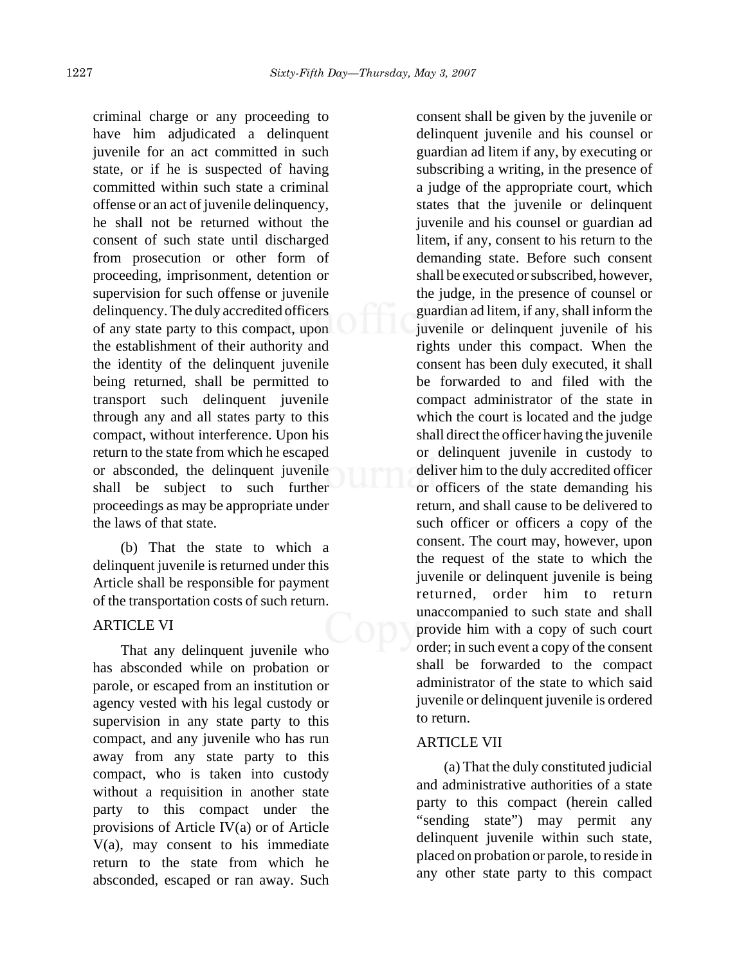criminal charge or any proceeding to have him adjudicated a delinquent juvenile for an act committed in such state, or if he is suspected of having committed within such state a criminal offense or an act of juvenile delinquency, he shall not be returned without the consent of such state until discharged from prosecution or other form of proceeding, imprisonment, detention or supervision for such offense or juvenile delinquency. The duly accredited officers of any state party to this compact, upon the establishment of their authority and the identity of the delinquent juvenile being returned, shall be permitted to transport such delinquent juvenile through any and all states party to this compact, without interference. Upon his return to the state from which he escaped or absconded, the delinquent juvenile shall be subject to such further proceedings as may be appropriate under the laws of that state.

(b) That the state to which a delinquent juvenile is returned under this Article shall be responsible for payment of the transportation costs of such return.

#### ARTICLE VI

That any delinquent juvenile who has absconded while on probation or parole, or escaped from an institution or agency vested with his legal custody or supervision in any state party to this compact, and any juvenile who has run away from any state party to this compact, who is taken into custody without a requisition in another state party to this compact under the provisions of Article IV(a) or of Article V(a), may consent to his immediate return to the state from which he absconded, escaped or ran away. Such consent shall be given by the juvenile or delinquent juvenile and his counsel or guardian ad litem if any, by executing or subscribing a writing, in the presence of a judge of the appropriate court, which states that the juvenile or delinquent juvenile and his counsel or guardian ad litem, if any, consent to his return to the demanding state. Before such consent shall be executed or subscribed, however, the judge, in the presence of counsel or guardian ad litem, if any, shall inform the juvenile or delinquent juvenile of his rights under this compact. When the consent has been duly executed, it shall be forwarded to and filed with the compact administrator of the state in which the court is located and the judge shall direct the officer having the juvenile or delinquent juvenile in custody to deliver him to the duly accredited officer or officers of the state demanding his return, and shall cause to be delivered to such officer or officers a copy of the consent. The court may, however, upon the request of the state to which the juvenile or delinquent juvenile is being returned, order him to return unaccompanied to such state and shall provide him with a copy of such court order; in such event a copy of the consent shall be forwarded to the compact administrator of the state to which said juvenile or delinquent juvenile is ordered to return.

#### ARTICLE VII

(a) That the duly constituted judicial and administrative authorities of a state party to this compact (herein called "sending state") may permit any delinquent juvenile within such state, placed on probation or parole, to reside in any other state party to this compact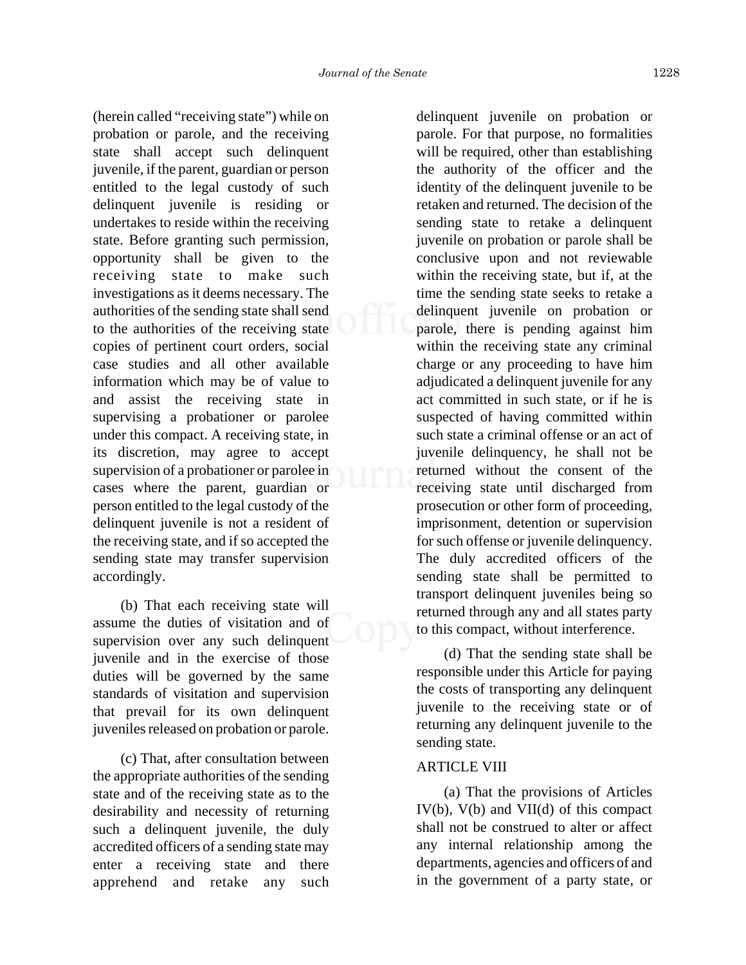(herein called "receiving state") while on probation or parole, and the receiving state shall accept such delinquent juvenile, if the parent, guardian or person entitled to the legal custody of such delinquent juvenile is residing or undertakes to reside within the receiving state. Before granting such permission, opportunity shall be given to the receiving state to make such investigations as it deems necessary. The authorities of the sending state shall send to the authorities of the receiving state copies of pertinent court orders, social case studies and all other available information which may be of value to and assist the receiving state in supervising a probationer or parolee under this compact. A receiving state, in its discretion, may agree to accept supervision of a probationer or parolee in cases where the parent, guardian or person entitled to the legal custody of the delinquent juvenile is not a resident of the receiving state, and if so accepted the sending state may transfer supervision accordingly.

(b) That each receiving state will assume the duties of visitation and of supervision over any such delinquent juvenile and in the exercise of those duties will be governed by the same standards of visitation and supervision that prevail for its own delinquent juveniles released on probation or parole.

(c) That, after consultation between the appropriate authorities of the sending state and of the receiving state as to the desirability and necessity of returning such a delinquent juvenile, the duly accredited officers of a sending state may enter a receiving state and there apprehend and retake any such

delinquent juvenile on probation or parole. For that purpose, no formalities will be required, other than establishing the authority of the officer and the identity of the delinquent juvenile to be retaken and returned. The decision of the sending state to retake a delinquent juvenile on probation or parole shall be conclusive upon and not reviewable within the receiving state, but if, at the time the sending state seeks to retake a delinquent juvenile on probation or parole, there is pending against him within the receiving state any criminal charge or any proceeding to have him adjudicated a delinquent juvenile for any act committed in such state, or if he is suspected of having committed within such state a criminal offense or an act of juvenile delinquency, he shall not be returned without the consent of the receiving state until discharged from prosecution or other form of proceeding, imprisonment, detention or supervision for such offense or juvenile delinquency. The duly accredited officers of the sending state shall be permitted to transport delinquent juveniles being so returned through any and all states party to this compact, without interference.

(d) That the sending state shall be responsible under this Article for paying the costs of transporting any delinquent juvenile to the receiving state or of returning any delinquent juvenile to the sending state.

## ARTICLE VIII

(a) That the provisions of Articles IV(b), V(b) and VII(d) of this compact shall not be construed to alter or affect any internal relationship among the departments, agencies and officers of and in the government of a party state, or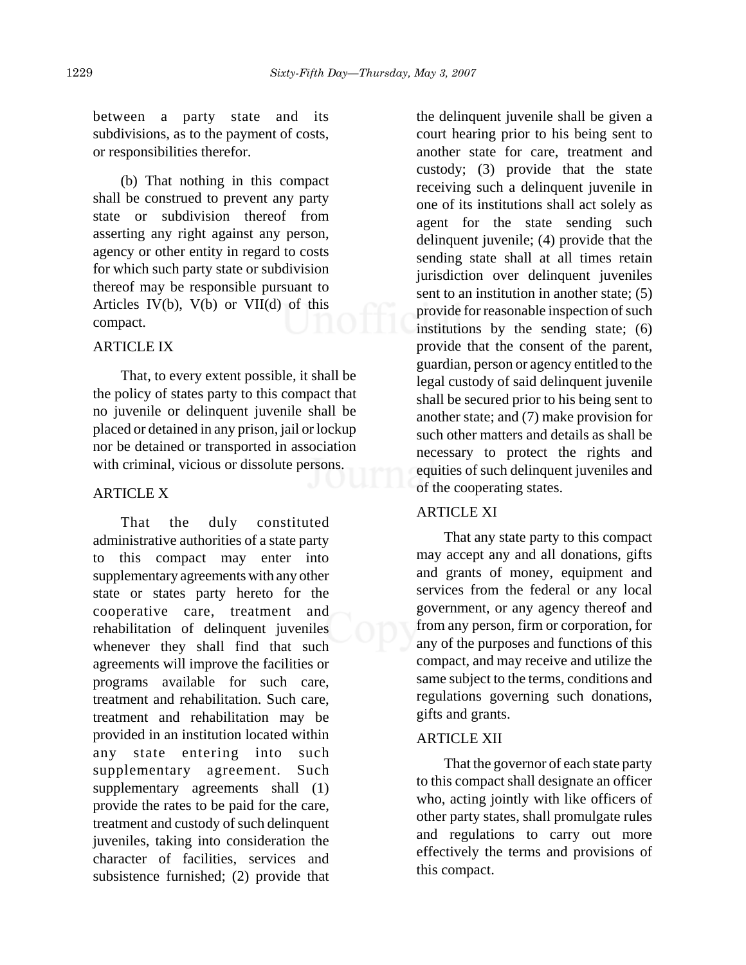between a party state and its subdivisions, as to the payment of costs, or responsibilities therefor.

(b) That nothing in this compact shall be construed to prevent any party state or subdivision thereof from asserting any right against any person, agency or other entity in regard to costs for which such party state or subdivision thereof may be responsible pursuant to Articles IV(b), V(b) or VII(d) of this compact.

#### ARTICLE IX

That, to every extent possible, it shall be the policy of states party to this compact that no juvenile or delinquent juvenile shall be placed or detained in any prison, jail or lockup nor be detained or transported in association with criminal, vicious or dissolute persons.

#### ARTICLE X

That the duly constituted administrative authorities of a state party to this compact may enter into supplementary agreements with any other state or states party hereto for the cooperative care, treatment and rehabilitation of delinquent juveniles whenever they shall find that such agreements will improve the facilities or programs available for such care, treatment and rehabilitation. Such care, treatment and rehabilitation may be provided in an institution located within any state entering into such supplementary agreement. Such supplementary agreements shall (1) provide the rates to be paid for the care, treatment and custody of such delinquent juveniles, taking into consideration the character of facilities, services and subsistence furnished; (2) provide that

the delinquent juvenile shall be given a court hearing prior to his being sent to another state for care, treatment and custody; (3) provide that the state receiving such a delinquent juvenile in one of its institutions shall act solely as agent for the state sending such delinquent juvenile; (4) provide that the sending state shall at all times retain jurisdiction over delinquent juveniles sent to an institution in another state; (5) provide for reasonable inspection of such institutions by the sending state; (6) provide that the consent of the parent, guardian, person or agency entitled to the legal custody of said delinquent juvenile shall be secured prior to his being sent to another state; and (7) make provision for such other matters and details as shall be necessary to protect the rights and equities of such delinquent juveniles and of the cooperating states.

## ARTICLE XI

That any state party to this compact may accept any and all donations, gifts and grants of money, equipment and services from the federal or any local government, or any agency thereof and from any person, firm or corporation, for any of the purposes and functions of this compact, and may receive and utilize the same subject to the terms, conditions and regulations governing such donations, gifts and grants.

## ARTICLE XII

That the governor of each state party to this compact shall designate an officer who, acting jointly with like officers of other party states, shall promulgate rules and regulations to carry out more effectively the terms and provisions of this compact.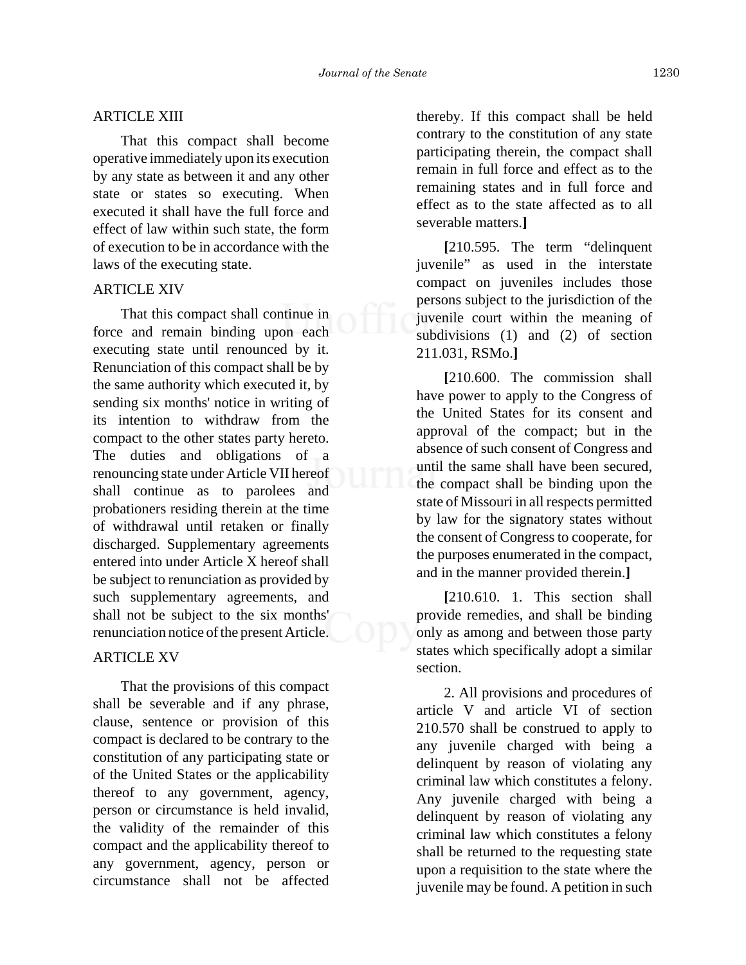#### ARTICLE XIII

That this compact shall become operative immediately upon its execution by any state as between it and any other state or states so executing. When executed it shall have the full force and effect of law within such state, the form of execution to be in accordance with the laws of the executing state.

#### ARTICLE XIV

That this compact shall continue in force and remain binding upon each executing state until renounced by it. Renunciation of this compact shall be by the same authority which executed it, by sending six months' notice in writing of its intention to withdraw from the compact to the other states party hereto. The duties and obligations of a renouncing state under Article VII hereof shall continue as to parolees and probationers residing therein at the time of withdrawal until retaken or finally discharged. Supplementary agreements entered into under Article X hereof shall be subject to renunciation as provided by such supplementary agreements, and shall not be subject to the six months' renunciation notice of the present Article.

## ARTICLE XV

That the provisions of this compact shall be severable and if any phrase, clause, sentence or provision of this compact is declared to be contrary to the constitution of any participating state or of the United States or the applicability thereof to any government, agency, person or circumstance is held invalid, the validity of the remainder of this compact and the applicability thereof to any government, agency, person or circumstance shall not be affected

thereby. If this compact shall be held contrary to the constitution of any state participating therein, the compact shall remain in full force and effect as to the remaining states and in full force and effect as to the state affected as to all severable matters.**]**

**[**210.595. The term "delinquent juvenile" as used in the interstate compact on juveniles includes those persons subject to the jurisdiction of the juvenile court within the meaning of subdivisions (1) and (2) of section 211.031, RSMo.**]**

**[**210.600. The commission shall have power to apply to the Congress of the United States for its consent and approval of the compact; but in the absence of such consent of Congress and until the same shall have been secured, the compact shall be binding upon the state of Missouri in all respects permitted by law for the signatory states without the consent of Congress to cooperate, for the purposes enumerated in the compact, and in the manner provided therein.**]**

**[**210.610. 1. This section shall provide remedies, and shall be binding only as among and between those party states which specifically adopt a similar section.

2. All provisions and procedures of article V and article VI of section 210.570 shall be construed to apply to any juvenile charged with being a delinquent by reason of violating any criminal law which constitutes a felony. Any juvenile charged with being a delinquent by reason of violating any criminal law which constitutes a felony shall be returned to the requesting state upon a requisition to the state where the juvenile may be found. A petition in such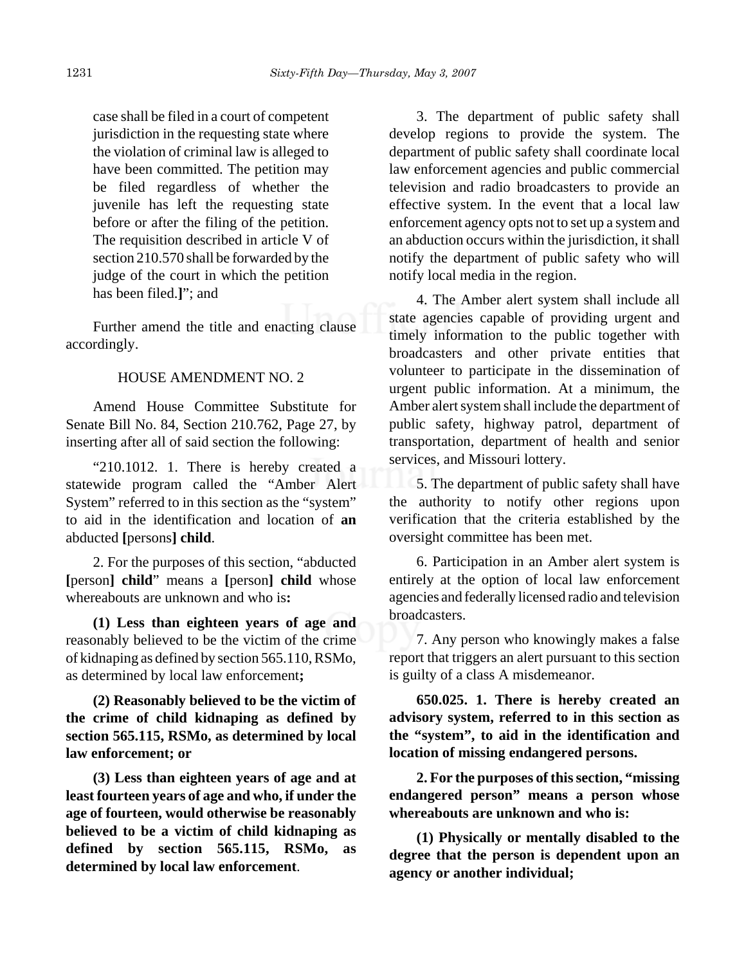case shall be filed in a court of competent jurisdiction in the requesting state where the violation of criminal law is alleged to have been committed. The petition may be filed regardless of whether the juvenile has left the requesting state before or after the filing of the petition. The requisition described in article V of section 210.570 shall be forwarded by the judge of the court in which the petition has been filed.**]**"; and

Further amend the title and enacting clause accordingly.

#### HOUSE AMENDMENT NO. 2

Amend House Committee Substitute for Senate Bill No. 84, Section 210.762, Page 27, by inserting after all of said section the following:

"210.1012. 1. There is hereby created a statewide program called the "Amber Alert System" referred to in this section as the "system" to aid in the identification and location of **an** abducted **[**persons**] child**.

2. For the purposes of this section, "abducted **[**person**] child**" means a **[**person**] child** whose whereabouts are unknown and who is**:**

**(1) Less than eighteen years of age and** reasonably believed to be the victim of the crime of kidnaping as defined by section 565.110, RSMo, as determined by local law enforcement**;**

**(2) Reasonably believed to be the victim of the crime of child kidnaping as defined by section 565.115, RSMo, as determined by local law enforcement; or**

**(3) Less than eighteen years of age and at least fourteen years of age and who, if under the age of fourteen, would otherwise be reasonably believed to be a victim of child kidnaping as defined by section 565.115, RSMo, as determined by local law enforcement**.

3. The department of public safety shall develop regions to provide the system. The department of public safety shall coordinate local law enforcement agencies and public commercial television and radio broadcasters to provide an effective system. In the event that a local law enforcement agency opts not to set up a system and an abduction occurs within the jurisdiction, it shall notify the department of public safety who will notify local media in the region.

4. The Amber alert system shall include all state agencies capable of providing urgent and timely information to the public together with broadcasters and other private entities that volunteer to participate in the dissemination of urgent public information. At a minimum, the Amber alert system shall include the department of public safety, highway patrol, department of transportation, department of health and senior services, and Missouri lottery.

5. The department of public safety shall have the authority to notify other regions upon verification that the criteria established by the oversight committee has been met.

6. Participation in an Amber alert system is entirely at the option of local law enforcement agencies and federally licensed radio and television broadcasters.

7. Any person who knowingly makes a false report that triggers an alert pursuant to this section is guilty of a class A misdemeanor.

**650.025. 1. There is hereby created an advisory system, referred to in this section as the "system", to aid in the identification and location of missing endangered persons.**

**2. For the purposes of this section, "missing endangered person" means a person whose whereabouts are unknown and who is:**

**(1) Physically or mentally disabled to the degree that the person is dependent upon an agency or another individual;**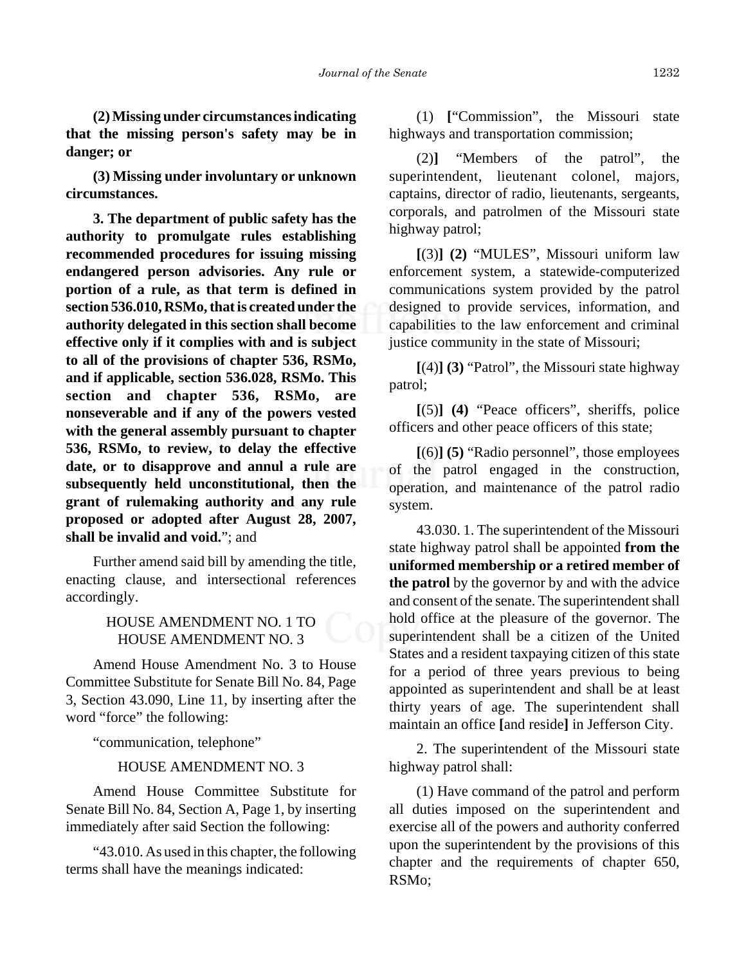**(2) Missing under circumstances indicating that the missing person's safety may be in danger; or**

**(3) Missing under involuntary or unknown circumstances.**

**3. The department of public safety has the authority to promulgate rules establishing recommended procedures for issuing missing endangered person advisories. Any rule or portion of a rule, as that term is defined in section 536.010, RSMo, that is created under the authority delegated in this section shall become effective only if it complies with and is subject to all of the provisions of chapter 536, RSMo, and if applicable, section 536.028, RSMo. This section and chapter 536, RSMo, are nonseverable and if any of the powers vested with the general assembly pursuant to chapter 536, RSMo, to review, to delay the effective date, or to disapprove and annul a rule are subsequently held unconstitutional, then the grant of rulemaking authority and any rule proposed or adopted after August 28, 2007, shall be invalid and void.**"; and

Further amend said bill by amending the title, enacting clause, and intersectional references accordingly.

## HOUSE AMENDMENT NO. 1 TO HOUSE AMENDMENT NO. 3

Amend House Amendment No. 3 to House Committee Substitute for Senate Bill No. 84, Page 3, Section 43.090, Line 11, by inserting after the word "force" the following:

"communication, telephone"

## HOUSE AMENDMENT NO. 3

Amend House Committee Substitute for Senate Bill No. 84, Section A, Page 1, by inserting immediately after said Section the following:

"43.010. As used in this chapter, the following terms shall have the meanings indicated:

(1) **[**"Commission", the Missouri state highways and transportation commission;

(2)**]** "Members of the patrol", the superintendent, lieutenant colonel, majors, captains, director of radio, lieutenants, sergeants, corporals, and patrolmen of the Missouri state highway patrol;

**[**(3)**] (2)** "MULES", Missouri uniform law enforcement system, a statewide-computerized communications system provided by the patrol designed to provide services, information, and capabilities to the law enforcement and criminal justice community in the state of Missouri;

**[**(4)**] (3)** "Patrol", the Missouri state highway patrol;

**[**(5)**] (4)** "Peace officers", sheriffs, police officers and other peace officers of this state;

**[**(6)**] (5)** "Radio personnel", those employees of the patrol engaged in the construction, operation, and maintenance of the patrol radio system.

43.030. 1. The superintendent of the Missouri state highway patrol shall be appointed **from the uniformed membership or a retired member of the patrol** by the governor by and with the advice and consent of the senate. The superintendent shall hold office at the pleasure of the governor. The superintendent shall be a citizen of the United States and a resident taxpaying citizen of this state for a period of three years previous to being appointed as superintendent and shall be at least thirty years of age. The superintendent shall maintain an office **[**and reside**]** in Jefferson City.

2. The superintendent of the Missouri state highway patrol shall:

(1) Have command of the patrol and perform all duties imposed on the superintendent and exercise all of the powers and authority conferred upon the superintendent by the provisions of this chapter and the requirements of chapter 650, RSMo;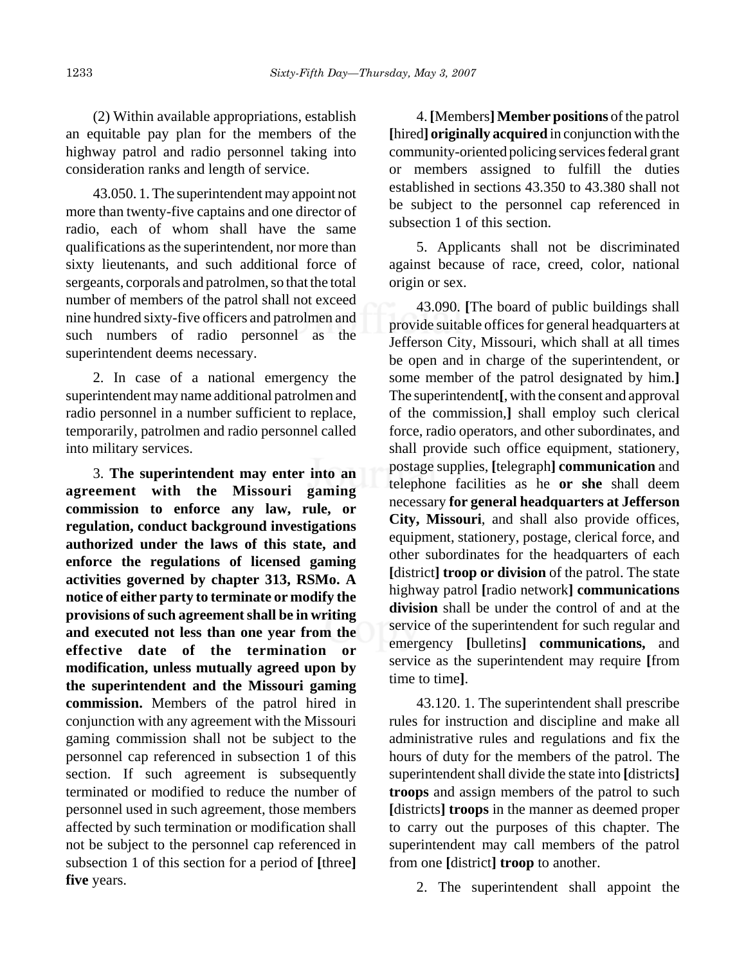(2) Within available appropriations, establish an equitable pay plan for the members of the highway patrol and radio personnel taking into consideration ranks and length of service.

43.050. 1. The superintendent may appoint not more than twenty-five captains and one director of radio, each of whom shall have the same qualifications as the superintendent, nor more than sixty lieutenants, and such additional force of sergeants, corporals and patrolmen, so that the total number of members of the patrol shall not exceed nine hundred sixty-five officers and patrolmen and such numbers of radio personnel as the superintendent deems necessary.

2. In case of a national emergency the superintendent may name additional patrolmen and radio personnel in a number sufficient to replace, temporarily, patrolmen and radio personnel called into military services.

3. **The superintendent may enter into an agreement with the Missouri gaming commission to enforce any law, rule, or regulation, conduct background investigations authorized under the laws of this state, and enforce the regulations of licensed gaming activities governed by chapter 313, RSMo. A notice of either party to terminate or modify the provisions of such agreement shall be in writing and executed not less than one year from the effective date of the termination or modification, unless mutually agreed upon by the superintendent and the Missouri gaming commission.** Members of the patrol hired in conjunction with any agreement with the Missouri gaming commission shall not be subject to the personnel cap referenced in subsection 1 of this section. If such agreement is subsequently terminated or modified to reduce the number of personnel used in such agreement, those members affected by such termination or modification shall not be subject to the personnel cap referenced in subsection 1 of this section for a period of **[**three**] five** years.

4. **[**Members**] Member positions** of the patrol **[**hired**] originally acquired** in conjunction with the community-oriented policing services federal grant or members assigned to fulfill the duties established in sections 43.350 to 43.380 shall not be subject to the personnel cap referenced in subsection 1 of this section.

5. Applicants shall not be discriminated against because of race, creed, color, national origin or sex.

43.090. **[**The board of public buildings shall provide suitable offices for general headquarters at Jefferson City, Missouri, which shall at all times be open and in charge of the superintendent, or some member of the patrol designated by him.**]** The superintendent**[**, with the consent and approval of the commission,**]** shall employ such clerical force, radio operators, and other subordinates, and shall provide such office equipment, stationery, postage supplies, **[**telegraph**] communication** and telephone facilities as he **or she** shall deem necessary **for general headquarters at Jefferson City, Missouri**, and shall also provide offices, equipment, stationery, postage, clerical force, and other subordinates for the headquarters of each **[**district**] troop or division** of the patrol. The state highway patrol **[**radio network**] communications division** shall be under the control of and at the service of the superintendent for such regular and emergency **[**bulletins**] communications,** and service as the superintendent may require **[**from time to time**]**.

43.120. 1. The superintendent shall prescribe rules for instruction and discipline and make all administrative rules and regulations and fix the hours of duty for the members of the patrol. The superintendent shall divide the state into **[**districts**] troops** and assign members of the patrol to such **[**districts**] troops** in the manner as deemed proper to carry out the purposes of this chapter. The superintendent may call members of the patrol from one **[**district**] troop** to another.

2. The superintendent shall appoint the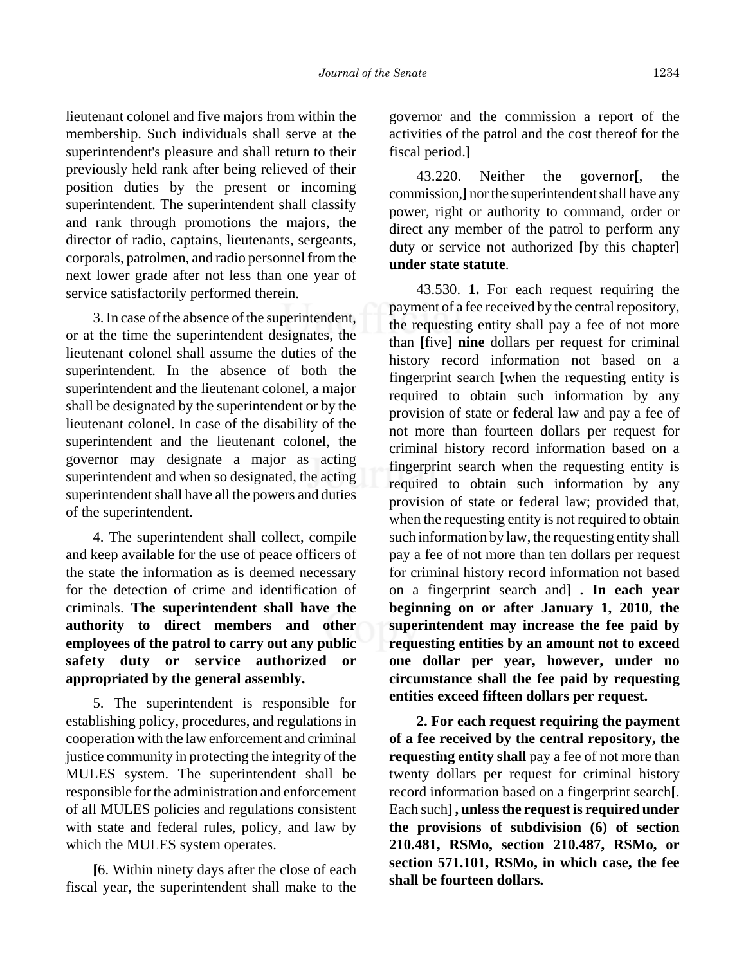lieutenant colonel and five majors from within the membership. Such individuals shall serve at the superintendent's pleasure and shall return to their previously held rank after being relieved of their position duties by the present or incoming superintendent. The superintendent shall classify and rank through promotions the majors, the director of radio, captains, lieutenants, sergeants, corporals, patrolmen, and radio personnel from the next lower grade after not less than one year of service satisfactorily performed therein.

3. In case of the absence of the superintendent, or at the time the superintendent designates, the lieutenant colonel shall assume the duties of the superintendent. In the absence of both the superintendent and the lieutenant colonel, a major shall be designated by the superintendent or by the lieutenant colonel. In case of the disability of the superintendent and the lieutenant colonel, the governor may designate a major as acting superintendent and when so designated, the acting superintendent shall have all the powers and duties of the superintendent.

4. The superintendent shall collect, compile and keep available for the use of peace officers of the state the information as is deemed necessary for the detection of crime and identification of criminals. **The superintendent shall have the authority to direct members and other employees of the patrol to carry out any public safety duty or service authorized or appropriated by the general assembly.**

5. The superintendent is responsible for establishing policy, procedures, and regulations in cooperation with the law enforcement and criminal justice community in protecting the integrity of the MULES system. The superintendent shall be responsible for the administration and enforcement of all MULES policies and regulations consistent with state and federal rules, policy, and law by which the MULES system operates.

**[**6. Within ninety days after the close of each fiscal year, the superintendent shall make to the governor and the commission a report of the activities of the patrol and the cost thereof for the fiscal period.**]**

43.220. Neither the governor**[**, the commission,**]** nor the superintendent shall have any power, right or authority to command, order or direct any member of the patrol to perform any duty or service not authorized **[**by this chapter**] under state statute**.

43.530. **1.** For each request requiring the payment of a fee received by the central repository, the requesting entity shall pay a fee of not more than **[**five**] nine** dollars per request for criminal history record information not based on a fingerprint search **[**when the requesting entity is required to obtain such information by any provision of state or federal law and pay a fee of not more than fourteen dollars per request for criminal history record information based on a fingerprint search when the requesting entity is required to obtain such information by any provision of state or federal law; provided that, when the requesting entity is not required to obtain such information by law, the requesting entity shall pay a fee of not more than ten dollars per request for criminal history record information not based on a fingerprint search and**] . In each year beginning on or after January 1, 2010, the superintendent may increase the fee paid by requesting entities by an amount not to exceed one dollar per year, however, under no circumstance shall the fee paid by requesting entities exceed fifteen dollars per request.**

**2. For each request requiring the payment of a fee received by the central repository, the requesting entity shall** pay a fee of not more than twenty dollars per request for criminal history record information based on a fingerprint search**[**. Each such**] , unless the request is required under the provisions of subdivision (6) of section 210.481, RSMo, section 210.487, RSMo, or section 571.101, RSMo, in which case, the fee shall be fourteen dollars.**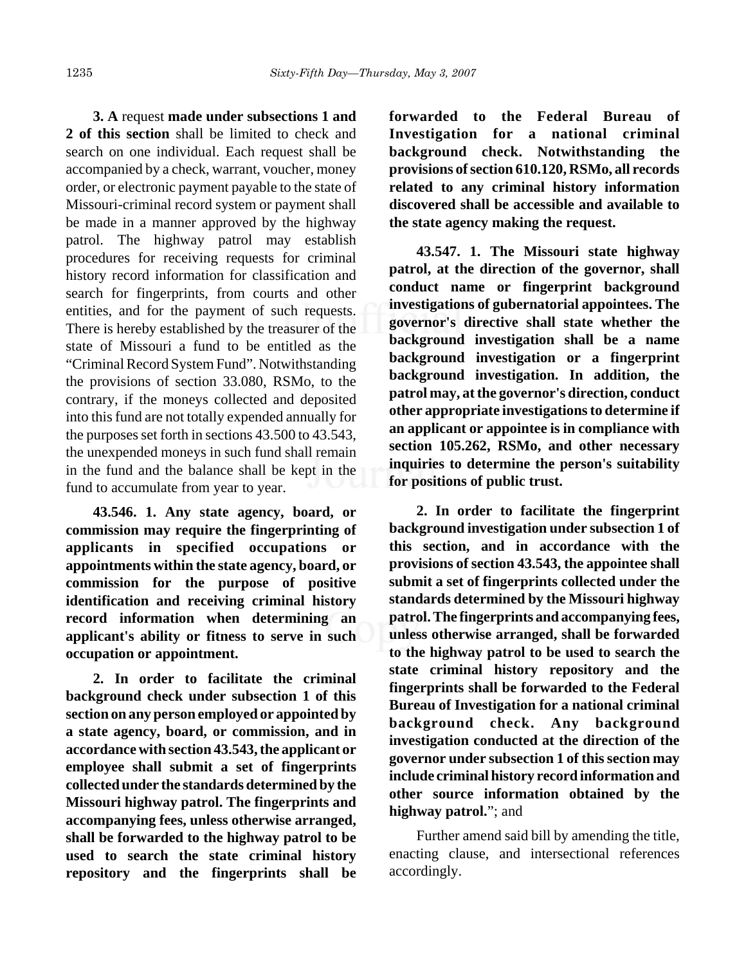**3. A** request **made under subsections 1 and 2 of this section** shall be limited to check and search on one individual. Each request shall be accompanied by a check, warrant, voucher, money order, or electronic payment payable to the state of Missouri-criminal record system or payment shall be made in a manner approved by the highway patrol. The highway patrol may establish procedures for receiving requests for criminal history record information for classification and search for fingerprints, from courts and other entities, and for the payment of such requests. There is hereby established by the treasurer of the state of Missouri a fund to be entitled as the "Criminal Record System Fund". Notwithstanding the provisions of section 33.080, RSMo, to the contrary, if the moneys collected and deposited into this fund are not totally expended annually for the purposes set forth in sections 43.500 to 43.543, the unexpended moneys in such fund shall remain in the fund and the balance shall be kept in the fund to accumulate from year to year.

**43.546. 1. Any state agency, board, or commission may require the fingerprinting of applicants in specified occupations or appointments within the state agency, board, or commission for the purpose of positive identification and receiving criminal history record information when determining an applicant's ability or fitness to serve in such occupation or appointment.**

**2. In order to facilitate the criminal background check under subsection 1 of this section on any person employed or appointed by a state agency, board, or commission, and in accordance with section 43.543, the applicant or employee shall submit a set of fingerprints collected under the standards determined by the Missouri highway patrol. The fingerprints and accompanying fees, unless otherwise arranged, shall be forwarded to the highway patrol to be used to search the state criminal history repository and the fingerprints shall be** **forwarded to the Federal Bureau of Investigation for a national criminal background check. Notwithstanding the provisions of section 610.120, RSMo, all records related to any criminal history information discovered shall be accessible and available to the state agency making the request.**

**43.547. 1. The Missouri state highway patrol, at the direction of the governor, shall conduct name or fingerprint background investigations of gubernatorial appointees. The governor's directive shall state whether the background investigation shall be a name background investigation or a fingerprint background investigation. In addition, the patrol may, at the governor's direction, conduct other appropriate investigations to determine if an applicant or appointee is in compliance with section 105.262, RSMo, and other necessary inquiries to determine the person's suitability for positions of public trust.**

**2. In order to facilitate the fingerprint background investigation under subsection 1 of this section, and in accordance with the provisions of section 43.543, the appointee shall submit a set of fingerprints collected under the standards determined by the Missouri highway patrol. The fingerprints and accompanying fees, unless otherwise arranged, shall be forwarded to the highway patrol to be used to search the state criminal history repository and the fingerprints shall be forwarded to the Federal Bureau of Investigation for a national criminal background check. Any background investigation conducted at the direction of the governor under subsection 1 of this section may include criminal history record information and other source information obtained by the highway patrol.**"; and

Further amend said bill by amending the title, enacting clause, and intersectional references accordingly.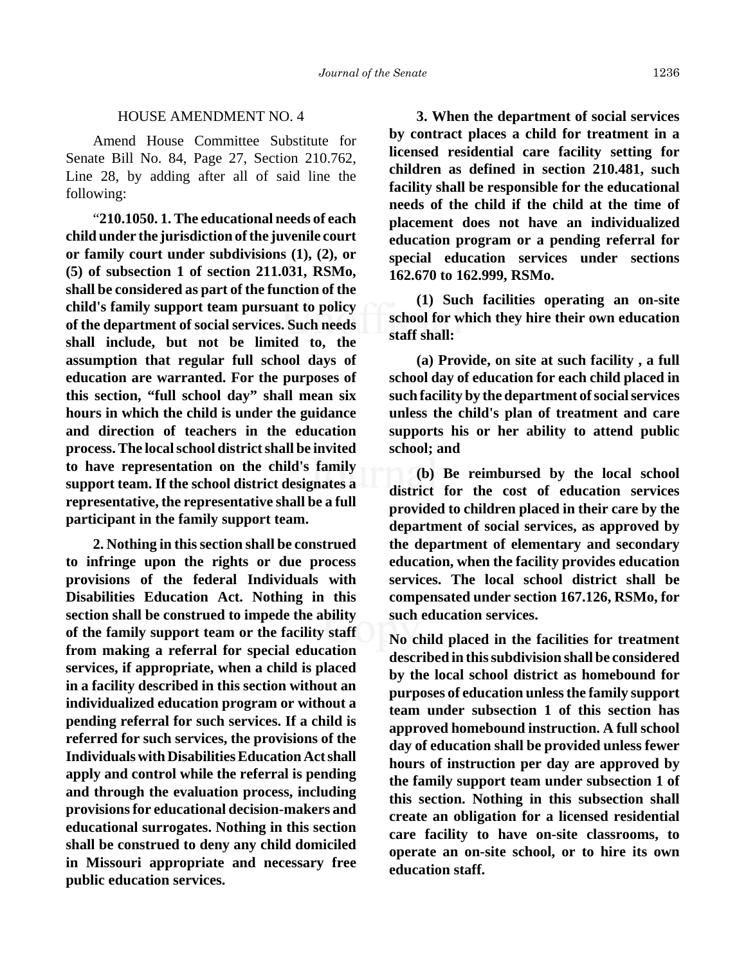#### HOUSE AMENDMENT NO. 4

Amend House Committee Substitute for Senate Bill No. 84, Page 27, Section 210.762, Line 28, by adding after all of said line the following:

"**210.1050. 1. The educational needs of each child under the jurisdiction of the juvenile court or family court under subdivisions (1), (2), or (5) of subsection 1 of section 211.031, RSMo, shall be considered as part of the function of the child's family support team pursuant to policy of the department of social services. Such needs shall include, but not be limited to, the assumption that regular full school days of education are warranted. For the purposes of this section, "full school day" shall mean six hours in which the child is under the guidance and direction of teachers in the education process. The local school district shall be invited to have representation on the child's family support team. If the school district designates a representative, the representative shall be a full participant in the family support team.**

**2. Nothing in this section shall be construed to infringe upon the rights or due process provisions of the federal Individuals with Disabilities Education Act. Nothing in this section shall be construed to impede the ability of the family support team or the facility staff from making a referral for special education services, if appropriate, when a child is placed in a facility described in this section without an individualized education program or without a pending referral for such services. If a child is referred for such services, the provisions of the Individuals with Disabilities Education Act shall apply and control while the referral is pending and through the evaluation process, including provisions for educational decision-makers and educational surrogates. Nothing in this section shall be construed to deny any child domiciled in Missouri appropriate and necessary free public education services.**

**3. When the department of social services by contract places a child for treatment in a licensed residential care facility setting for children as defined in section 210.481, such facility shall be responsible for the educational needs of the child if the child at the time of placement does not have an individualized education program or a pending referral for special education services under sections 162.670 to 162.999, RSMo.**

**(1) Such facilities operating an on-site school for which they hire their own education staff shall:**

**(a) Provide, on site at such facility , a full school day of education for each child placed in such facility by the department of social services unless the child's plan of treatment and care supports his or her ability to attend public school; and**

**(b) Be reimbursed by the local school district for the cost of education services provided to children placed in their care by the department of social services, as approved by the department of elementary and secondary education, when the facility provides education services. The local school district shall be compensated under section 167.126, RSMo, for such education services.**

**No child placed in the facilities for treatment described in this subdivision shall be considered by the local school district as homebound for purposes of education unless the family support team under subsection 1 of this section has approved homebound instruction. A full school day of education shall be provided unless fewer hours of instruction per day are approved by the family support team under subsection 1 of this section. Nothing in this subsection shall create an obligation for a licensed residential care facility to have on-site classrooms, to operate an on-site school, or to hire its own education staff.**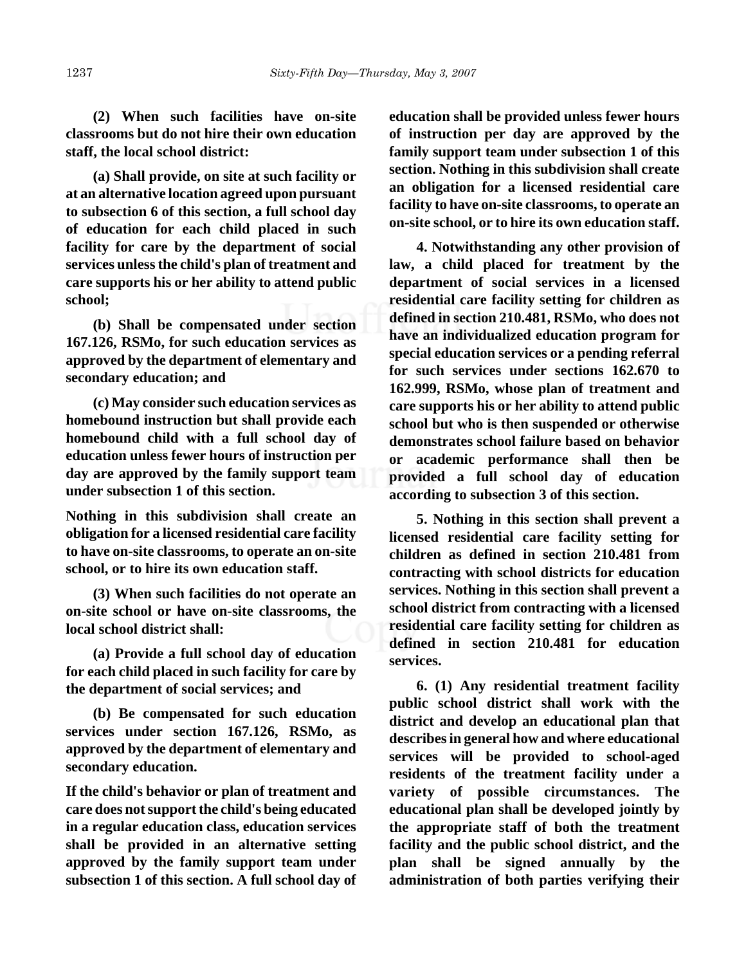**(2) When such facilities have on-site classrooms but do not hire their own education staff, the local school district:**

**(a) Shall provide, on site at such facility or at an alternative location agreed upon pursuant to subsection 6 of this section, a full school day of education for each child placed in such facility for care by the department of social services unless the child's plan of treatment and care supports his or her ability to attend public school;**

**(b) Shall be compensated under section 167.126, RSMo, for such education services as approved by the department of elementary and secondary education; and**

**(c) May consider such education services as homebound instruction but shall provide each homebound child with a full school day of education unless fewer hours of instruction per day are approved by the family support team under subsection 1 of this section.**

**Nothing in this subdivision shall create an obligation for a licensed residential care facility to have on-site classrooms, to operate an on-site school, or to hire its own education staff.**

**(3) When such facilities do not operate an on-site school or have on-site classrooms, the local school district shall:**

**(a) Provide a full school day of education for each child placed in such facility for care by the department of social services; and**

**(b) Be compensated for such education services under section 167.126, RSMo, as approved by the department of elementary and secondary education.**

**If the child's behavior or plan of treatment and care does not support the child's being educated in a regular education class, education services shall be provided in an alternative setting approved by the family support team under subsection 1 of this section. A full school day of**

**education shall be provided unless fewer hours of instruction per day are approved by the family support team under subsection 1 of this section. Nothing in this subdivision shall create an obligation for a licensed residential care facility to have on-site classrooms, to operate an on-site school, or to hire its own education staff.**

**4. Notwithstanding any other provision of law, a child placed for treatment by the department of social services in a licensed residential care facility setting for children as defined in section 210.481, RSMo, who does not have an individualized education program for special education services or a pending referral for such services under sections 162.670 to 162.999, RSMo, whose plan of treatment and care supports his or her ability to attend public school but who is then suspended or otherwise demonstrates school failure based on behavior or academic performance shall then be provided a full school day of education according to subsection 3 of this section.**

**5. Nothing in this section shall prevent a licensed residential care facility setting for children as defined in section 210.481 from contracting with school districts for education services. Nothing in this section shall prevent a school district from contracting with a licensed residential care facility setting for children as defined in section 210.481 for education services.**

**6. (1) Any residential treatment facility public school district shall work with the district and develop an educational plan that describes in general how and where educational services will be provided to school-aged residents of the treatment facility under a variety of possible circumstances. The educational plan shall be developed jointly by the appropriate staff of both the treatment facility and the public school district, and the plan shall be signed annually by the administration of both parties verifying their**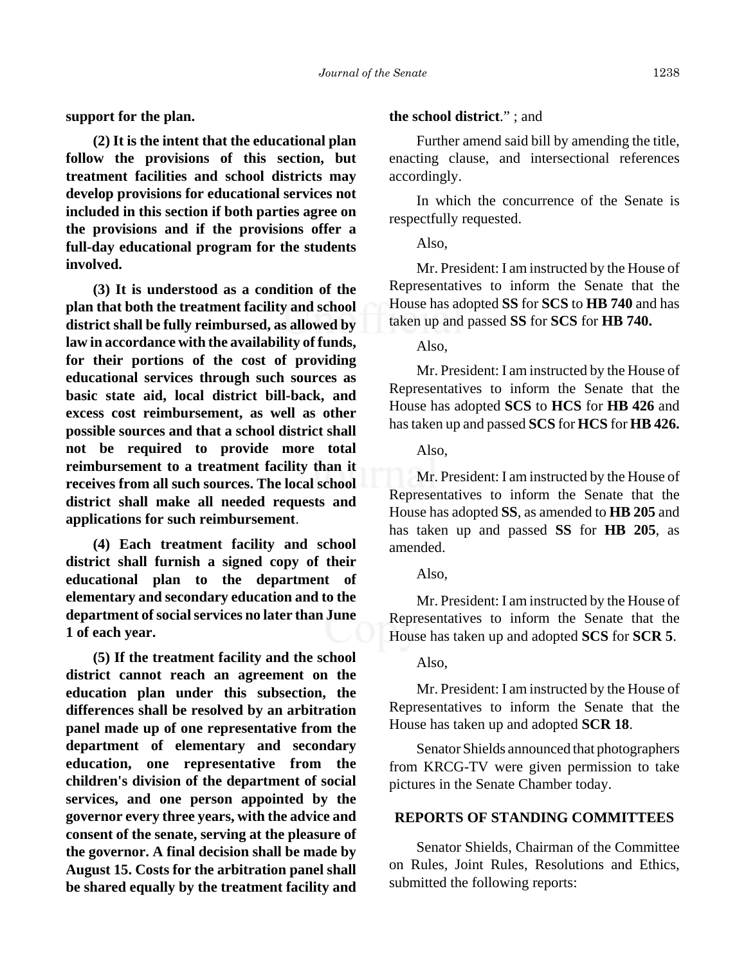#### **support for the plan.**

**(2) It is the intent that the educational plan follow the provisions of this section, but treatment facilities and school districts may develop provisions for educational services not included in this section if both parties agree on the provisions and if the provisions offer a full-day educational program for the students involved.**

**(3) It is understood as a condition of the plan that both the treatment facility and school district shall be fully reimbursed, as allowed by law in accordance with the availability of funds, for their portions of the cost of providing educational services through such sources as basic state aid, local district bill-back, and excess cost reimbursement, as well as other possible sources and that a school district shall not be required to provide more total reimbursement to a treatment facility than it receives from all such sources. The local school district shall make all needed requests and applications for such reimbursement**.

**(4) Each treatment facility and school district shall furnish a signed copy of their educational plan to the department of elementary and secondary education and to the department of social services no later than June 1 of each year.**

**(5) If the treatment facility and the school district cannot reach an agreement on the education plan under this subsection, the differences shall be resolved by an arbitration panel made up of one representative from the department of elementary and secondary education, one representative from the children's division of the department of social services, and one person appointed by the governor every three years, with the advice and consent of the senate, serving at the pleasure of the governor. A final decision shall be made by August 15. Costs for the arbitration panel shall be shared equally by the treatment facility and**

#### **the school district**." ; and

Further amend said bill by amending the title, enacting clause, and intersectional references accordingly.

In which the concurrence of the Senate is respectfully requested.

#### Also,

Mr. President: I am instructed by the House of Representatives to inform the Senate that the House has adopted **SS** for **SCS** to **HB 740** and has taken up and passed **SS** for **SCS** for **HB 740.**

#### Also,

Mr. President: I am instructed by the House of Representatives to inform the Senate that the House has adopted **SCS** to **HCS** for **HB 426** and has taken up and passed **SCS** for **HCS** for **HB 426.**

Also,

Mr. President: I am instructed by the House of Representatives to inform the Senate that the House has adopted **SS**, as amended to **HB 205** and has taken up and passed **SS** for **HB 205**, as amended.

#### Also,

Mr. President: I am instructed by the House of Representatives to inform the Senate that the House has taken up and adopted **SCS** for **SCR 5**.

#### Also,

Mr. President: I am instructed by the House of Representatives to inform the Senate that the House has taken up and adopted **SCR 18**.

Senator Shields announced that photographers from KRCG-TV were given permission to take pictures in the Senate Chamber today.

# **REPORTS OF STANDING COMMITTEES**

Senator Shields, Chairman of the Committee on Rules, Joint Rules, Resolutions and Ethics, submitted the following reports: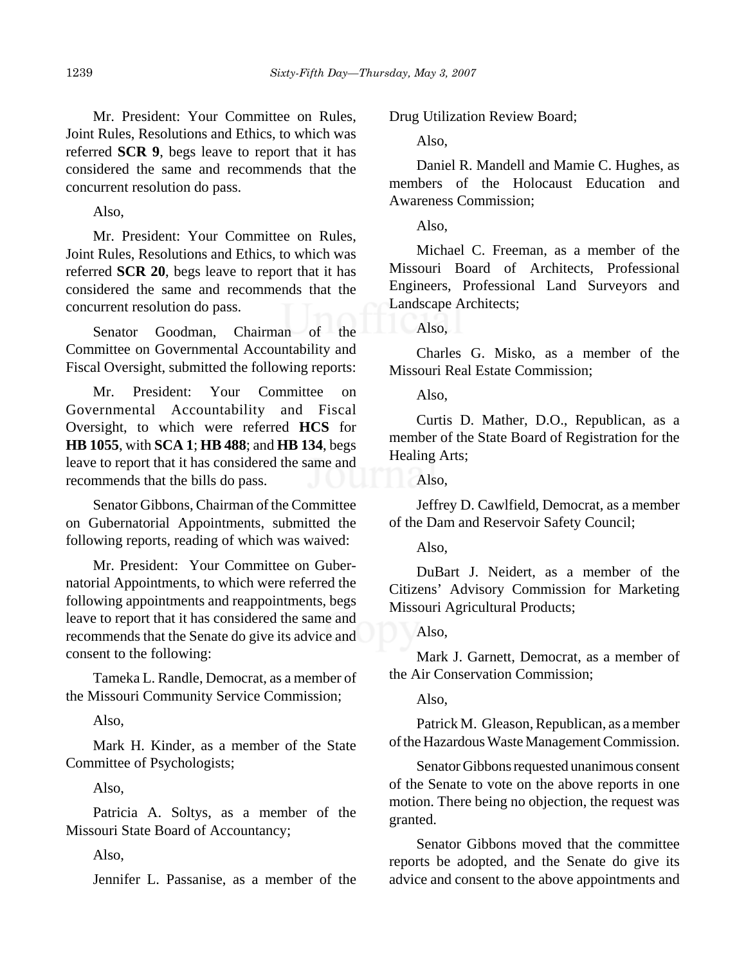Mr. President: Your Committee on Rules, Joint Rules, Resolutions and Ethics, to which was referred **SCR 9**, begs leave to report that it has considered the same and recommends that the concurrent resolution do pass.

Also,

Mr. President: Your Committee on Rules, Joint Rules, Resolutions and Ethics, to which was referred **SCR 20**, begs leave to report that it has considered the same and recommends that the concurrent resolution do pass.

Senator Goodman, Chairman of the Committee on Governmental Accountability and Fiscal Oversight, submitted the following reports:

Mr. President: Your Committee on Governmental Accountability and Fiscal Oversight, to which were referred **HCS** for **HB 1055**, with **SCA 1**; **HB 488**; and **HB 134**, begs leave to report that it has considered the same and recommends that the bills do pass.

Senator Gibbons, Chairman of the Committee on Gubernatorial Appointments, submitted the following reports, reading of which was waived:

Mr. President: Your Committee on Gubernatorial Appointments, to which were referred the following appointments and reappointments, begs leave to report that it has considered the same and recommends that the Senate do give its advice and consent to the following:

Tameka L. Randle, Democrat, as a member of the Missouri Community Service Commission;

Also,

Mark H. Kinder, as a member of the State Committee of Psychologists;

Also,

Patricia A. Soltys, as a member of the Missouri State Board of Accountancy;

Also,

Jennifer L. Passanise, as a member of the

Drug Utilization Review Board;

Also,

Daniel R. Mandell and Mamie C. Hughes, as members of the Holocaust Education and Awareness Commission;

Also,

Michael C. Freeman, as a member of the Missouri Board of Architects, Professional Engineers, Professional Land Surveyors and Landscape Architects;

Also,

Charles G. Misko, as a member of the Missouri Real Estate Commission;

Also,

Curtis D. Mather, D.O., Republican, as a member of the State Board of Registration for the Healing Arts;

Also,

Jeffrey D. Cawlfield, Democrat, as a member of the Dam and Reservoir Safety Council;

Also,

DuBart J. Neidert, as a member of the Citizens' Advisory Commission for Marketing Missouri Agricultural Products;

Also,

Mark J. Garnett, Democrat, as a member of the Air Conservation Commission;

Also,

Patrick M. Gleason, Republican, as a member of the Hazardous Waste Management Commission.

Senator Gibbons requested unanimous consent of the Senate to vote on the above reports in one motion. There being no objection, the request was granted.

Senator Gibbons moved that the committee reports be adopted, and the Senate do give its advice and consent to the above appointments and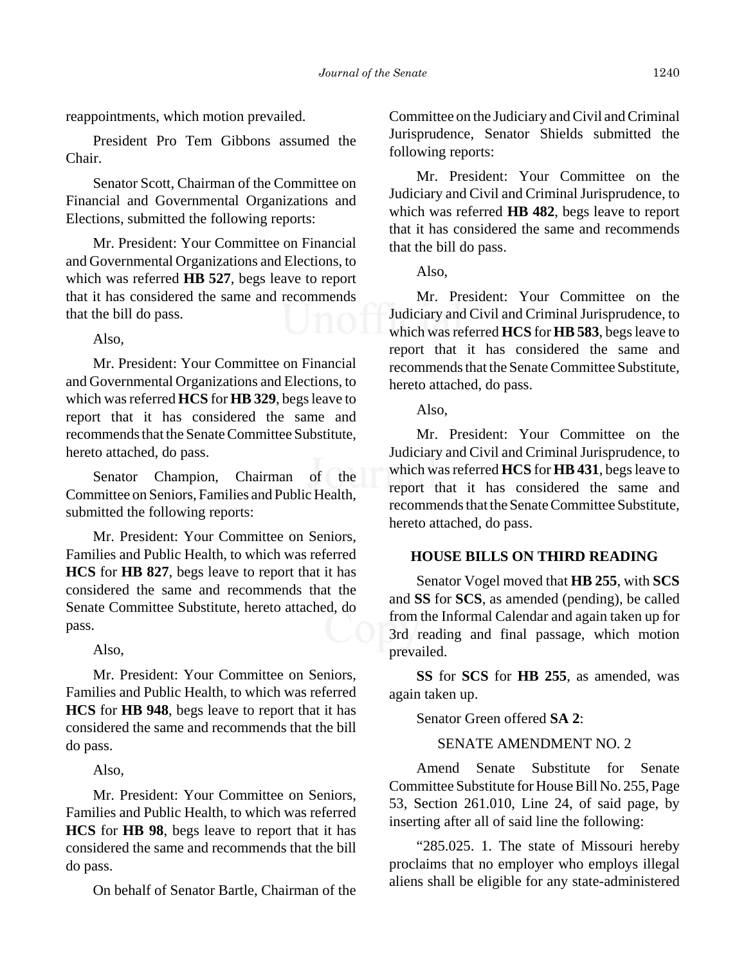reappointments, which motion prevailed.

President Pro Tem Gibbons assumed the Chair.

Senator Scott, Chairman of the Committee on Financial and Governmental Organizations and Elections, submitted the following reports:

Mr. President: Your Committee on Financial and Governmental Organizations and Elections, to which was referred **HB 527**, begs leave to report that it has considered the same and recommends that the bill do pass.

# Also,

Mr. President: Your Committee on Financial and Governmental Organizations and Elections, to which was referred **HCS** for **HB 329**, begs leave to report that it has considered the same and recommends that the Senate Committee Substitute, hereto attached, do pass.

Senator Champion, Chairman of the Committee on Seniors, Families and Public Health, submitted the following reports:

Mr. President: Your Committee on Seniors, Families and Public Health, to which was referred **HCS** for **HB 827**, begs leave to report that it has considered the same and recommends that the Senate Committee Substitute, hereto attached, do pass.

Also,

Mr. President: Your Committee on Seniors, Families and Public Health, to which was referred **HCS** for **HB 948**, begs leave to report that it has considered the same and recommends that the bill do pass.

Also,

Mr. President: Your Committee on Seniors, Families and Public Health, to which was referred **HCS** for **HB 98**, begs leave to report that it has considered the same and recommends that the bill do pass.

On behalf of Senator Bartle, Chairman of the

Committee on the Judiciary and Civil and Criminal Jurisprudence, Senator Shields submitted the following reports:

Mr. President: Your Committee on the Judiciary and Civil and Criminal Jurisprudence, to which was referred **HB 482**, begs leave to report that it has considered the same and recommends that the bill do pass.

Also,

Mr. President: Your Committee on the Judiciary and Civil and Criminal Jurisprudence, to which was referred **HCS** for **HB 583**, begs leave to report that it has considered the same and recommends that the Senate Committee Substitute, hereto attached, do pass.

Also,

Mr. President: Your Committee on the Judiciary and Civil and Criminal Jurisprudence, to which was referred **HCS** for **HB 431**, begs leave to report that it has considered the same and recommends that the Senate Committee Substitute, hereto attached, do pass.

# **HOUSE BILLS ON THIRD READING**

Senator Vogel moved that **HB 255**, with **SCS** and **SS** for **SCS**, as amended (pending), be called from the Informal Calendar and again taken up for 3rd reading and final passage, which motion prevailed.

**SS** for **SCS** for **HB 255**, as amended, was again taken up.

Senator Green offered **SA 2**:

SENATE AMENDMENT NO. 2

Amend Senate Substitute for Senate Committee Substitute for House Bill No. 255, Page 53, Section 261.010, Line 24, of said page, by inserting after all of said line the following:

"285.025. 1. The state of Missouri hereby proclaims that no employer who employs illegal aliens shall be eligible for any state-administered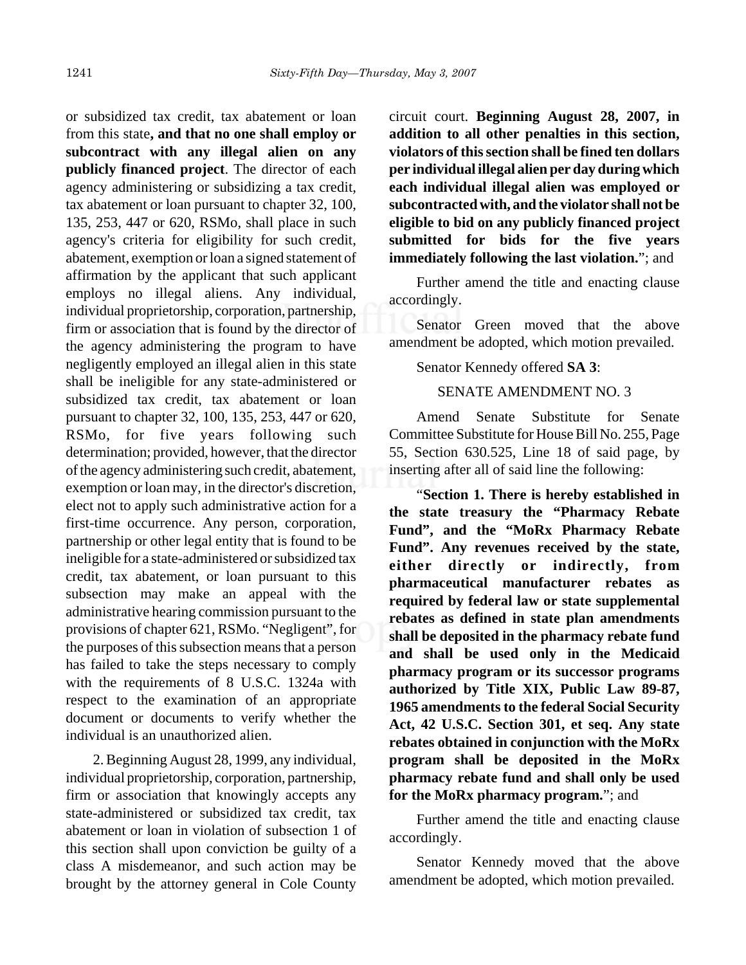or subsidized tax credit, tax abatement or loan from this state**, and that no one shall employ or subcontract with any illegal alien on any publicly financed project**. The director of each agency administering or subsidizing a tax credit, tax abatement or loan pursuant to chapter 32, 100, 135, 253, 447 or 620, RSMo, shall place in such agency's criteria for eligibility for such credit, abatement, exemption or loan a signed statement of affirmation by the applicant that such applicant employs no illegal aliens. Any individual, individual proprietorship, corporation, partnership, firm or association that is found by the director of the agency administering the program to have negligently employed an illegal alien in this state shall be ineligible for any state-administered or subsidized tax credit, tax abatement or loan pursuant to chapter 32, 100, 135, 253, 447 or 620, RSMo, for five years following such determination; provided, however, that the director of the agency administering such credit, abatement, exemption or loan may, in the director's discretion, elect not to apply such administrative action for a first-time occurrence. Any person, corporation, partnership or other legal entity that is found to be ineligible for a state-administered or subsidized tax credit, tax abatement, or loan pursuant to this subsection may make an appeal with the administrative hearing commission pursuant to the provisions of chapter 621, RSMo. "Negligent", for the purposes of this subsection means that a person has failed to take the steps necessary to comply with the requirements of 8 U.S.C. 1324a with respect to the examination of an appropriate document or documents to verify whether the individual is an unauthorized alien.

2. Beginning August 28, 1999, any individual, individual proprietorship, corporation, partnership, firm or association that knowingly accepts any state-administered or subsidized tax credit, tax abatement or loan in violation of subsection 1 of this section shall upon conviction be guilty of a class A misdemeanor, and such action may be brought by the attorney general in Cole County circuit court. **Beginning August 28, 2007, in addition to all other penalties in this section, violators of this section shall be fined ten dollars per individual illegal alien per day during which each individual illegal alien was employed or subcontracted with, and the violator shall not be eligible to bid on any publicly financed project submitted for bids for the five years immediately following the last violation.**"; and

Further amend the title and enacting clause accordingly.

Senator Green moved that the above amendment be adopted, which motion prevailed.

Senator Kennedy offered **SA 3**:

## SENATE AMENDMENT NO. 3

Amend Senate Substitute for Senate Committee Substitute for House Bill No. 255, Page 55, Section 630.525, Line 18 of said page, by inserting after all of said line the following:

"**Section 1. There is hereby established in the state treasury the "Pharmacy Rebate Fund", and the "MoRx Pharmacy Rebate Fund". Any revenues received by the state, either directly or indirectly, from pharmaceutical manufacturer rebates as required by federal law or state supplemental rebates as defined in state plan amendments shall be deposited in the pharmacy rebate fund and shall be used only in the Medicaid pharmacy program or its successor programs authorized by Title XIX, Public Law 89-87, 1965 amendments to the federal Social Security Act, 42 U.S.C. Section 301, et seq. Any state rebates obtained in conjunction with the MoRx program shall be deposited in the MoRx pharmacy rebate fund and shall only be used for the MoRx pharmacy program.**"; and

Further amend the title and enacting clause accordingly.

Senator Kennedy moved that the above amendment be adopted, which motion prevailed.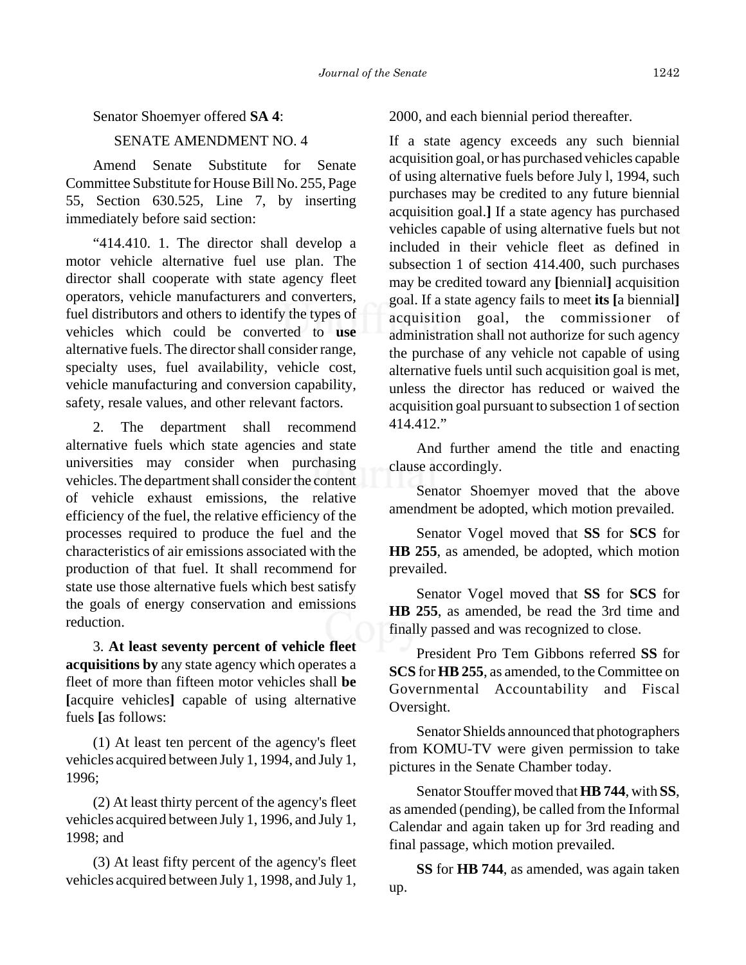Senator Shoemyer offered **SA 4**:

# SENATE AMENDMENT NO. 4

Amend Senate Substitute for Senate Committee Substitute for House Bill No. 255, Page 55, Section 630.525, Line 7, by inserting immediately before said section:

"414.410. 1. The director shall develop a motor vehicle alternative fuel use plan. The director shall cooperate with state agency fleet operators, vehicle manufacturers and converters, fuel distributors and others to identify the types of vehicles which could be converted to **use** alternative fuels. The director shall consider range, specialty uses, fuel availability, vehicle cost, vehicle manufacturing and conversion capability, safety, resale values, and other relevant factors.

2. The department shall recommend alternative fuels which state agencies and state universities may consider when purchasing vehicles. The department shall consider the content of vehicle exhaust emissions, the relative efficiency of the fuel, the relative efficiency of the processes required to produce the fuel and the characteristics of air emissions associated with the production of that fuel. It shall recommend for state use those alternative fuels which best satisfy the goals of energy conservation and emissions reduction.

3. **At least seventy percent of vehicle fleet acquisitions by** any state agency which operates a fleet of more than fifteen motor vehicles shall **be [**acquire vehicles**]** capable of using alternative fuels **[**as follows:

(1) At least ten percent of the agency's fleet vehicles acquired between July 1, 1994, and July 1, 1996;

(2) At least thirty percent of the agency's fleet vehicles acquired between July 1, 1996, and July 1, 1998; and

(3) At least fifty percent of the agency's fleet vehicles acquired between July 1, 1998, and July 1, 2000, and each biennial period thereafter.

If a state agency exceeds any such biennial acquisition goal, or has purchased vehicles capable of using alternative fuels before July l, 1994, such purchases may be credited to any future biennial acquisition goal.**]** If a state agency has purchased vehicles capable of using alternative fuels but not included in their vehicle fleet as defined in subsection 1 of section 414.400, such purchases may be credited toward any **[**biennial**]** acquisition goal. If a state agency fails to meet **its [**a biennial**]** acquisition goal, the commissioner of administration shall not authorize for such agency the purchase of any vehicle not capable of using alternative fuels until such acquisition goal is met, unless the director has reduced or waived the acquisition goal pursuant to subsection 1 of section 414.412."

And further amend the title and enacting clause accordingly.

Senator Shoemyer moved that the above amendment be adopted, which motion prevailed.

Senator Vogel moved that **SS** for **SCS** for **HB 255**, as amended, be adopted, which motion prevailed.

Senator Vogel moved that **SS** for **SCS** for **HB 255**, as amended, be read the 3rd time and finally passed and was recognized to close.

President Pro Tem Gibbons referred **SS** for **SCS** for **HB 255**, as amended, to the Committee on Governmental Accountability and Fiscal Oversight.

Senator Shields announced that photographers from KOMU-TV were given permission to take pictures in the Senate Chamber today.

Senator Stouffer moved that **HB 744**, with **SS**, as amended (pending), be called from the Informal Calendar and again taken up for 3rd reading and final passage, which motion prevailed.

**SS** for **HB 744**, as amended, was again taken up.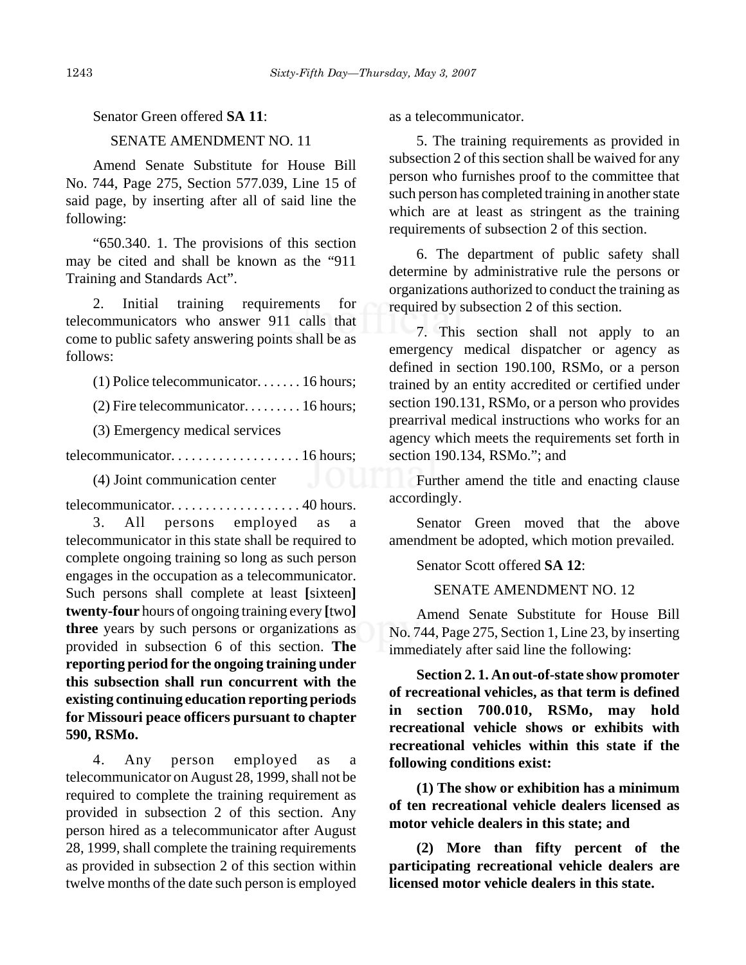## Senator Green offered **SA 11**:

## SENATE AMENDMENT NO. 11

Amend Senate Substitute for House Bill No. 744, Page 275, Section 577.039, Line 15 of said page, by inserting after all of said line the following:

"650.340. 1. The provisions of this section may be cited and shall be known as the "911 Training and Standards Act".

2. Initial training requirements for telecommunicators who answer 911 calls that come to public safety answering points shall be as follows:

(1) Police telecommunicator. . . . . . . 16 hours;

(2) Fire telecommunicator. . . . . . . . . 16 hours;

(3) Emergency medical services

telecommunicator. . . . . . . . . . . . . . . . . . . 16 hours;

(4) Joint communication center

telecommunicator. . . . . . . . . . . . . . . . . . . 40 hours.

3. All persons employed as a telecommunicator in this state shall be required to complete ongoing training so long as such person engages in the occupation as a telecommunicator. Such persons shall complete at least [sixteen] **twenty-four** hours of ongoing training every **[**two**] three** years by such persons or organizations as provided in subsection 6 of this section. **The reporting period for the ongoing training under this subsection shall run concurrent with the existing continuing education reporting periods for Missouri peace officers pursuant to chapter 590, RSMo.**

4. Any person employed as a telecommunicator on August 28, 1999, shall not be required to complete the training requirement as provided in subsection 2 of this section. Any person hired as a telecommunicator after August 28, 1999, shall complete the training requirements as provided in subsection 2 of this section within twelve months of the date such person is employed as a telecommunicator.

5. The training requirements as provided in subsection 2 of this section shall be waived for any person who furnishes proof to the committee that such person has completed training in another state which are at least as stringent as the training requirements of subsection 2 of this section.

6. The department of public safety shall determine by administrative rule the persons or organizations authorized to conduct the training as required by subsection 2 of this section.

7. This section shall not apply to an emergency medical dispatcher or agency as defined in section 190.100, RSMo, or a person trained by an entity accredited or certified under section 190.131, RSMo, or a person who provides prearrival medical instructions who works for an agency which meets the requirements set forth in section 190.134, RSMo."; and

Further amend the title and enacting clause accordingly.

Senator Green moved that the above amendment be adopted, which motion prevailed.

Senator Scott offered **SA 12**:

SENATE AMENDMENT NO. 12

Amend Senate Substitute for House Bill No. 744, Page 275, Section 1, Line 23, by inserting immediately after said line the following:

**Section 2. 1. An out-of-state show promoter of recreational vehicles, as that term is defined in section 700.010, RSMo, may hold recreational vehicle shows or exhibits with recreational vehicles within this state if the following conditions exist:**

**(1) The show or exhibition has a minimum of ten recreational vehicle dealers licensed as motor vehicle dealers in this state; and**

**(2) More than fifty percent of the participating recreational vehicle dealers are licensed motor vehicle dealers in this state.**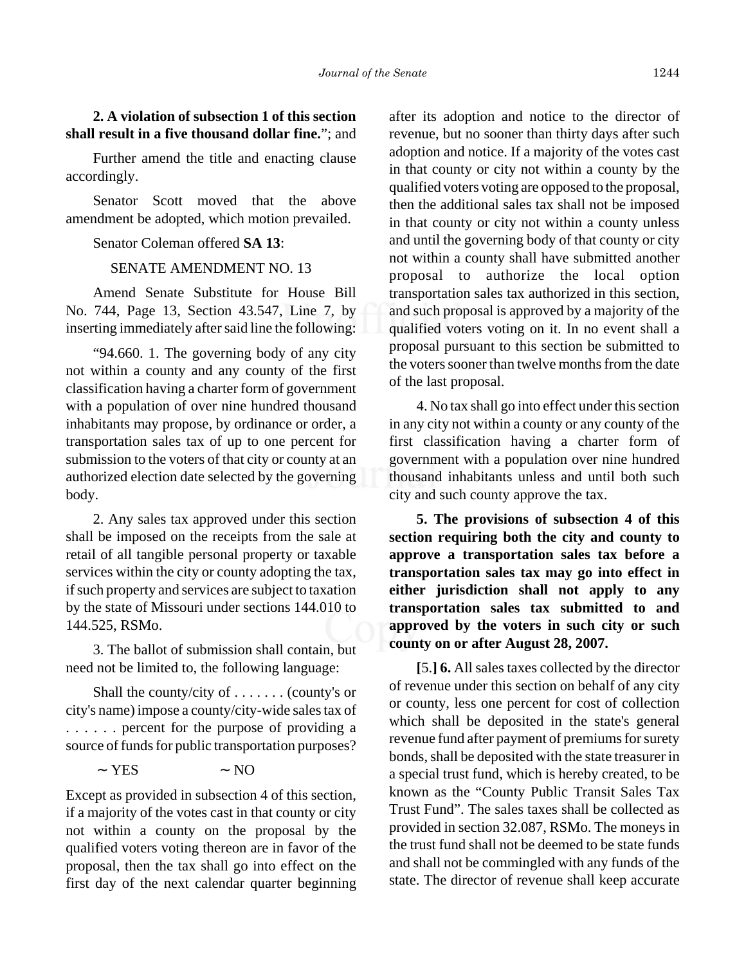# **2. A violation of subsection 1 of this section shall result in a five thousand dollar fine.**"; and

Further amend the title and enacting clause accordingly.

Senator Scott moved that the above amendment be adopted, which motion prevailed.

## Senator Coleman offered **SA 13**:

## SENATE AMENDMENT NO. 13

Amend Senate Substitute for House Bill No. 744, Page 13, Section 43.547, Line 7, by inserting immediately after said line the following:

"94.660. 1. The governing body of any city not within a county and any county of the first classification having a charter form of government with a population of over nine hundred thousand inhabitants may propose, by ordinance or order, a transportation sales tax of up to one percent for submission to the voters of that city or county at an authorized election date selected by the governing body.

2. Any sales tax approved under this section shall be imposed on the receipts from the sale at retail of all tangible personal property or taxable services within the city or county adopting the tax, if such property and services are subject to taxation by the state of Missouri under sections 144.010 to 144.525, RSMo.

3. The ballot of submission shall contain, but need not be limited to, the following language:

Shall the county/city of . . . . . . . (county's or city's name) impose a county/city-wide sales tax of . . . . . . percent for the purpose of providing a source of funds for public transportation purposes?

## $\sim$  YES  $\sim$  NO

Except as provided in subsection 4 of this section, if a majority of the votes cast in that county or city not within a county on the proposal by the qualified voters voting thereon are in favor of the proposal, then the tax shall go into effect on the first day of the next calendar quarter beginning after its adoption and notice to the director of revenue, but no sooner than thirty days after such adoption and notice. If a majority of the votes cast in that county or city not within a county by the qualified voters voting are opposed to the proposal, then the additional sales tax shall not be imposed in that county or city not within a county unless and until the governing body of that county or city not within a county shall have submitted another proposal to authorize the local option transportation sales tax authorized in this section, and such proposal is approved by a majority of the qualified voters voting on it. In no event shall a proposal pursuant to this section be submitted to the voters sooner than twelve months from the date of the last proposal.

4. No tax shall go into effect under this section in any city not within a county or any county of the first classification having a charter form of government with a population over nine hundred thousand inhabitants unless and until both such city and such county approve the tax.

**5. The provisions of subsection 4 of this section requiring both the city and county to approve a transportation sales tax before a transportation sales tax may go into effect in either jurisdiction shall not apply to any transportation sales tax submitted to and approved by the voters in such city or such county on or after August 28, 2007.**

**[**5.**] 6.** All sales taxes collected by the director of revenue under this section on behalf of any city or county, less one percent for cost of collection which shall be deposited in the state's general revenue fund after payment of premiums for surety bonds, shall be deposited with the state treasurer in a special trust fund, which is hereby created, to be known as the "County Public Transit Sales Tax Trust Fund". The sales taxes shall be collected as provided in section 32.087, RSMo. The moneys in the trust fund shall not be deemed to be state funds and shall not be commingled with any funds of the state. The director of revenue shall keep accurate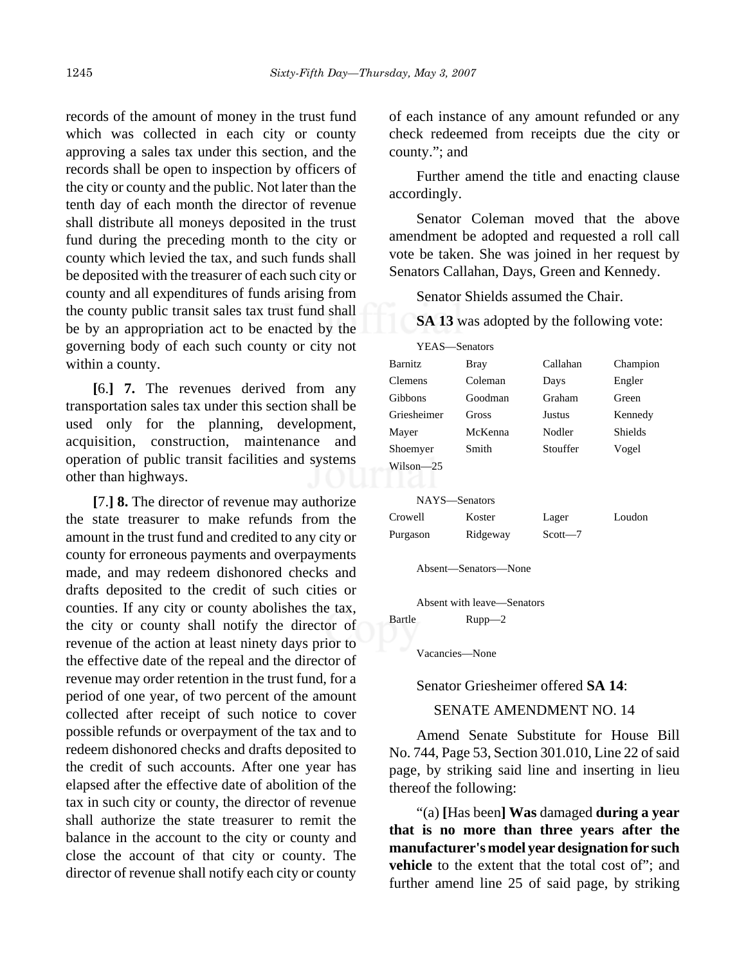records of the amount of money in the trust fund which was collected in each city or county approving a sales tax under this section, and the records shall be open to inspection by officers of the city or county and the public. Not later than the tenth day of each month the director of revenue shall distribute all moneys deposited in the trust fund during the preceding month to the city or county which levied the tax, and such funds shall be deposited with the treasurer of each such city or county and all expenditures of funds arising from the county public transit sales tax trust fund shall be by an appropriation act to be enacted by the governing body of each such county or city not within a county.

**[**6.**] 7.** The revenues derived from any transportation sales tax under this section shall be used only for the planning, development, acquisition, construction, maintenance and operation of public transit facilities and systems other than highways.

**[**7.**] 8.** The director of revenue may authorize the state treasurer to make refunds from the amount in the trust fund and credited to any city or county for erroneous payments and overpayments made, and may redeem dishonored checks and drafts deposited to the credit of such cities or counties. If any city or county abolishes the tax, the city or county shall notify the director of revenue of the action at least ninety days prior to the effective date of the repeal and the director of revenue may order retention in the trust fund, for a period of one year, of two percent of the amount collected after receipt of such notice to cover possible refunds or overpayment of the tax and to redeem dishonored checks and drafts deposited to the credit of such accounts. After one year has elapsed after the effective date of abolition of the tax in such city or county, the director of revenue shall authorize the state treasurer to remit the balance in the account to the city or county and close the account of that city or county. The director of revenue shall notify each city or county of each instance of any amount refunded or any check redeemed from receipts due the city or county."; and

Further amend the title and enacting clause accordingly.

Senator Coleman moved that the above amendment be adopted and requested a roll call vote be taken. She was joined in her request by Senators Callahan, Days, Green and Kennedy.

Senator Shields assumed the Chair.

**SA 13** was adopted by the following vote:

| YEAS—Senators  |          |             |          |
|----------------|----------|-------------|----------|
| <b>Barnitz</b> | Bray     | Callahan    | Champion |
| <b>Clemens</b> | Coleman  | Days        | Engler   |
| Gibbons        | Goodman  | Graham      | Green    |
| Griesheimer    | Gross    | Justus      | Kennedy  |
| Mayer          | McKenna  | Nodler      | Shields  |
| Shoemyer       | Smith    | Stouffer    | Vogel    |
| Wilson—25      |          |             |          |
| NAYS—Senators  |          |             |          |
| Crowell        | Koster   | Lager       | Loudon   |
| Purgason       | Ridgeway | $Scott - 7$ |          |

Absent—Senators—None

Absent with leave—Senators

Bartle Rupp—2

Vacancies—None

#### Senator Griesheimer offered **SA 14**:

## SENATE AMENDMENT NO. 14

Amend Senate Substitute for House Bill No. 744, Page 53, Section 301.010, Line 22 of said page, by striking said line and inserting in lieu thereof the following:

"(a) **[**Has been**] Was** damaged **during a year that is no more than three years after the manufacturer's model year designation for such vehicle** to the extent that the total cost of"; and further amend line 25 of said page, by striking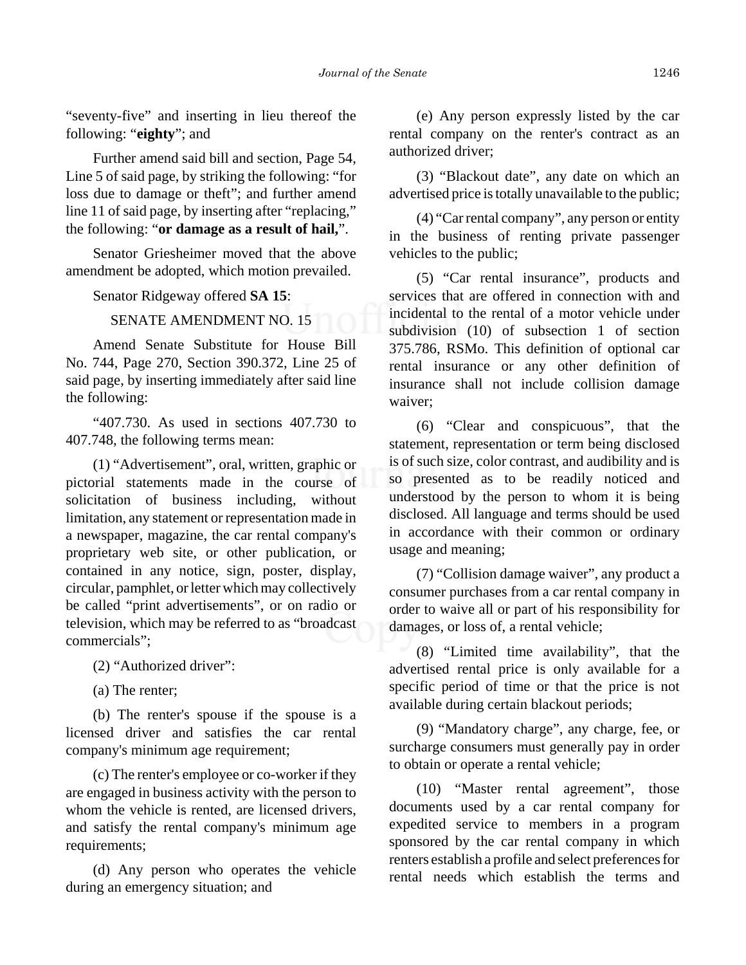"seventy-five" and inserting in lieu thereof the following: "**eighty**"; and

Further amend said bill and section, Page 54, Line 5 of said page, by striking the following: "for loss due to damage or theft"; and further amend line 11 of said page, by inserting after "replacing," the following: "**or damage as a result of hail,**".

Senator Griesheimer moved that the above amendment be adopted, which motion prevailed.

Senator Ridgeway offered **SA 15**:

## SENATE AMENDMENT NO. 15

Amend Senate Substitute for House Bill No. 744, Page 270, Section 390.372, Line 25 of said page, by inserting immediately after said line the following:

"407.730. As used in sections 407.730 to 407.748, the following terms mean:

(1) "Advertisement", oral, written, graphic or pictorial statements made in the course of solicitation of business including, without limitation, any statement or representation made in a newspaper, magazine, the car rental company's proprietary web site, or other publication, or contained in any notice, sign, poster, display, circular, pamphlet, or letter which may collectively be called "print advertisements", or on radio or television, which may be referred to as "broadcast commercials";

(2) "Authorized driver":

(a) The renter;

(b) The renter's spouse if the spouse is a licensed driver and satisfies the car rental company's minimum age requirement;

(c) The renter's employee or co-worker if they are engaged in business activity with the person to whom the vehicle is rented, are licensed drivers, and satisfy the rental company's minimum age requirements;

(d) Any person who operates the vehicle during an emergency situation; and

(e) Any person expressly listed by the car rental company on the renter's contract as an authorized driver;

(3) "Blackout date", any date on which an advertised price is totally unavailable to the public;

(4) "Car rental company", any person or entity in the business of renting private passenger vehicles to the public;

(5) "Car rental insurance", products and services that are offered in connection with and incidental to the rental of a motor vehicle under subdivision (10) of subsection 1 of section 375.786, RSMo. This definition of optional car rental insurance or any other definition of insurance shall not include collision damage waiver;

(6) "Clear and conspicuous", that the statement, representation or term being disclosed is of such size, color contrast, and audibility and is so presented as to be readily noticed and understood by the person to whom it is being disclosed. All language and terms should be used in accordance with their common or ordinary usage and meaning;

(7) "Collision damage waiver", any product a consumer purchases from a car rental company in order to waive all or part of his responsibility for damages, or loss of, a rental vehicle;

(8) "Limited time availability", that the advertised rental price is only available for a specific period of time or that the price is not available during certain blackout periods;

(9) "Mandatory charge", any charge, fee, or surcharge consumers must generally pay in order to obtain or operate a rental vehicle;

(10) "Master rental agreement", those documents used by a car rental company for expedited service to members in a program sponsored by the car rental company in which renters establish a profile and select preferences for rental needs which establish the terms and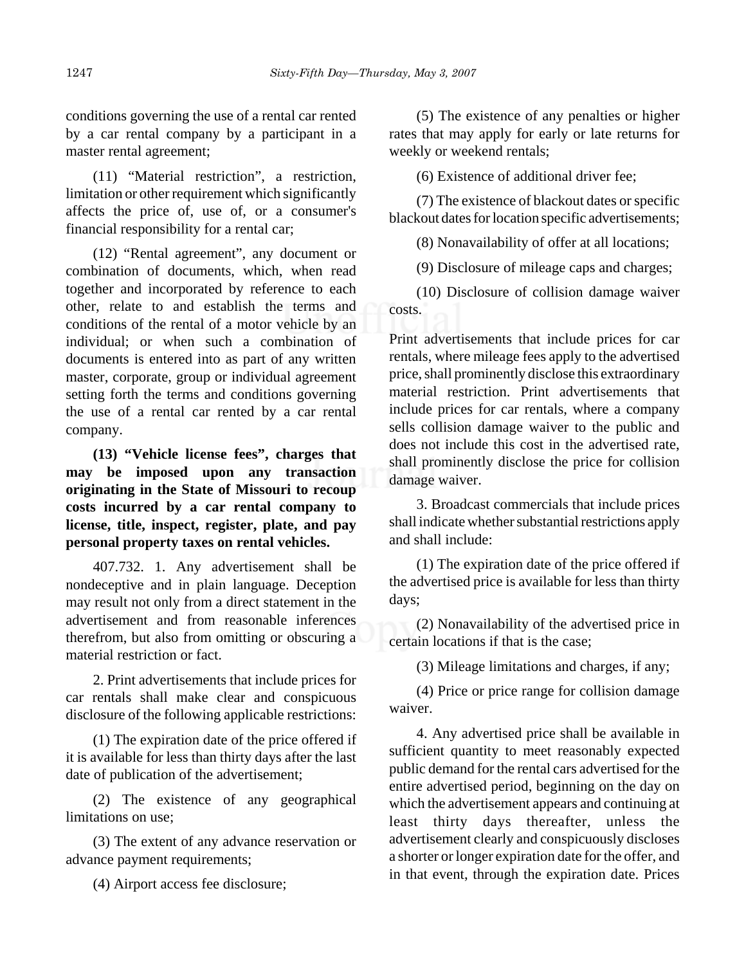conditions governing the use of a rental car rented by a car rental company by a participant in a master rental agreement;

(11) "Material restriction", a restriction, limitation or other requirement which significantly affects the price of, use of, or a consumer's financial responsibility for a rental car;

(12) "Rental agreement", any document or combination of documents, which, when read together and incorporated by reference to each other, relate to and establish the terms and conditions of the rental of a motor vehicle by an individual; or when such a combination of documents is entered into as part of any written master, corporate, group or individual agreement setting forth the terms and conditions governing the use of a rental car rented by a car rental company.

**(13) "Vehicle license fees", charges that may be imposed upon any transaction originating in the State of Missouri to recoup costs incurred by a car rental company to license, title, inspect, register, plate, and pay personal property taxes on rental vehicles.**

407.732. 1. Any advertisement shall be nondeceptive and in plain language. Deception may result not only from a direct statement in the advertisement and from reasonable inferences therefrom, but also from omitting or obscuring a material restriction or fact.

2. Print advertisements that include prices for car rentals shall make clear and conspicuous disclosure of the following applicable restrictions:

(1) The expiration date of the price offered if it is available for less than thirty days after the last date of publication of the advertisement;

(2) The existence of any geographical limitations on use;

(3) The extent of any advance reservation or advance payment requirements;

(4) Airport access fee disclosure;

(5) The existence of any penalties or higher rates that may apply for early or late returns for weekly or weekend rentals;

(6) Existence of additional driver fee;

(7) The existence of blackout dates or specific blackout dates for location specific advertisements;

(8) Nonavailability of offer at all locations;

(9) Disclosure of mileage caps and charges;

(10) Disclosure of collision damage waiver costs.

Print advertisements that include prices for car rentals, where mileage fees apply to the advertised price, shall prominently disclose this extraordinary material restriction. Print advertisements that include prices for car rentals, where a company sells collision damage waiver to the public and does not include this cost in the advertised rate, shall prominently disclose the price for collision damage waiver.

3. Broadcast commercials that include prices shall indicate whether substantial restrictions apply and shall include:

(1) The expiration date of the price offered if the advertised price is available for less than thirty days;

(2) Nonavailability of the advertised price in certain locations if that is the case;

(3) Mileage limitations and charges, if any;

(4) Price or price range for collision damage waiver.

4. Any advertised price shall be available in sufficient quantity to meet reasonably expected public demand for the rental cars advertised for the entire advertised period, beginning on the day on which the advertisement appears and continuing at least thirty days thereafter, unless the advertisement clearly and conspicuously discloses a shorter or longer expiration date for the offer, and in that event, through the expiration date. Prices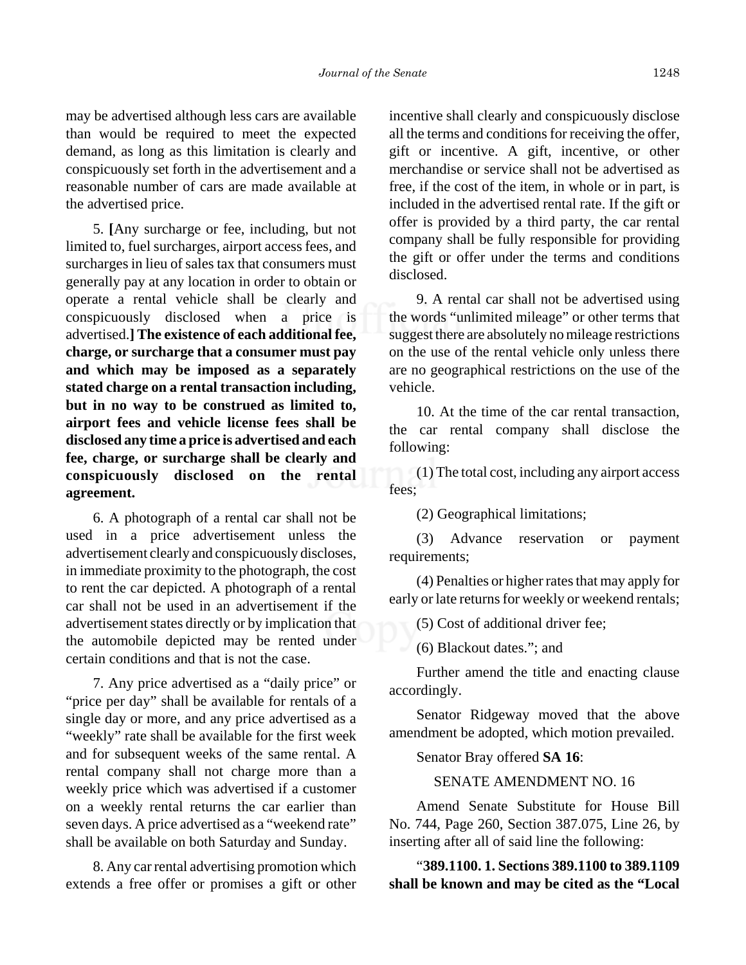may be advertised although less cars are available than would be required to meet the expected demand, as long as this limitation is clearly and conspicuously set forth in the advertisement and a reasonable number of cars are made available at the advertised price.

5. **[**Any surcharge or fee, including, but not limited to, fuel surcharges, airport access fees, and surcharges in lieu of sales tax that consumers must generally pay at any location in order to obtain or operate a rental vehicle shall be clearly and conspicuously disclosed when a price is advertised.**] The existence of each additional fee, charge, or surcharge that a consumer must pay and which may be imposed as a separately stated charge on a rental transaction including, but in no way to be construed as limited to, airport fees and vehicle license fees shall be disclosed any time a price is advertised and each fee, charge, or surcharge shall be clearly and conspicuously disclosed on the rental agreement.**

6. A photograph of a rental car shall not be used in a price advertisement unless the advertisement clearly and conspicuously discloses, in immediate proximity to the photograph, the cost to rent the car depicted. A photograph of a rental car shall not be used in an advertisement if the advertisement states directly or by implication that the automobile depicted may be rented under certain conditions and that is not the case.

7. Any price advertised as a "daily price" or "price per day" shall be available for rentals of a single day or more, and any price advertised as a "weekly" rate shall be available for the first week and for subsequent weeks of the same rental. A rental company shall not charge more than a weekly price which was advertised if a customer on a weekly rental returns the car earlier than seven days. A price advertised as a "weekend rate" shall be available on both Saturday and Sunday.

8. Any car rental advertising promotion which extends a free offer or promises a gift or other incentive shall clearly and conspicuously disclose all the terms and conditions for receiving the offer, gift or incentive. A gift, incentive, or other merchandise or service shall not be advertised as free, if the cost of the item, in whole or in part, is included in the advertised rental rate. If the gift or offer is provided by a third party, the car rental company shall be fully responsible for providing the gift or offer under the terms and conditions disclosed.

9. A rental car shall not be advertised using the words "unlimited mileage" or other terms that suggest there are absolutely no mileage restrictions on the use of the rental vehicle only unless there are no geographical restrictions on the use of the vehicle.

10. At the time of the car rental transaction, the car rental company shall disclose the following:

(1) The total cost, including any airport access fees;

(2) Geographical limitations;

(3) Advance reservation or payment requirements;

(4) Penalties or higher rates that may apply for early or late returns for weekly or weekend rentals;

(5) Cost of additional driver fee;

(6) Blackout dates."; and

Further amend the title and enacting clause accordingly.

Senator Ridgeway moved that the above amendment be adopted, which motion prevailed.

Senator Bray offered **SA 16**:

SENATE AMENDMENT NO. 16

Amend Senate Substitute for House Bill No. 744, Page 260, Section 387.075, Line 26, by inserting after all of said line the following:

"**389.1100. 1. Sections 389.1100 to 389.1109 shall be known and may be cited as the "Local**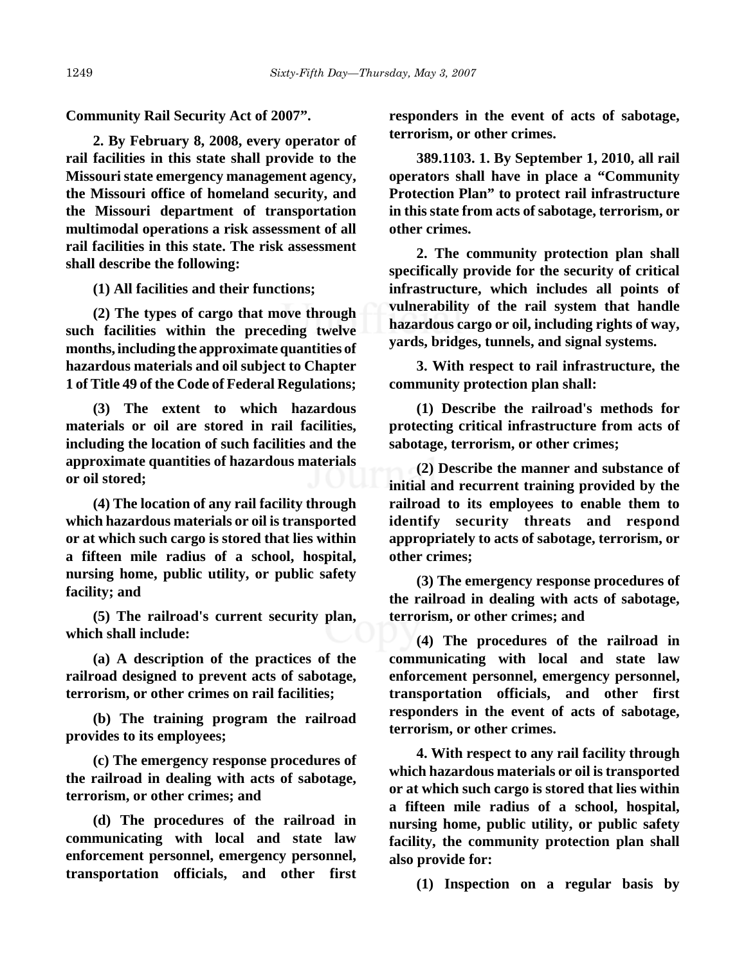**Community Rail Security Act of 2007".**

**2. By February 8, 2008, every operator of rail facilities in this state shall provide to the Missouri state emergency management agency, the Missouri office of homeland security, and the Missouri department of transportation multimodal operations a risk assessment of all rail facilities in this state. The risk assessment shall describe the following:**

**(1) All facilities and their functions;**

**(2) The types of cargo that move through such facilities within the preceding twelve months, including the approximate quantities of hazardous materials and oil subject to Chapter 1 of Title 49 of the Code of Federal Regulations;**

**(3) The extent to which hazardous materials or oil are stored in rail facilities, including the location of such facilities and the approximate quantities of hazardous materials or oil stored;**

**(4) The location of any rail facility through which hazardous materials or oil is transported or at which such cargo is stored that lies within a fifteen mile radius of a school, hospital, nursing home, public utility, or public safety facility; and**

**(5) The railroad's current security plan, which shall include:**

**(a) A description of the practices of the railroad designed to prevent acts of sabotage, terrorism, or other crimes on rail facilities;**

**(b) The training program the railroad provides to its employees;**

**(c) The emergency response procedures of the railroad in dealing with acts of sabotage, terrorism, or other crimes; and**

**(d) The procedures of the railroad in communicating with local and state law enforcement personnel, emergency personnel, transportation officials, and other first** **responders in the event of acts of sabotage, terrorism, or other crimes.**

**389.1103. 1. By September 1, 2010, all rail operators shall have in place a "Community Protection Plan" to protect rail infrastructure in this state from acts of sabotage, terrorism, or other crimes.**

**2. The community protection plan shall specifically provide for the security of critical infrastructure, which includes all points of vulnerability of the rail system that handle hazardous cargo or oil, including rights of way, yards, bridges, tunnels, and signal systems.**

**3. With respect to rail infrastructure, the community protection plan shall:**

**(1) Describe the railroad's methods for protecting critical infrastructure from acts of sabotage, terrorism, or other crimes;**

**(2) Describe the manner and substance of initial and recurrent training provided by the railroad to its employees to enable them to identify security threats and respond appropriately to acts of sabotage, terrorism, or other crimes;**

**(3) The emergency response procedures of the railroad in dealing with acts of sabotage, terrorism, or other crimes; and**

**(4) The procedures of the railroad in communicating with local and state law enforcement personnel, emergency personnel, transportation officials, and other first responders in the event of acts of sabotage, terrorism, or other crimes.**

**4. With respect to any rail facility through which hazardous materials or oil is transported or at which such cargo is stored that lies within a fifteen mile radius of a school, hospital, nursing home, public utility, or public safety facility, the community protection plan shall also provide for:**

**(1) Inspection on a regular basis by**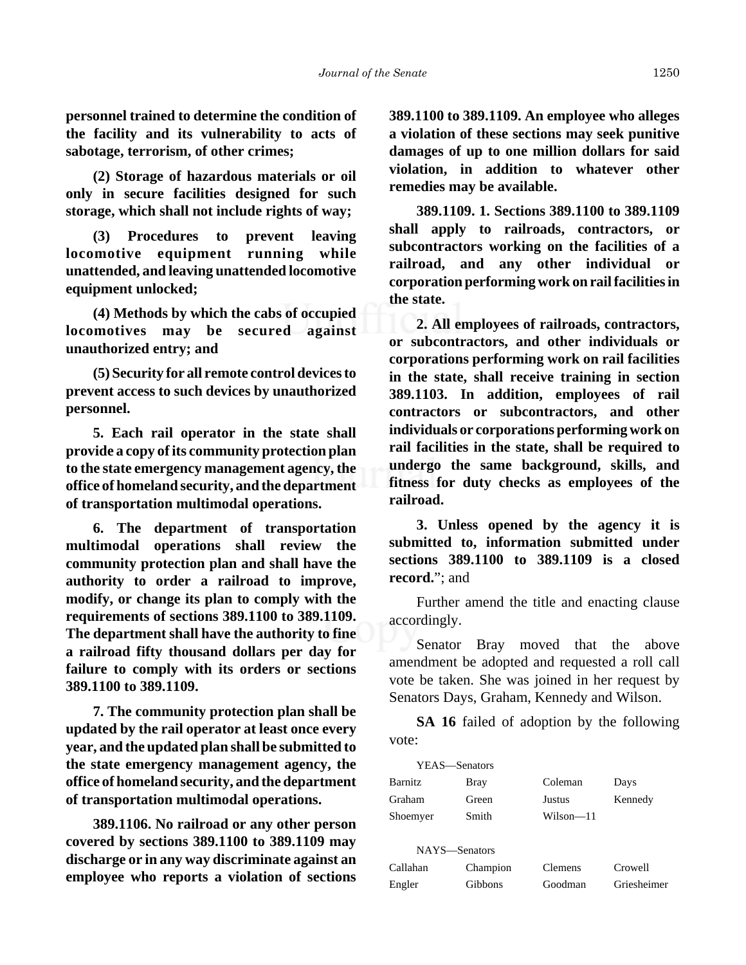**personnel trained to determine the condition of the facility and its vulnerability to acts of sabotage, terrorism, of other crimes;**

**(2) Storage of hazardous materials or oil only in secure facilities designed for such storage, which shall not include rights of way;**

**(3) Procedures to prevent leaving locomotive equipment running while unattended, and leaving unattended locomotive equipment unlocked;**

**(4) Methods by which the cabs of occupied locomotives may be secured against unauthorized entry; and**

**(5) Security for all remote control devices to prevent access to such devices by unauthorized personnel.**

**5. Each rail operator in the state shall provide a copy of its community protection plan to the state emergency management agency, the office of homeland security, and the department of transportation multimodal operations.**

**6. The department of transportation multimodal operations shall review the community protection plan and shall have the authority to order a railroad to improve, modify, or change its plan to comply with the requirements of sections 389.1100 to 389.1109. The department shall have the authority to fine a railroad fifty thousand dollars per day for failure to comply with its orders or sections 389.1100 to 389.1109.**

**7. The community protection plan shall be updated by the rail operator at least once every year, and the updated plan shall be submitted to the state emergency management agency, the office of homeland security, and the department of transportation multimodal operations.**

**389.1106. No railroad or any other person covered by sections 389.1100 to 389.1109 may discharge or in any way discriminate against an employee who reports a violation of sections**

**389.1100 to 389.1109. An employee who alleges a violation of these sections may seek punitive damages of up to one million dollars for said violation, in addition to whatever other remedies may be available.**

**389.1109. 1. Sections 389.1100 to 389.1109 shall apply to railroads, contractors, or subcontractors working on the facilities of a railroad, and any other individual or corporation performing work on rail facilities in the state.**

**2. All employees of railroads, contractors, or subcontractors, and other individuals or corporations performing work on rail facilities in the state, shall receive training in section 389.1103. In addition, employees of rail contractors or subcontractors, and other individuals or corporations performing work on rail facilities in the state, shall be required to undergo the same background, skills, and fitness for duty checks as employees of the railroad.**

**3. Unless opened by the agency it is submitted to, information submitted under sections 389.1100 to 389.1109 is a closed record.**"; and

Further amend the title and enacting clause accordingly.

Senator Bray moved that the above amendment be adopted and requested a roll call vote be taken. She was joined in her request by Senators Days, Graham, Kennedy and Wilson.

**SA 16** failed of adoption by the following vote:

| YEAS—Senators  |          |                |             |
|----------------|----------|----------------|-------------|
| <b>Barnitz</b> | Bray     | Coleman        | Days        |
| Graham         | Green    | Justus         | Kennedy     |
| Shoemyer       | Smith    | Wilson—11      |             |
|                |          |                |             |
| NAYS—Senators  |          |                |             |
| Callahan       | Champion | <b>Clemens</b> | Crowell     |
| Engler         | Gibbons  | Goodman        | Griesheimer |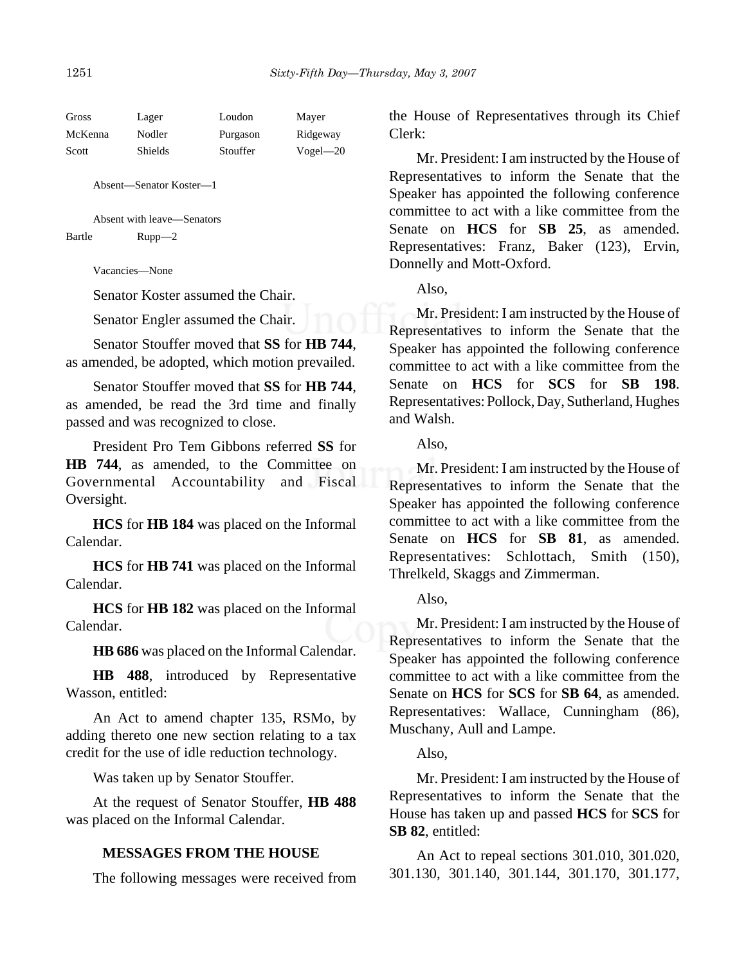| Gross   | Lager   | Loudon   | Mayer        |
|---------|---------|----------|--------------|
| McKenna | Nodler  | Purgason | Ridgeway     |
| Scott   | Shields | Stouffer | $Vogel - 20$ |

Absent—Senator Koster—1

Absent with leave—Senators Bartle Rupp—2

Vacancies—None

Senator Koster assumed the Chair.

Senator Engler assumed the Chair.

Senator Stouffer moved that **SS** for **HB 744**, as amended, be adopted, which motion prevailed.

Senator Stouffer moved that **SS** for **HB 744**, as amended, be read the 3rd time and finally passed and was recognized to close.

President Pro Tem Gibbons referred **SS** for **HB 744.** as amended, to the Committee on Governmental Accountability and Fiscal Oversight.

**HCS** for **HB 184** was placed on the Informal Calendar.

**HCS** for **HB 741** was placed on the Informal Calendar.

**HCS** for **HB 182** was placed on the Informal Calendar.

**HB 686** was placed on the Informal Calendar.

**HB 488**, introduced by Representative Wasson, entitled:

An Act to amend chapter 135, RSMo, by adding thereto one new section relating to a tax credit for the use of idle reduction technology.

Was taken up by Senator Stouffer.

At the request of Senator Stouffer, **HB 488** was placed on the Informal Calendar.

# **MESSAGES FROM THE HOUSE**

The following messages were received from

the House of Representatives through its Chief Clerk:

Mr. President: I am instructed by the House of Representatives to inform the Senate that the Speaker has appointed the following conference committee to act with a like committee from the Senate on **HCS** for **SB 25**, as amended. Representatives: Franz, Baker (123), Ervin, Donnelly and Mott-Oxford.

Also,

Mr. President: I am instructed by the House of Representatives to inform the Senate that the Speaker has appointed the following conference committee to act with a like committee from the Senate on **HCS** for **SCS** for **SB 198**. Representatives: Pollock, Day, Sutherland, Hughes and Walsh.

Also,

Mr. President: I am instructed by the House of Representatives to inform the Senate that the Speaker has appointed the following conference committee to act with a like committee from the Senate on **HCS** for **SB 81**, as amended. Representatives: Schlottach, Smith (150), Threlkeld, Skaggs and Zimmerman.

Also,

Mr. President: I am instructed by the House of Representatives to inform the Senate that the Speaker has appointed the following conference committee to act with a like committee from the Senate on **HCS** for **SCS** for **SB 64**, as amended. Representatives: Wallace, Cunningham (86), Muschany, Aull and Lampe.

Also,

Mr. President: I am instructed by the House of Representatives to inform the Senate that the House has taken up and passed **HCS** for **SCS** for **SB 82**, entitled:

An Act to repeal sections 301.010, 301.020, 301.130, 301.140, 301.144, 301.170, 301.177,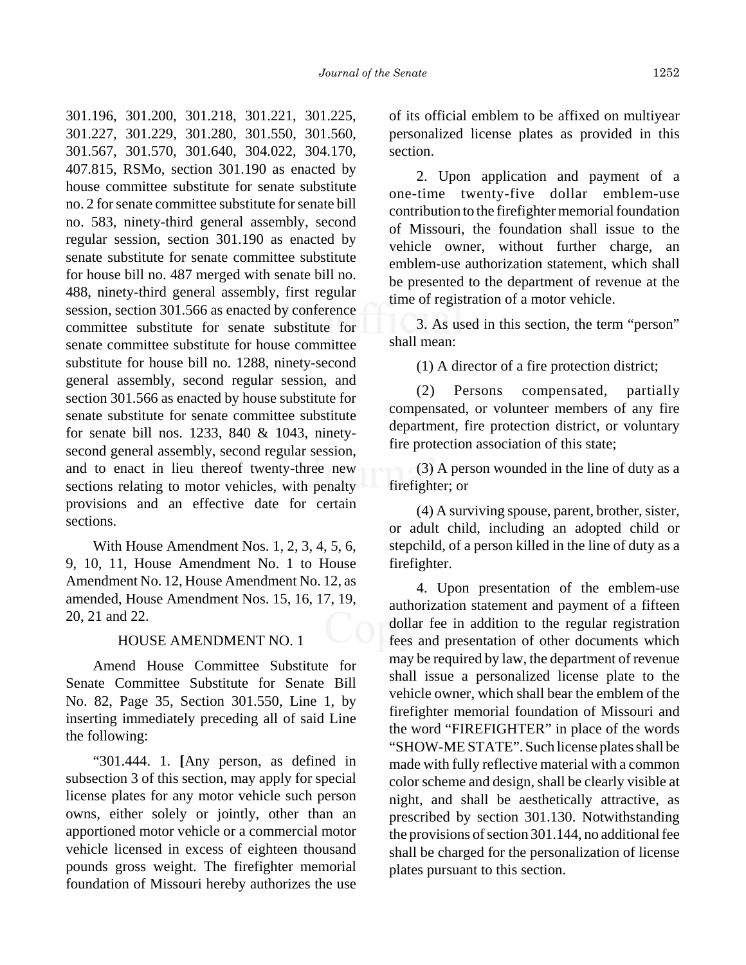301.196, 301.200, 301.218, 301.221, 301.225, 301.227, 301.229, 301.280, 301.550, 301.560, 301.567, 301.570, 301.640, 304.022, 304.170, 407.815, RSMo, section 301.190 as enacted by house committee substitute for senate substitute no. 2 for senate committee substitute for senate bill no. 583, ninety-third general assembly, second regular session, section 301.190 as enacted by senate substitute for senate committee substitute for house bill no. 487 merged with senate bill no. 488, ninety-third general assembly, first regular session, section 301.566 as enacted by conference committee substitute for senate substitute for senate committee substitute for house committee substitute for house bill no. 1288, ninety-second general assembly, second regular session, and section 301.566 as enacted by house substitute for senate substitute for senate committee substitute for senate bill nos. 1233, 840 & 1043, ninetysecond general assembly, second regular session, and to enact in lieu thereof twenty-three new sections relating to motor vehicles, with penalty provisions and an effective date for certain sections.

With House Amendment Nos. 1, 2, 3, 4, 5, 6, 9, 10, 11, House Amendment No. 1 to House Amendment No. 12, House Amendment No. 12, as amended, House Amendment Nos. 15, 16, 17, 19, 20, 21 and 22.

#### HOUSE AMENDMENT NO. 1

Amend House Committee Substitute for Senate Committee Substitute for Senate Bill No. 82, Page 35, Section 301.550, Line 1, by inserting immediately preceding all of said Line the following:

"301.444. 1. **[**Any person, as defined in subsection 3 of this section, may apply for special license plates for any motor vehicle such person owns, either solely or jointly, other than an apportioned motor vehicle or a commercial motor vehicle licensed in excess of eighteen thousand pounds gross weight. The firefighter memorial foundation of Missouri hereby authorizes the use

of its official emblem to be affixed on multiyear personalized license plates as provided in this section.

2. Upon application and payment of a one-time twenty-five dollar emblem-use contribution to the firefighter memorial foundation of Missouri, the foundation shall issue to the vehicle owner, without further charge, an emblem-use authorization statement, which shall be presented to the department of revenue at the time of registration of a motor vehicle.

3. As used in this section, the term "person" shall mean:

(1) A director of a fire protection district;

(2) Persons compensated, partially compensated, or volunteer members of any fire department, fire protection district, or voluntary fire protection association of this state;

(3) A person wounded in the line of duty as a firefighter; or

(4) A surviving spouse, parent, brother, sister, or adult child, including an adopted child or stepchild, of a person killed in the line of duty as a firefighter.

4. Upon presentation of the emblem-use authorization statement and payment of a fifteen dollar fee in addition to the regular registration fees and presentation of other documents which may be required by law, the department of revenue shall issue a personalized license plate to the vehicle owner, which shall bear the emblem of the firefighter memorial foundation of Missouri and the word "FIREFIGHTER" in place of the words "SHOW-ME STATE". Such license plates shall be made with fully reflective material with a common color scheme and design, shall be clearly visible at night, and shall be aesthetically attractive, as prescribed by section 301.130. Notwithstanding the provisions of section 301.144, no additional fee shall be charged for the personalization of license plates pursuant to this section.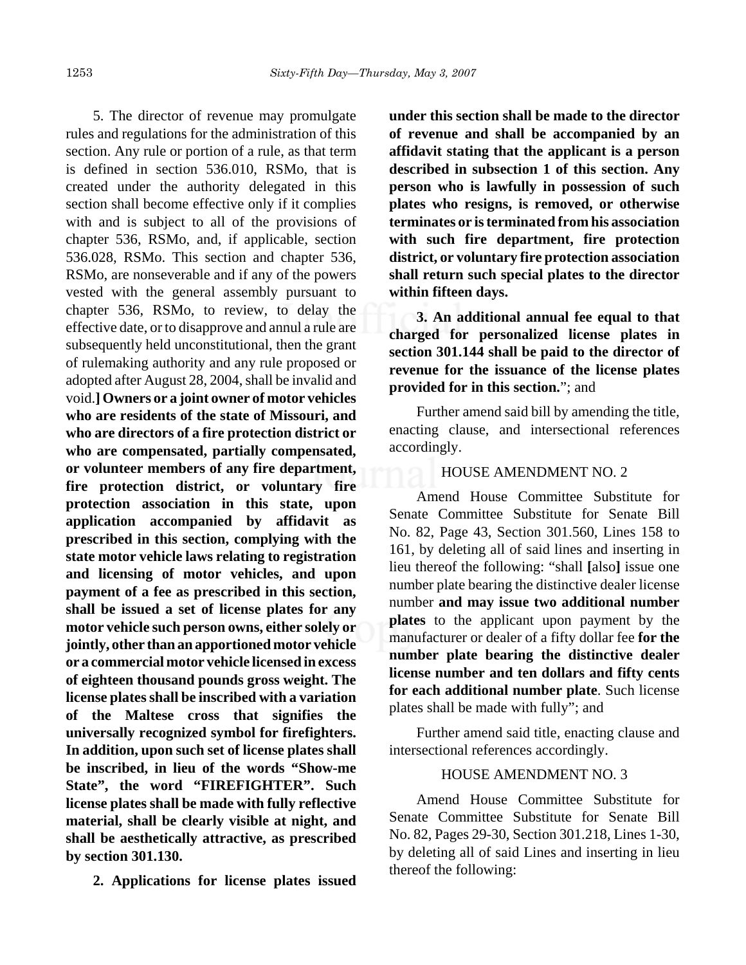5. The director of revenue may promulgate rules and regulations for the administration of this section. Any rule or portion of a rule, as that term is defined in section 536.010, RSMo, that is created under the authority delegated in this section shall become effective only if it complies with and is subject to all of the provisions of chapter 536, RSMo, and, if applicable, section 536.028, RSMo. This section and chapter 536, RSMo, are nonseverable and if any of the powers vested with the general assembly pursuant to chapter 536, RSMo, to review, to delay the effective date, or to disapprove and annul a rule are subsequently held unconstitutional, then the grant of rulemaking authority and any rule proposed or adopted after August 28, 2004, shall be invalid and void.**] Owners or a joint owner of motor vehicles who are residents of the state of Missouri, and who are directors of a fire protection district or who are compensated, partially compensated, or volunteer members of any fire department, fire protection district, or voluntary fire protection association in this state, upon application accompanied by affidavit as prescribed in this section, complying with the state motor vehicle laws relating to registration and licensing of motor vehicles, and upon payment of a fee as prescribed in this section, shall be issued a set of license plates for any motor vehicle such person owns, either solely or jointly, other than an apportioned motor vehicle or a commercial motor vehicle licensed in excess of eighteen thousand pounds gross weight. The license plates shall be inscribed with a variation of the Maltese cross that signifies the universally recognized symbol for firefighters. In addition, upon such set of license plates shall be inscribed, in lieu of the words "Show-me State", the word "FIREFIGHTER". Such license plates shall be made with fully reflective material, shall be clearly visible at night, and shall be aesthetically attractive, as prescribed by section 301.130.**

**2. Applications for license plates issued**

**under this section shall be made to the director of revenue and shall be accompanied by an affidavit stating that the applicant is a person described in subsection 1 of this section. Any person who is lawfully in possession of such plates who resigns, is removed, or otherwise terminates or is terminated from his association with such fire department, fire protection district, or voluntary fire protection association shall return such special plates to the director within fifteen days.**

**3. An additional annual fee equal to that charged for personalized license plates in section 301.144 shall be paid to the director of revenue for the issuance of the license plates provided for in this section.**"; and

Further amend said bill by amending the title, enacting clause, and intersectional references accordingly.

#### HOUSE AMENDMENT NO. 2

Amend House Committee Substitute for Senate Committee Substitute for Senate Bill No. 82, Page 43, Section 301.560, Lines 158 to 161, by deleting all of said lines and inserting in lieu thereof the following: "shall **[**also**]** issue one number plate bearing the distinctive dealer license number **and may issue two additional number plates** to the applicant upon payment by the manufacturer or dealer of a fifty dollar fee **for the number plate bearing the distinctive dealer license number and ten dollars and fifty cents for each additional number plate**. Such license plates shall be made with fully"; and

Further amend said title, enacting clause and intersectional references accordingly.

## HOUSE AMENDMENT NO. 3

Amend House Committee Substitute for Senate Committee Substitute for Senate Bill No. 82, Pages 29-30, Section 301.218, Lines 1-30, by deleting all of said Lines and inserting in lieu thereof the following: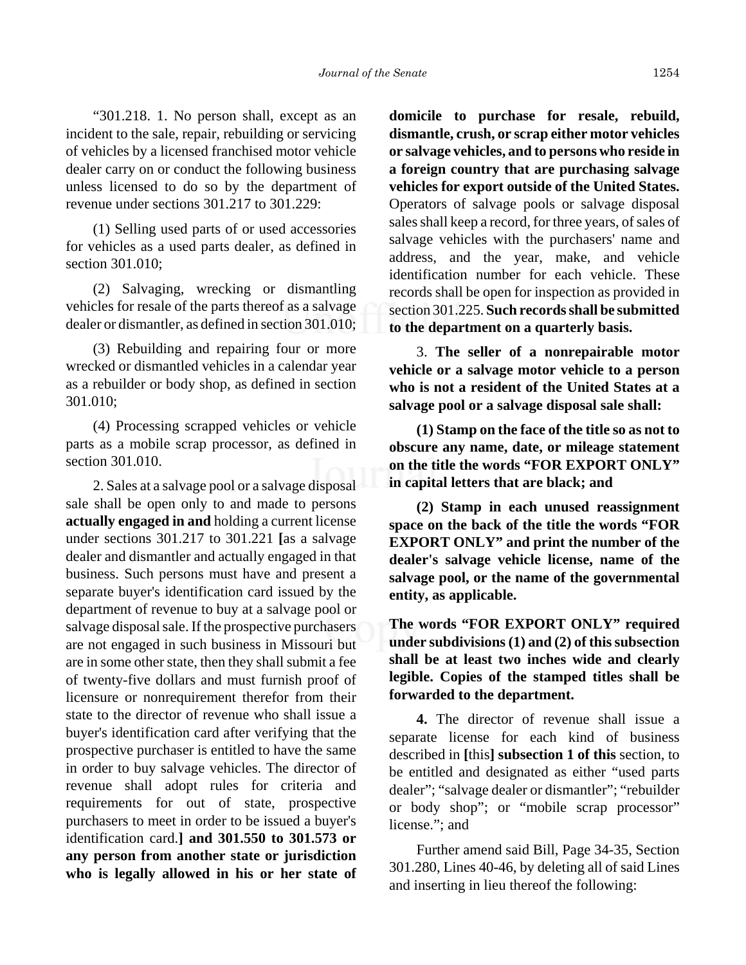"301.218. 1. No person shall, except as an incident to the sale, repair, rebuilding or servicing of vehicles by a licensed franchised motor vehicle dealer carry on or conduct the following business unless licensed to do so by the department of revenue under sections 301.217 to 301.229:

(1) Selling used parts of or used accessories for vehicles as a used parts dealer, as defined in section 301.010:

(2) Salvaging, wrecking or dismantling vehicles for resale of the parts thereof as a salvage dealer or dismantler, as defined in section 301.010;

(3) Rebuilding and repairing four or more wrecked or dismantled vehicles in a calendar year as a rebuilder or body shop, as defined in section 301.010;

(4) Processing scrapped vehicles or vehicle parts as a mobile scrap processor, as defined in section 301.010.

2. Sales at a salvage pool or a salvage disposal sale shall be open only to and made to persons **actually engaged in and** holding a current license under sections 301.217 to 301.221 **[**as a salvage dealer and dismantler and actually engaged in that business. Such persons must have and present a separate buyer's identification card issued by the department of revenue to buy at a salvage pool or salvage disposal sale. If the prospective purchasers are not engaged in such business in Missouri but are in some other state, then they shall submit a fee of twenty-five dollars and must furnish proof of licensure or nonrequirement therefor from their state to the director of revenue who shall issue a buyer's identification card after verifying that the prospective purchaser is entitled to have the same in order to buy salvage vehicles. The director of revenue shall adopt rules for criteria and requirements for out of state, prospective purchasers to meet in order to be issued a buyer's identification card.**] and 301.550 to 301.573 or any person from another state or jurisdiction who is legally allowed in his or her state of**

**domicile to purchase for resale, rebuild, dismantle, crush, or scrap either motor vehicles or salvage vehicles, and to persons who reside in a foreign country that are purchasing salvage vehicles for export outside of the United States.** Operators of salvage pools or salvage disposal sales shall keep a record, for three years, of sales of salvage vehicles with the purchasers' name and address, and the year, make, and vehicle identification number for each vehicle. These records shall be open for inspection as provided in section 301.225. **Such records shall be submitted to the department on a quarterly basis.**

3. **The seller of a nonrepairable motor vehicle or a salvage motor vehicle to a person who is not a resident of the United States at a salvage pool or a salvage disposal sale shall:**

**(1) Stamp on the face of the title so as not to obscure any name, date, or mileage statement on the title the words "FOR EXPORT ONLY" in capital letters that are black; and**

**(2) Stamp in each unused reassignment space on the back of the title the words "FOR EXPORT ONLY" and print the number of the dealer's salvage vehicle license, name of the salvage pool, or the name of the governmental entity, as applicable.**

**The words "FOR EXPORT ONLY" required under subdivisions (1) and (2) of this subsection shall be at least two inches wide and clearly legible. Copies of the stamped titles shall be forwarded to the department.**

**4.** The director of revenue shall issue a separate license for each kind of business described in **[**this**] subsection 1 of this** section, to be entitled and designated as either "used parts dealer"; "salvage dealer or dismantler"; "rebuilder or body shop"; or "mobile scrap processor" license."; and

Further amend said Bill, Page 34-35, Section 301.280, Lines 40-46, by deleting all of said Lines and inserting in lieu thereof the following: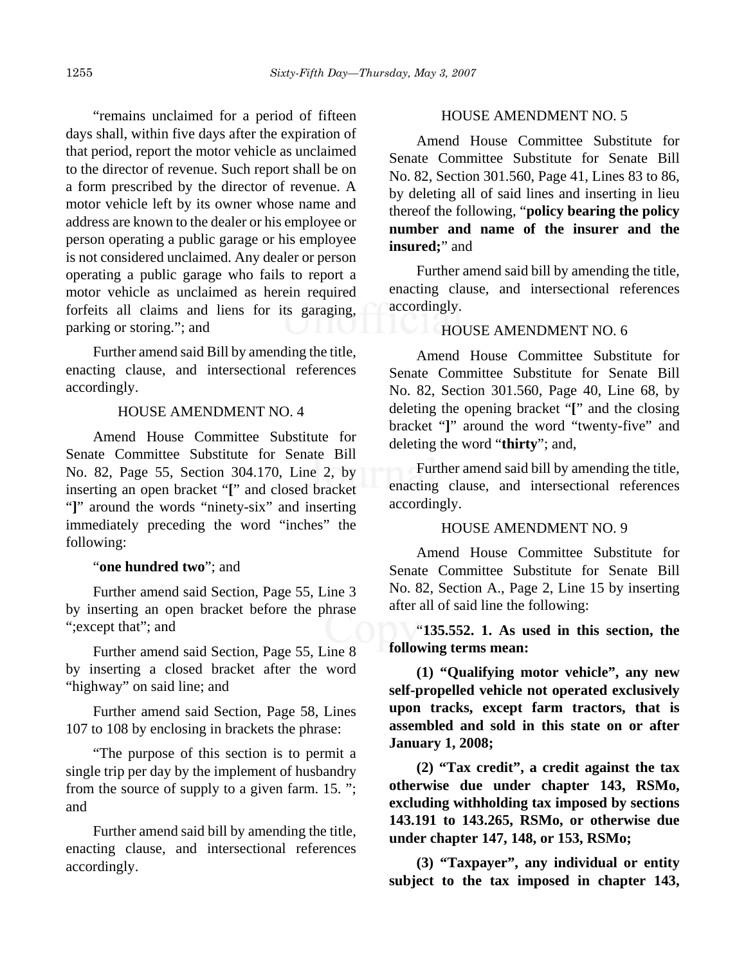"remains unclaimed for a period of fifteen days shall, within five days after the expiration of that period, report the motor vehicle as unclaimed to the director of revenue. Such report shall be on a form prescribed by the director of revenue. A motor vehicle left by its owner whose name and address are known to the dealer or his employee or person operating a public garage or his employee is not considered unclaimed. Any dealer or person operating a public garage who fails to report a motor vehicle as unclaimed as herein required forfeits all claims and liens for its garaging, parking or storing."; and

Further amend said Bill by amending the title, enacting clause, and intersectional references accordingly.

#### HOUSE AMENDMENT NO. 4

Amend House Committee Substitute for Senate Committee Substitute for Senate Bill No. 82, Page 55, Section 304.170, Line 2, by inserting an open bracket "**[**" and closed bracket "]" around the words "ninety-six" and inserting immediately preceding the word "inches" the following:

#### "**one hundred two**"; and

Further amend said Section, Page 55, Line 3 by inserting an open bracket before the phrase ";except that"; and

Further amend said Section, Page 55, Line 8 by inserting a closed bracket after the word "highway" on said line; and

Further amend said Section, Page 58, Lines 107 to 108 by enclosing in brackets the phrase:

"The purpose of this section is to permit a single trip per day by the implement of husbandry from the source of supply to a given farm. 15. "; and

Further amend said bill by amending the title, enacting clause, and intersectional references accordingly.

## HOUSE AMENDMENT NO. 5

Amend House Committee Substitute for Senate Committee Substitute for Senate Bill No. 82, Section 301.560, Page 41, Lines 83 to 86, by deleting all of said lines and inserting in lieu thereof the following, "**policy bearing the policy number and name of the insurer and the insured;**" and

Further amend said bill by amending the title, enacting clause, and intersectional references accordingly.

# HOUSE AMENDMENT NO. 6

Amend House Committee Substitute for Senate Committee Substitute for Senate Bill No. 82, Section 301.560, Page 40, Line 68, by deleting the opening bracket "**[**" and the closing bracket "**]**" around the word "twenty-five" and deleting the word "**thirty**"; and,

Further amend said bill by amending the title, enacting clause, and intersectional references accordingly.

# HOUSE AMENDMENT NO. 9

Amend House Committee Substitute for Senate Committee Substitute for Senate Bill No. 82, Section A., Page 2, Line 15 by inserting after all of said line the following:

"**135.552. 1. As used in this section, the following terms mean:**

**(1) "Qualifying motor vehicle", any new self-propelled vehicle not operated exclusively upon tracks, except farm tractors, that is assembled and sold in this state on or after January 1, 2008;**

**(2) "Tax credit", a credit against the tax otherwise due under chapter 143, RSMo, excluding withholding tax imposed by sections 143.191 to 143.265, RSMo, or otherwise due under chapter 147, 148, or 153, RSMo;**

**(3) "Taxpayer", any individual or entity subject to the tax imposed in chapter 143,**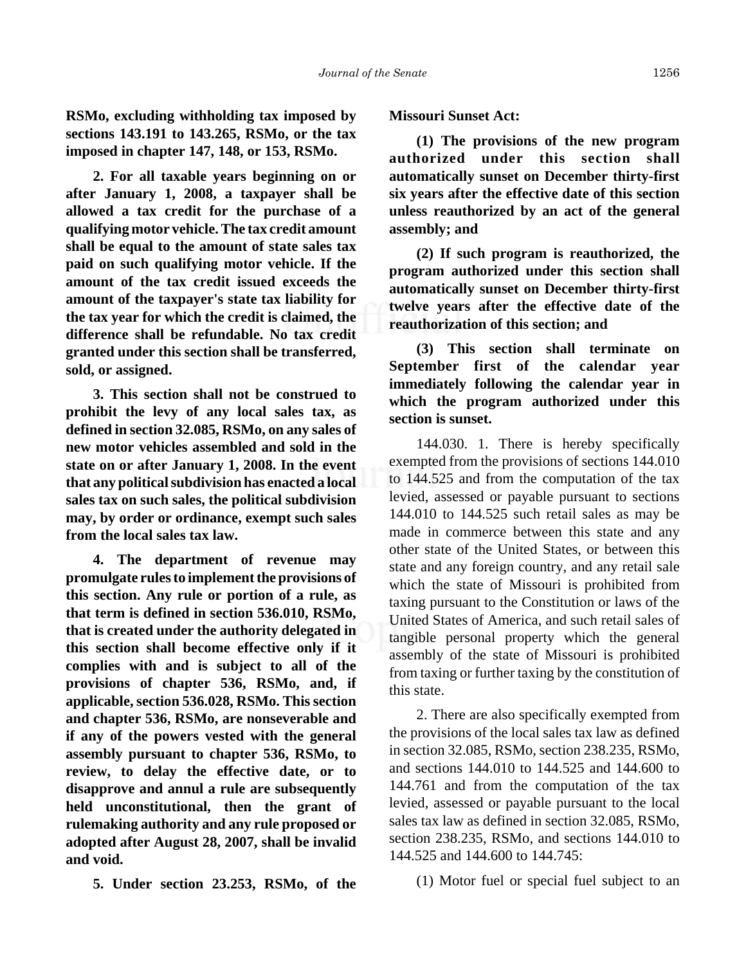**RSMo, excluding withholding tax imposed by sections 143.191 to 143.265, RSMo, or the tax imposed in chapter 147, 148, or 153, RSMo.**

**2. For all taxable years beginning on or after January 1, 2008, a taxpayer shall be allowed a tax credit for the purchase of a qualifying motor vehicle. The tax credit amount shall be equal to the amount of state sales tax paid on such qualifying motor vehicle. If the amount of the tax credit issued exceeds the amount of the taxpayer's state tax liability for the tax year for which the credit is claimed, the difference shall be refundable. No tax credit granted under this section shall be transferred, sold, or assigned.**

**3. This section shall not be construed to prohibit the levy of any local sales tax, as defined in section 32.085, RSMo, on any sales of new motor vehicles assembled and sold in the state on or after January 1, 2008. In the event that any political subdivision has enacted a local sales tax on such sales, the political subdivision may, by order or ordinance, exempt such sales from the local sales tax law.**

**4. The department of revenue may promulgate rules to implement the provisions of this section. Any rule or portion of a rule, as that term is defined in section 536.010, RSMo, that is created under the authority delegated in this section shall become effective only if it complies with and is subject to all of the provisions of chapter 536, RSMo, and, if applicable, section 536.028, RSMo. This section and chapter 536, RSMo, are nonseverable and if any of the powers vested with the general assembly pursuant to chapter 536, RSMo, to review, to delay the effective date, or to disapprove and annul a rule are subsequently held unconstitutional, then the grant of rulemaking authority and any rule proposed or adopted after August 28, 2007, shall be invalid and void.**

**5. Under section 23.253, RSMo, of the**

## **Missouri Sunset Act:**

**(1) The provisions of the new program authorized under this section shall automatically sunset on December thirty-first six years after the effective date of this section unless reauthorized by an act of the general assembly; and**

**(2) If such program is reauthorized, the program authorized under this section shall automatically sunset on December thirty-first twelve years after the effective date of the reauthorization of this section; and**

**(3) This section shall terminate on September first of the calendar year immediately following the calendar year in which the program authorized under this section is sunset.**

144.030. 1. There is hereby specifically exempted from the provisions of sections 144.010 to 144.525 and from the computation of the tax levied, assessed or payable pursuant to sections 144.010 to 144.525 such retail sales as may be made in commerce between this state and any other state of the United States, or between this state and any foreign country, and any retail sale which the state of Missouri is prohibited from taxing pursuant to the Constitution or laws of the United States of America, and such retail sales of tangible personal property which the general assembly of the state of Missouri is prohibited from taxing or further taxing by the constitution of this state.

2. There are also specifically exempted from the provisions of the local sales tax law as defined in section 32.085, RSMo, section 238.235, RSMo, and sections 144.010 to 144.525 and 144.600 to 144.761 and from the computation of the tax levied, assessed or payable pursuant to the local sales tax law as defined in section 32.085, RSMo, section 238.235, RSMo, and sections 144.010 to 144.525 and 144.600 to 144.745:

(1) Motor fuel or special fuel subject to an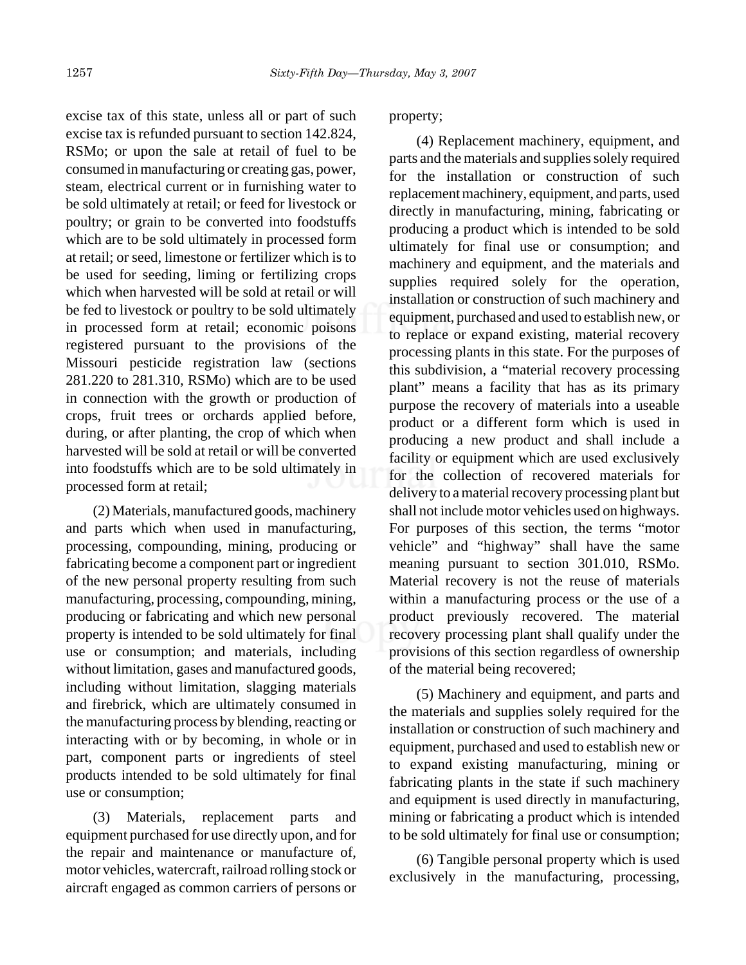excise tax of this state, unless all or part of such excise tax is refunded pursuant to section 142.824, RSMo; or upon the sale at retail of fuel to be consumed in manufacturing or creating gas, power, steam, electrical current or in furnishing water to be sold ultimately at retail; or feed for livestock or poultry; or grain to be converted into foodstuffs which are to be sold ultimately in processed form at retail; or seed, limestone or fertilizer which is to be used for seeding, liming or fertilizing crops which when harvested will be sold at retail or will be fed to livestock or poultry to be sold ultimately in processed form at retail; economic poisons registered pursuant to the provisions of the Missouri pesticide registration law (sections 281.220 to 281.310, RSMo) which are to be used in connection with the growth or production of crops, fruit trees or orchards applied before, during, or after planting, the crop of which when harvested will be sold at retail or will be converted into foodstuffs which are to be sold ultimately in processed form at retail;

(2) Materials, manufactured goods, machinery and parts which when used in manufacturing, processing, compounding, mining, producing or fabricating become a component part or ingredient of the new personal property resulting from such manufacturing, processing, compounding, mining, producing or fabricating and which new personal property is intended to be sold ultimately for final use or consumption; and materials, including without limitation, gases and manufactured goods, including without limitation, slagging materials and firebrick, which are ultimately consumed in the manufacturing process by blending, reacting or interacting with or by becoming, in whole or in part, component parts or ingredients of steel products intended to be sold ultimately for final use or consumption;

(3) Materials, replacement parts and equipment purchased for use directly upon, and for the repair and maintenance or manufacture of, motor vehicles, watercraft, railroad rolling stock or aircraft engaged as common carriers of persons or property;

(4) Replacement machinery, equipment, and parts and the materials and supplies solely required for the installation or construction of such replacement machinery, equipment, and parts, used directly in manufacturing, mining, fabricating or producing a product which is intended to be sold ultimately for final use or consumption; and machinery and equipment, and the materials and supplies required solely for the operation, installation or construction of such machinery and equipment, purchased and used to establish new, or to replace or expand existing, material recovery processing plants in this state. For the purposes of this subdivision, a "material recovery processing plant" means a facility that has as its primary purpose the recovery of materials into a useable product or a different form which is used in producing a new product and shall include a facility or equipment which are used exclusively for the collection of recovered materials for delivery to a material recovery processing plant but shall not include motor vehicles used on highways. For purposes of this section, the terms "motor vehicle" and "highway" shall have the same meaning pursuant to section 301.010, RSMo. Material recovery is not the reuse of materials within a manufacturing process or the use of a product previously recovered. The material recovery processing plant shall qualify under the provisions of this section regardless of ownership of the material being recovered;

(5) Machinery and equipment, and parts and the materials and supplies solely required for the installation or construction of such machinery and equipment, purchased and used to establish new or to expand existing manufacturing, mining or fabricating plants in the state if such machinery and equipment is used directly in manufacturing, mining or fabricating a product which is intended to be sold ultimately for final use or consumption;

(6) Tangible personal property which is used exclusively in the manufacturing, processing,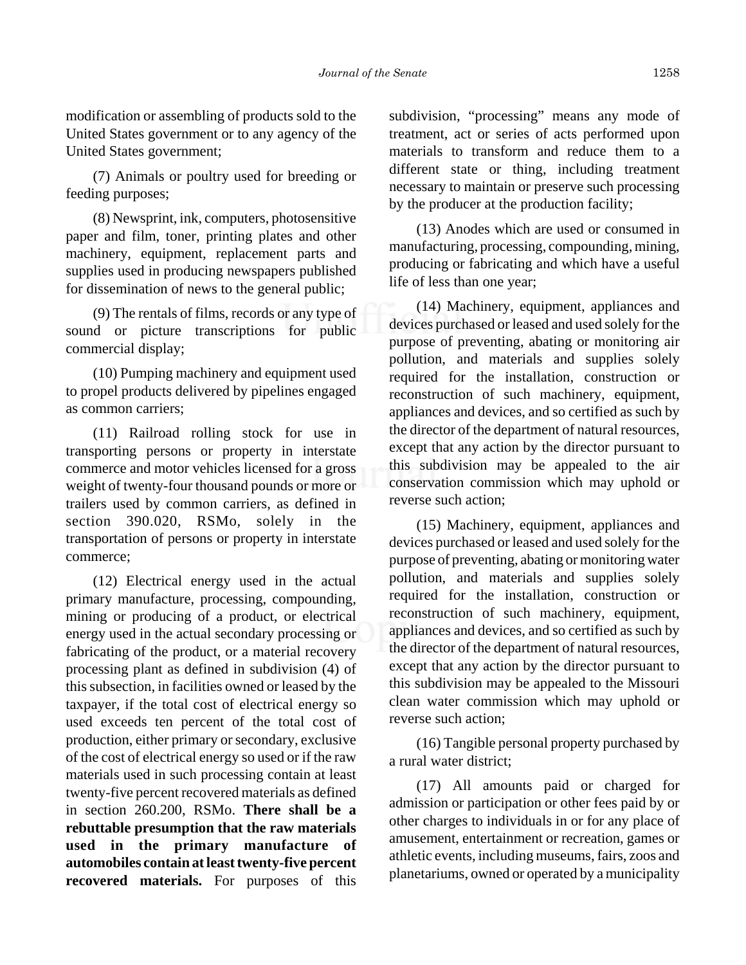modification or assembling of products sold to the United States government or to any agency of the United States government;

(7) Animals or poultry used for breeding or feeding purposes;

(8) Newsprint, ink, computers, photosensitive paper and film, toner, printing plates and other machinery, equipment, replacement parts and supplies used in producing newspapers published for dissemination of news to the general public;

(9) The rentals of films, records or any type of sound or picture transcriptions for public commercial display;

(10) Pumping machinery and equipment used to propel products delivered by pipelines engaged as common carriers;

(11) Railroad rolling stock for use in transporting persons or property in interstate commerce and motor vehicles licensed for a gross weight of twenty-four thousand pounds or more or trailers used by common carriers, as defined in section 390.020, RSMo, solely in the transportation of persons or property in interstate commerce;

(12) Electrical energy used in the actual primary manufacture, processing, compounding, mining or producing of a product, or electrical energy used in the actual secondary processing or fabricating of the product, or a material recovery processing plant as defined in subdivision (4) of this subsection, in facilities owned or leased by the taxpayer, if the total cost of electrical energy so used exceeds ten percent of the total cost of production, either primary or secondary, exclusive of the cost of electrical energy so used or if the raw materials used in such processing contain at least twenty-five percent recovered materials as defined in section 260.200, RSMo. **There shall be a rebuttable presumption that the raw materials used in the primary manufacture of automobiles contain at least twenty-five percent recovered materials.** For purposes of this

subdivision, "processing" means any mode of treatment, act or series of acts performed upon materials to transform and reduce them to a different state or thing, including treatment necessary to maintain or preserve such processing by the producer at the production facility;

(13) Anodes which are used or consumed in manufacturing, processing, compounding, mining, producing or fabricating and which have a useful life of less than one year;

(14) Machinery, equipment, appliances and devices purchased or leased and used solely for the purpose of preventing, abating or monitoring air pollution, and materials and supplies solely required for the installation, construction or reconstruction of such machinery, equipment, appliances and devices, and so certified as such by the director of the department of natural resources, except that any action by the director pursuant to this subdivision may be appealed to the air conservation commission which may uphold or reverse such action;

(15) Machinery, equipment, appliances and devices purchased or leased and used solely for the purpose of preventing, abating or monitoring water pollution, and materials and supplies solely required for the installation, construction or reconstruction of such machinery, equipment, appliances and devices, and so certified as such by the director of the department of natural resources, except that any action by the director pursuant to this subdivision may be appealed to the Missouri clean water commission which may uphold or reverse such action;

(16) Tangible personal property purchased by a rural water district;

(17) All amounts paid or charged for admission or participation or other fees paid by or other charges to individuals in or for any place of amusement, entertainment or recreation, games or athletic events, including museums, fairs, zoos and planetariums, owned or operated by a municipality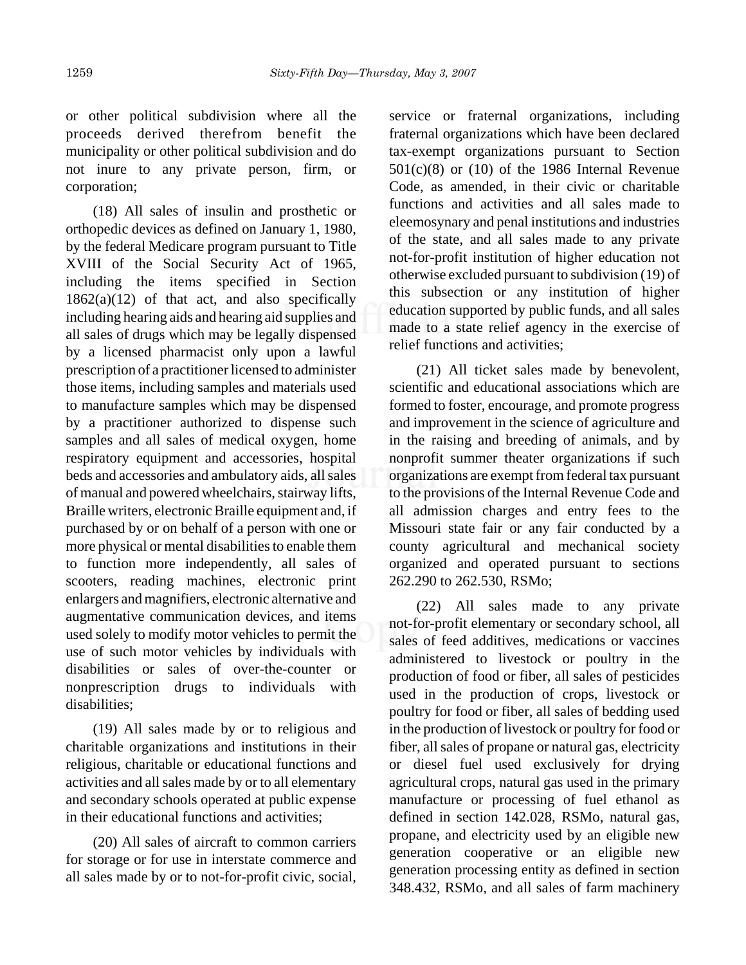or other political subdivision where all the proceeds derived therefrom benefit the municipality or other political subdivision and do not inure to any private person, firm, or corporation;

(18) All sales of insulin and prosthetic or orthopedic devices as defined on January 1, 1980, by the federal Medicare program pursuant to Title XVIII of the Social Security Act of 1965, including the items specified in Section  $1862(a)(12)$  of that act, and also specifically including hearing aids and hearing aid supplies and all sales of drugs which may be legally dispensed by a licensed pharmacist only upon a lawful prescription of a practitioner licensed to administer those items, including samples and materials used to manufacture samples which may be dispensed by a practitioner authorized to dispense such samples and all sales of medical oxygen, home respiratory equipment and accessories, hospital beds and accessories and ambulatory aids, all sales of manual and powered wheelchairs, stairway lifts, Braille writers, electronic Braille equipment and, if purchased by or on behalf of a person with one or more physical or mental disabilities to enable them to function more independently, all sales of scooters, reading machines, electronic print enlargers and magnifiers, electronic alternative and augmentative communication devices, and items used solely to modify motor vehicles to permit the use of such motor vehicles by individuals with disabilities or sales of over-the-counter or nonprescription drugs to individuals with disabilities;

(19) All sales made by or to religious and charitable organizations and institutions in their religious, charitable or educational functions and activities and all sales made by or to all elementary and secondary schools operated at public expense in their educational functions and activities;

(20) All sales of aircraft to common carriers for storage or for use in interstate commerce and all sales made by or to not-for-profit civic, social,

service or fraternal organizations, including fraternal organizations which have been declared tax-exempt organizations pursuant to Section 501(c)(8) or (10) of the 1986 Internal Revenue Code, as amended, in their civic or charitable functions and activities and all sales made to eleemosynary and penal institutions and industries of the state, and all sales made to any private not-for-profit institution of higher education not otherwise excluded pursuant to subdivision (19) of this subsection or any institution of higher education supported by public funds, and all sales made to a state relief agency in the exercise of relief functions and activities;

(21) All ticket sales made by benevolent, scientific and educational associations which are formed to foster, encourage, and promote progress and improvement in the science of agriculture and in the raising and breeding of animals, and by nonprofit summer theater organizations if such organizations are exempt from federal tax pursuant to the provisions of the Internal Revenue Code and all admission charges and entry fees to the Missouri state fair or any fair conducted by a county agricultural and mechanical society organized and operated pursuant to sections 262.290 to 262.530, RSMo;

(22) All sales made to any private not-for-profit elementary or secondary school, all sales of feed additives, medications or vaccines administered to livestock or poultry in the production of food or fiber, all sales of pesticides used in the production of crops, livestock or poultry for food or fiber, all sales of bedding used in the production of livestock or poultry for food or fiber, all sales of propane or natural gas, electricity or diesel fuel used exclusively for drying agricultural crops, natural gas used in the primary manufacture or processing of fuel ethanol as defined in section 142.028, RSMo, natural gas, propane, and electricity used by an eligible new generation cooperative or an eligible new generation processing entity as defined in section 348.432, RSMo, and all sales of farm machinery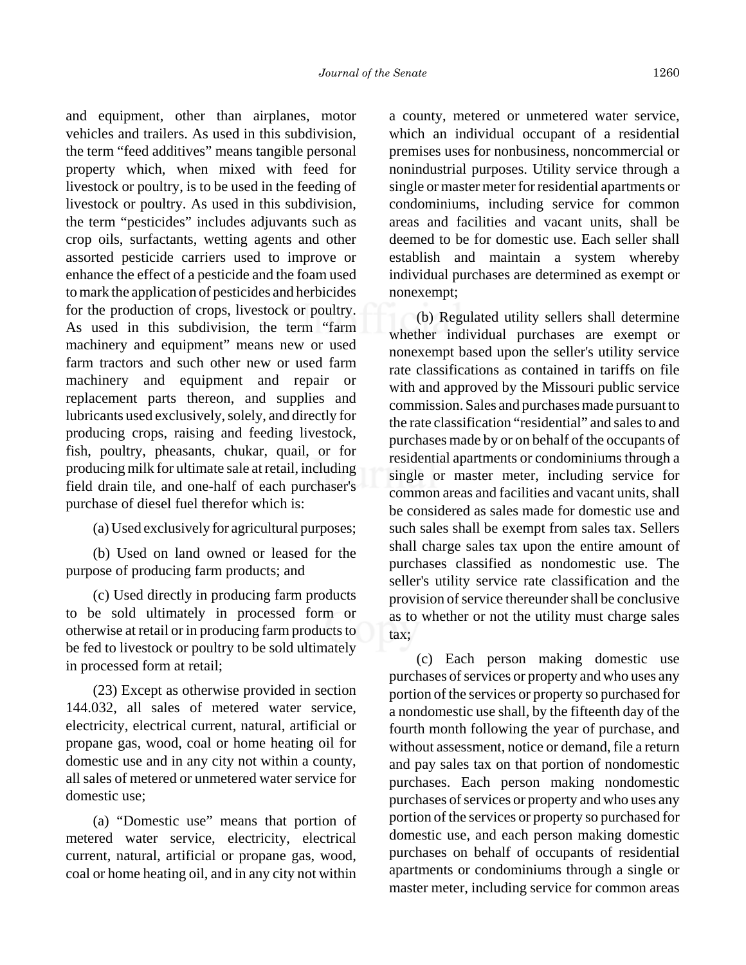and equipment, other than airplanes, motor vehicles and trailers. As used in this subdivision, the term "feed additives" means tangible personal property which, when mixed with feed for livestock or poultry, is to be used in the feeding of livestock or poultry. As used in this subdivision, the term "pesticides" includes adjuvants such as crop oils, surfactants, wetting agents and other assorted pesticide carriers used to improve or enhance the effect of a pesticide and the foam used to mark the application of pesticides and herbicides for the production of crops, livestock or poultry. As used in this subdivision, the term "farm machinery and equipment" means new or used farm tractors and such other new or used farm machinery and equipment and repair or replacement parts thereon, and supplies and lubricants used exclusively, solely, and directly for producing crops, raising and feeding livestock, fish, poultry, pheasants, chukar, quail, or for producing milk for ultimate sale at retail, including field drain tile, and one-half of each purchaser's purchase of diesel fuel therefor which is:

(a) Used exclusively for agricultural purposes;

(b) Used on land owned or leased for the purpose of producing farm products; and

(c) Used directly in producing farm products to be sold ultimately in processed form or otherwise at retail or in producing farm products to be fed to livestock or poultry to be sold ultimately in processed form at retail;

(23) Except as otherwise provided in section 144.032, all sales of metered water service, electricity, electrical current, natural, artificial or propane gas, wood, coal or home heating oil for domestic use and in any city not within a county, all sales of metered or unmetered water service for domestic use;

(a) "Domestic use" means that portion of metered water service, electricity, electrical current, natural, artificial or propane gas, wood, coal or home heating oil, and in any city not within

a county, metered or unmetered water service, which an individual occupant of a residential premises uses for nonbusiness, noncommercial or nonindustrial purposes. Utility service through a single or master meter for residential apartments or condominiums, including service for common areas and facilities and vacant units, shall be deemed to be for domestic use. Each seller shall establish and maintain a system whereby individual purchases are determined as exempt or nonexempt;

(b) Regulated utility sellers shall determine whether individual purchases are exempt or nonexempt based upon the seller's utility service rate classifications as contained in tariffs on file with and approved by the Missouri public service commission. Sales and purchases made pursuant to the rate classification "residential" and sales to and purchases made by or on behalf of the occupants of residential apartments or condominiums through a single or master meter, including service for common areas and facilities and vacant units, shall be considered as sales made for domestic use and such sales shall be exempt from sales tax. Sellers shall charge sales tax upon the entire amount of purchases classified as nondomestic use. The seller's utility service rate classification and the provision of service thereunder shall be conclusive as to whether or not the utility must charge sales tax;

(c) Each person making domestic use purchases of services or property and who uses any portion of the services or property so purchased for a nondomestic use shall, by the fifteenth day of the fourth month following the year of purchase, and without assessment, notice or demand, file a return and pay sales tax on that portion of nondomestic purchases. Each person making nondomestic purchases of services or property and who uses any portion of the services or property so purchased for domestic use, and each person making domestic purchases on behalf of occupants of residential apartments or condominiums through a single or master meter, including service for common areas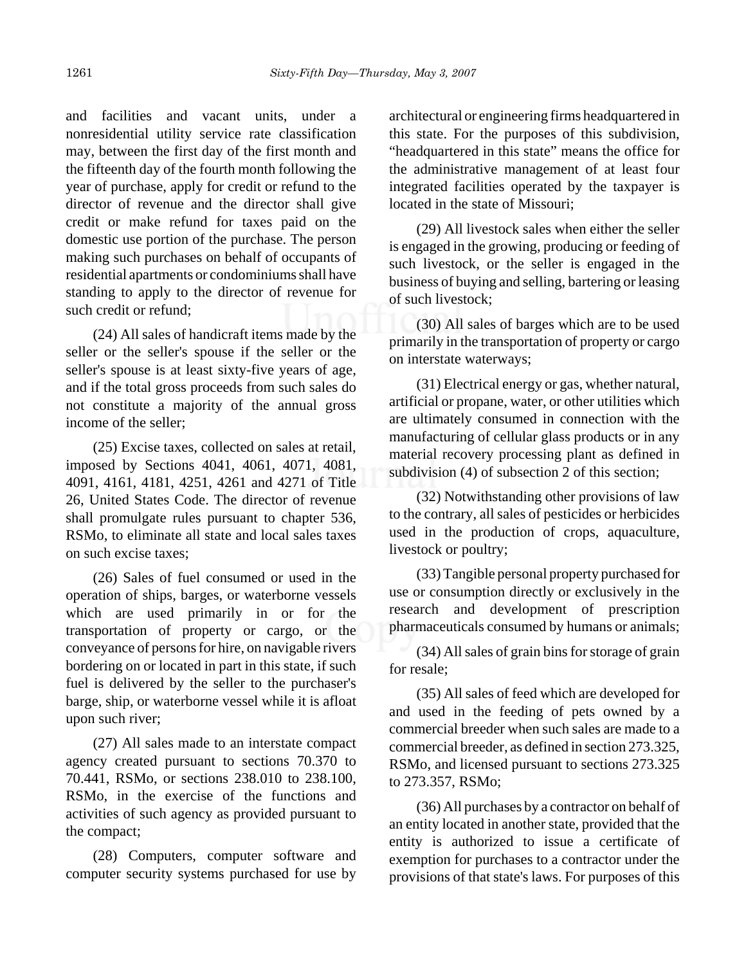and facilities and vacant units, under a nonresidential utility service rate classification may, between the first day of the first month and the fifteenth day of the fourth month following the year of purchase, apply for credit or refund to the director of revenue and the director shall give credit or make refund for taxes paid on the domestic use portion of the purchase. The person making such purchases on behalf of occupants of residential apartments or condominiums shall have standing to apply to the director of revenue for such credit or refund;

(24) All sales of handicraft items made by the seller or the seller's spouse if the seller or the seller's spouse is at least sixty-five years of age, and if the total gross proceeds from such sales do not constitute a majority of the annual gross income of the seller;

(25) Excise taxes, collected on sales at retail, imposed by Sections 4041, 4061, 4071, 4081, 4091, 4161, 4181, 4251, 4261 and 4271 of Title 26, United States Code. The director of revenue shall promulgate rules pursuant to chapter 536, RSMo, to eliminate all state and local sales taxes on such excise taxes;

(26) Sales of fuel consumed or used in the operation of ships, barges, or waterborne vessels which are used primarily in or for the transportation of property or cargo, or the conveyance of persons for hire, on navigable rivers bordering on or located in part in this state, if such fuel is delivered by the seller to the purchaser's barge, ship, or waterborne vessel while it is afloat upon such river;

(27) All sales made to an interstate compact agency created pursuant to sections 70.370 to 70.441, RSMo, or sections 238.010 to 238.100, RSMo, in the exercise of the functions and activities of such agency as provided pursuant to the compact;

(28) Computers, computer software and computer security systems purchased for use by

architectural or engineering firms headquartered in this state. For the purposes of this subdivision, "headquartered in this state" means the office for the administrative management of at least four integrated facilities operated by the taxpayer is located in the state of Missouri;

(29) All livestock sales when either the seller is engaged in the growing, producing or feeding of such livestock, or the seller is engaged in the business of buying and selling, bartering or leasing of such livestock;

(30) All sales of barges which are to be used primarily in the transportation of property or cargo on interstate waterways;

(31) Electrical energy or gas, whether natural, artificial or propane, water, or other utilities which are ultimately consumed in connection with the manufacturing of cellular glass products or in any material recovery processing plant as defined in subdivision (4) of subsection 2 of this section;

(32) Notwithstanding other provisions of law to the contrary, all sales of pesticides or herbicides used in the production of crops, aquaculture, livestock or poultry;

(33) Tangible personal property purchased for use or consumption directly or exclusively in the research and development of prescription pharmaceuticals consumed by humans or animals;

(34) All sales of grain bins for storage of grain for resale;

(35) All sales of feed which are developed for and used in the feeding of pets owned by a commercial breeder when such sales are made to a commercial breeder, as defined in section 273.325, RSMo, and licensed pursuant to sections 273.325 to 273.357, RSMo;

(36) All purchases by a contractor on behalf of an entity located in another state, provided that the entity is authorized to issue a certificate of exemption for purchases to a contractor under the provisions of that state's laws. For purposes of this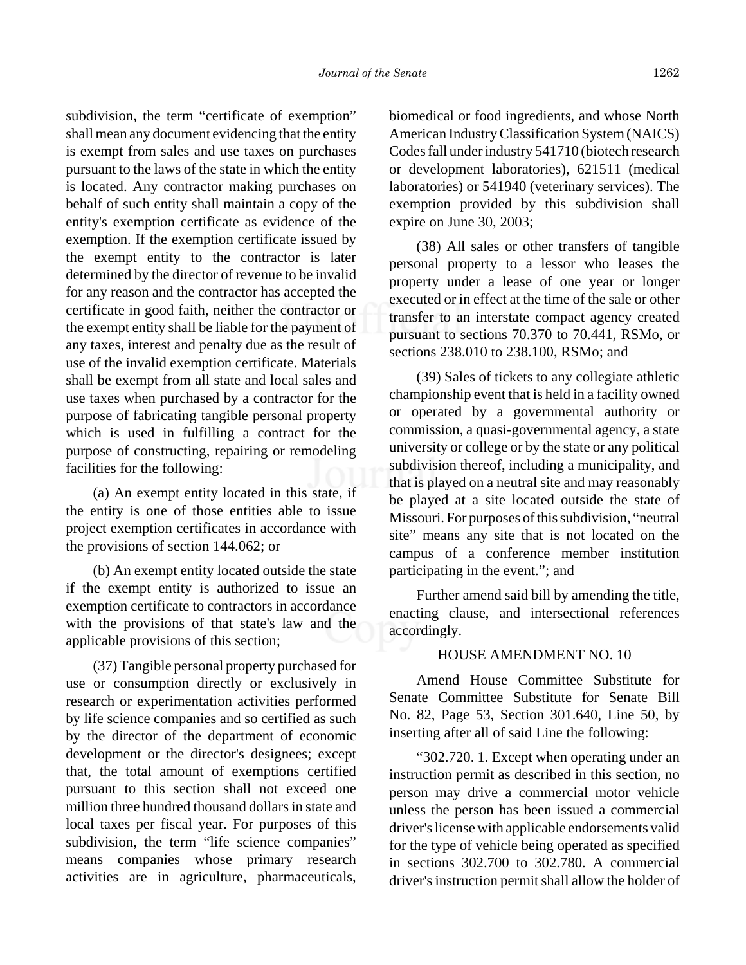subdivision, the term "certificate of exemption" shall mean any document evidencing that the entity is exempt from sales and use taxes on purchases pursuant to the laws of the state in which the entity is located. Any contractor making purchases on behalf of such entity shall maintain a copy of the entity's exemption certificate as evidence of the exemption. If the exemption certificate issued by the exempt entity to the contractor is later determined by the director of revenue to be invalid for any reason and the contractor has accepted the certificate in good faith, neither the contractor or the exempt entity shall be liable for the payment of any taxes, interest and penalty due as the result of use of the invalid exemption certificate. Materials shall be exempt from all state and local sales and use taxes when purchased by a contractor for the purpose of fabricating tangible personal property which is used in fulfilling a contract for the purpose of constructing, repairing or remodeling facilities for the following:

(a) An exempt entity located in this state, if the entity is one of those entities able to issue project exemption certificates in accordance with the provisions of section 144.062; or

(b) An exempt entity located outside the state if the exempt entity is authorized to issue an exemption certificate to contractors in accordance with the provisions of that state's law and the applicable provisions of this section;

(37) Tangible personal property purchased for use or consumption directly or exclusively in research or experimentation activities performed by life science companies and so certified as such by the director of the department of economic development or the director's designees; except that, the total amount of exemptions certified pursuant to this section shall not exceed one million three hundred thousand dollars in state and local taxes per fiscal year. For purposes of this subdivision, the term "life science companies" means companies whose primary research activities are in agriculture, pharmaceuticals,

biomedical or food ingredients, and whose North American Industry Classification System (NAICS) Codes fall under industry 541710 (biotech research or development laboratories), 621511 (medical laboratories) or 541940 (veterinary services). The exemption provided by this subdivision shall expire on June 30, 2003;

(38) All sales or other transfers of tangible personal property to a lessor who leases the property under a lease of one year or longer executed or in effect at the time of the sale or other transfer to an interstate compact agency created pursuant to sections 70.370 to 70.441, RSMo, or sections 238.010 to 238.100, RSMo; and

(39) Sales of tickets to any collegiate athletic championship event that is held in a facility owned or operated by a governmental authority or commission, a quasi-governmental agency, a state university or college or by the state or any political subdivision thereof, including a municipality, and that is played on a neutral site and may reasonably be played at a site located outside the state of Missouri. For purposes of this subdivision, "neutral site" means any site that is not located on the campus of a conference member institution participating in the event."; and

Further amend said bill by amending the title, enacting clause, and intersectional references accordingly.

#### HOUSE AMENDMENT NO. 10

Amend House Committee Substitute for Senate Committee Substitute for Senate Bill No. 82, Page 53, Section 301.640, Line 50, by inserting after all of said Line the following:

"302.720. 1. Except when operating under an instruction permit as described in this section, no person may drive a commercial motor vehicle unless the person has been issued a commercial driver's license with applicable endorsements valid for the type of vehicle being operated as specified in sections 302.700 to 302.780. A commercial driver's instruction permit shall allow the holder of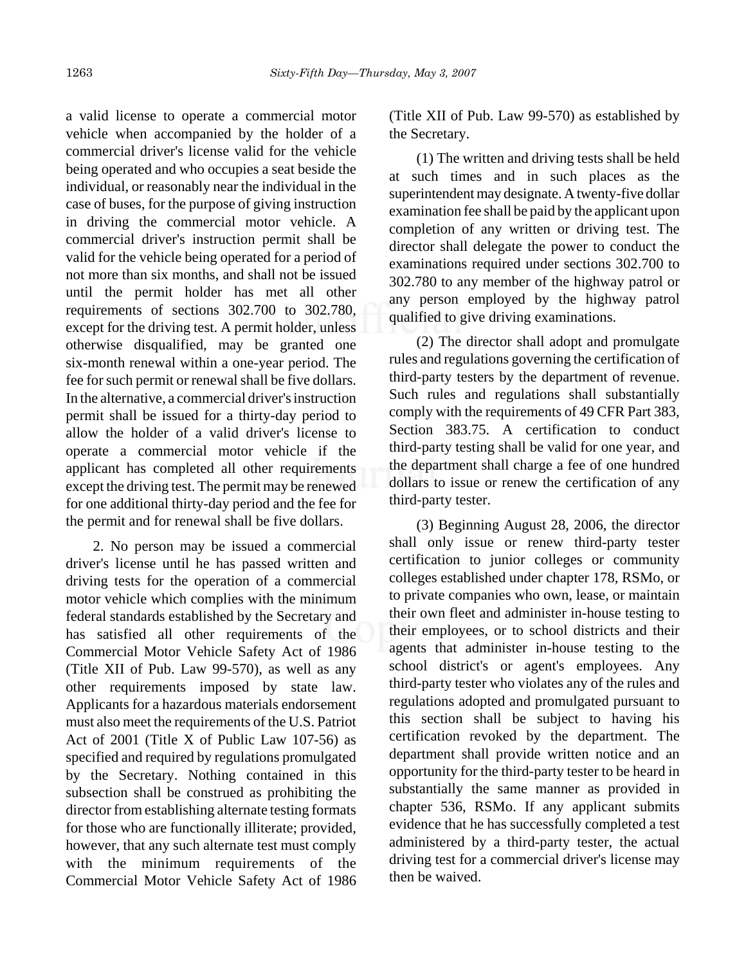a valid license to operate a commercial motor vehicle when accompanied by the holder of a commercial driver's license valid for the vehicle being operated and who occupies a seat beside the individual, or reasonably near the individual in the case of buses, for the purpose of giving instruction in driving the commercial motor vehicle. A commercial driver's instruction permit shall be valid for the vehicle being operated for a period of not more than six months, and shall not be issued until the permit holder has met all other requirements of sections 302.700 to 302.780, except for the driving test. A permit holder, unless otherwise disqualified, may be granted one six-month renewal within a one-year period. The fee for such permit or renewal shall be five dollars. In the alternative, a commercial driver's instruction permit shall be issued for a thirty-day period to allow the holder of a valid driver's license to operate a commercial motor vehicle if the applicant has completed all other requirements except the driving test. The permit may be renewed for one additional thirty-day period and the fee for the permit and for renewal shall be five dollars.

2. No person may be issued a commercial driver's license until he has passed written and driving tests for the operation of a commercial motor vehicle which complies with the minimum federal standards established by the Secretary and has satisfied all other requirements of the Commercial Motor Vehicle Safety Act of 1986 (Title XII of Pub. Law 99-570), as well as any other requirements imposed by state law. Applicants for a hazardous materials endorsement must also meet the requirements of the U.S. Patriot Act of 2001 (Title X of Public Law 107-56) as specified and required by regulations promulgated by the Secretary. Nothing contained in this subsection shall be construed as prohibiting the director from establishing alternate testing formats for those who are functionally illiterate; provided, however, that any such alternate test must comply with the minimum requirements of the Commercial Motor Vehicle Safety Act of 1986 (Title XII of Pub. Law 99-570) as established by the Secretary.

(1) The written and driving tests shall be held at such times and in such places as the superintendent may designate. A twenty-five dollar examination fee shall be paid by the applicant upon completion of any written or driving test. The director shall delegate the power to conduct the examinations required under sections 302.700 to 302.780 to any member of the highway patrol or any person employed by the highway patrol qualified to give driving examinations.

(2) The director shall adopt and promulgate rules and regulations governing the certification of third-party testers by the department of revenue. Such rules and regulations shall substantially comply with the requirements of 49 CFR Part 383, Section 383.75. A certification to conduct third-party testing shall be valid for one year, and the department shall charge a fee of one hundred dollars to issue or renew the certification of any third-party tester.

(3) Beginning August 28, 2006, the director shall only issue or renew third-party tester certification to junior colleges or community colleges established under chapter 178, RSMo, or to private companies who own, lease, or maintain their own fleet and administer in-house testing to their employees, or to school districts and their agents that administer in-house testing to the school district's or agent's employees. Any third-party tester who violates any of the rules and regulations adopted and promulgated pursuant to this section shall be subject to having his certification revoked by the department. The department shall provide written notice and an opportunity for the third-party tester to be heard in substantially the same manner as provided in chapter 536, RSMo. If any applicant submits evidence that he has successfully completed a test administered by a third-party tester, the actual driving test for a commercial driver's license may then be waived.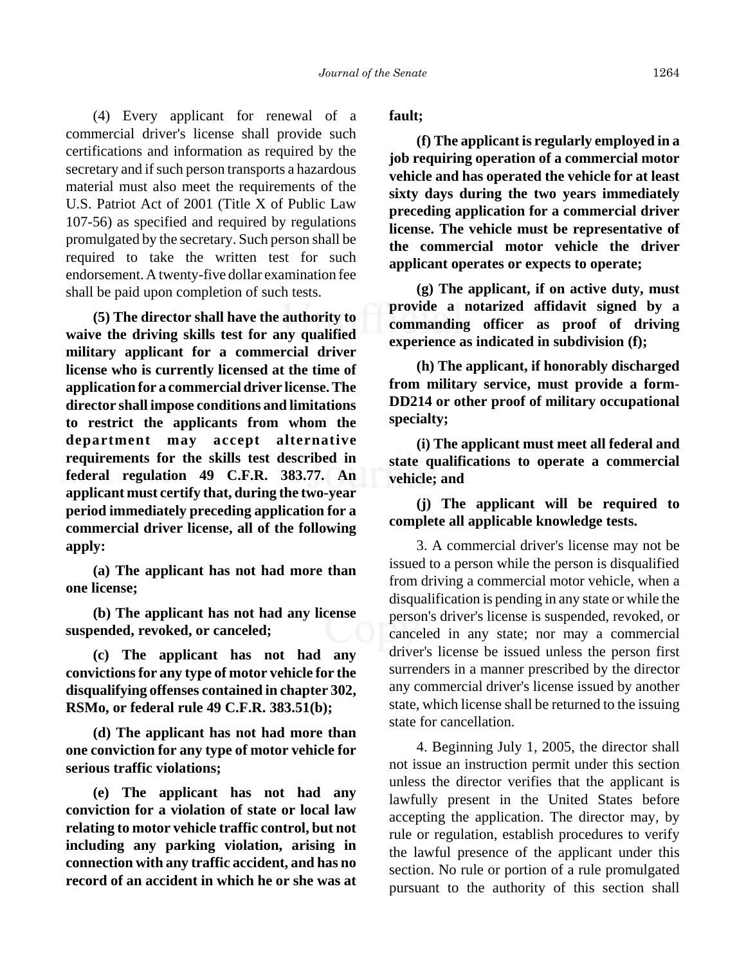(4) Every applicant for renewal of a commercial driver's license shall provide such certifications and information as required by the secretary and if such person transports a hazardous material must also meet the requirements of the U.S. Patriot Act of 2001 (Title X of Public Law 107-56) as specified and required by regulations promulgated by the secretary. Such person shall be required to take the written test for such endorsement. A twenty-five dollar examination fee shall be paid upon completion of such tests.

**(5) The director shall have the authority to waive the driving skills test for any qualified military applicant for a commercial driver license who is currently licensed at the time of application for a commercial driver license. The director shall impose conditions and limitations to restrict the applicants from whom the department may accept alternative requirements for the skills test described in federal regulation 49 C.F.R. 383.77. An applicant must certify that, during the two-year period immediately preceding application for a commercial driver license, all of the following apply:**

**(a) The applicant has not had more than one license;**

**(b) The applicant has not had any license suspended, revoked, or canceled;**

**(c) The applicant has not had any convictions for any type of motor vehicle for the disqualifying offenses contained in chapter 302, RSMo, or federal rule 49 C.F.R. 383.51(b);**

**(d) The applicant has not had more than one conviction for any type of motor vehicle for serious traffic violations;**

**(e) The applicant has not had any conviction for a violation of state or local law relating to motor vehicle traffic control, but not including any parking violation, arising in connection with any traffic accident, and has no record of an accident in which he or she was at** **fault;**

**(f) The applicant is regularly employed in a job requiring operation of a commercial motor vehicle and has operated the vehicle for at least sixty days during the two years immediately preceding application for a commercial driver license. The vehicle must be representative of the commercial motor vehicle the driver applicant operates or expects to operate;**

**(g) The applicant, if on active duty, must provide a notarized affidavit signed by a commanding officer as proof of driving experience as indicated in subdivision (f);**

**(h) The applicant, if honorably discharged from military service, must provide a form-DD214 or other proof of military occupational specialty;**

**(i) The applicant must meet all federal and state qualifications to operate a commercial vehicle; and**

**(j) The applicant will be required to complete all applicable knowledge tests.**

3. A commercial driver's license may not be issued to a person while the person is disqualified from driving a commercial motor vehicle, when a disqualification is pending in any state or while the person's driver's license is suspended, revoked, or canceled in any state; nor may a commercial driver's license be issued unless the person first surrenders in a manner prescribed by the director any commercial driver's license issued by another state, which license shall be returned to the issuing state for cancellation.

4. Beginning July 1, 2005, the director shall not issue an instruction permit under this section unless the director verifies that the applicant is lawfully present in the United States before accepting the application. The director may, by rule or regulation, establish procedures to verify the lawful presence of the applicant under this section. No rule or portion of a rule promulgated pursuant to the authority of this section shall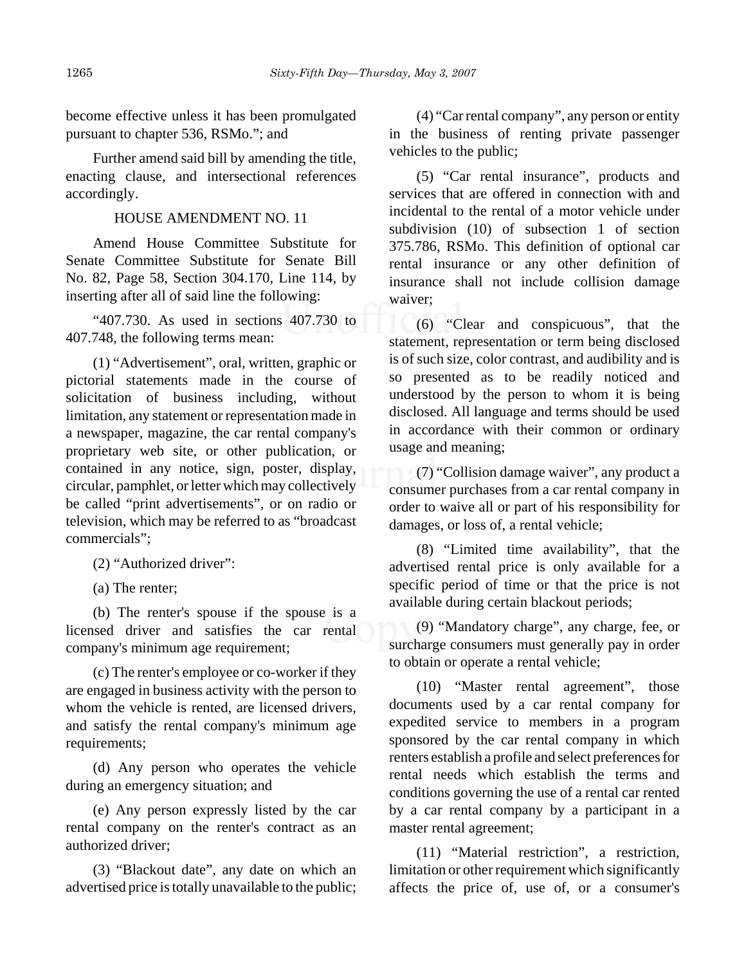become effective unless it has been promulgated pursuant to chapter 536, RSMo."; and

Further amend said bill by amending the title, enacting clause, and intersectional references accordingly.

HOUSE AMENDMENT NO. 11

Amend House Committee Substitute for Senate Committee Substitute for Senate Bill No. 82, Page 58, Section 304.170, Line 114, by inserting after all of said line the following:

"407.730. As used in sections 407.730 to 407.748, the following terms mean:

(1) "Advertisement", oral, written, graphic or pictorial statements made in the course of solicitation of business including, without limitation, any statement or representation made in a newspaper, magazine, the car rental company's proprietary web site, or other publication, or contained in any notice, sign, poster, display, circular, pamphlet, or letter which may collectively be called "print advertisements", or on radio or television, which may be referred to as "broadcast commercials";

(2) "Authorized driver":

(a) The renter;

(b) The renter's spouse if the spouse is a licensed driver and satisfies the car rental company's minimum age requirement;

(c) The renter's employee or co-worker if they are engaged in business activity with the person to whom the vehicle is rented, are licensed drivers, and satisfy the rental company's minimum age requirements;

(d) Any person who operates the vehicle during an emergency situation; and

(e) Any person expressly listed by the car rental company on the renter's contract as an authorized driver;

(3) "Blackout date", any date on which an advertised price is totally unavailable to the public;

(4) "Car rental company", any person or entity in the business of renting private passenger vehicles to the public;

(5) "Car rental insurance", products and services that are offered in connection with and incidental to the rental of a motor vehicle under subdivision (10) of subsection 1 of section 375.786, RSMo. This definition of optional car rental insurance or any other definition of insurance shall not include collision damage waiver;

(6) "Clear and conspicuous", that the statement, representation or term being disclosed is of such size, color contrast, and audibility and is so presented as to be readily noticed and understood by the person to whom it is being disclosed. All language and terms should be used in accordance with their common or ordinary usage and meaning;

(7) "Collision damage waiver", any product a consumer purchases from a car rental company in order to waive all or part of his responsibility for damages, or loss of, a rental vehicle;

(8) "Limited time availability", that the advertised rental price is only available for a specific period of time or that the price is not available during certain blackout periods;

(9) "Mandatory charge", any charge, fee, or surcharge consumers must generally pay in order to obtain or operate a rental vehicle;

(10) "Master rental agreement", those documents used by a car rental company for expedited service to members in a program sponsored by the car rental company in which renters establish a profile and select preferences for rental needs which establish the terms and conditions governing the use of a rental car rented by a car rental company by a participant in a master rental agreement;

(11) "Material restriction", a restriction, limitation or other requirement which significantly affects the price of, use of, or a consumer's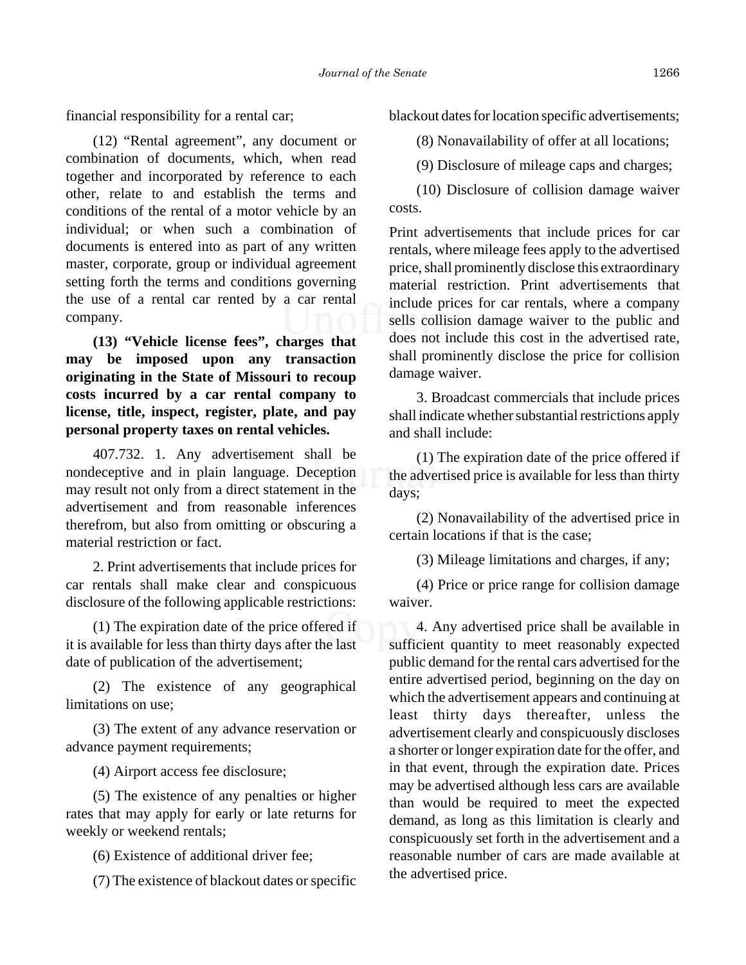financial responsibility for a rental car;

(12) "Rental agreement", any document or combination of documents, which, when read together and incorporated by reference to each other, relate to and establish the terms and conditions of the rental of a motor vehicle by an individual; or when such a combination of documents is entered into as part of any written master, corporate, group or individual agreement setting forth the terms and conditions governing the use of a rental car rented by a car rental company.

**(13) "Vehicle license fees", charges that may be imposed upon any transaction originating in the State of Missouri to recoup costs incurred by a car rental company to license, title, inspect, register, plate, and pay personal property taxes on rental vehicles.**

407.732. 1. Any advertisement shall be nondeceptive and in plain language. Deception may result not only from a direct statement in the advertisement and from reasonable inferences therefrom, but also from omitting or obscuring a material restriction or fact.

2. Print advertisements that include prices for car rentals shall make clear and conspicuous disclosure of the following applicable restrictions:

(1) The expiration date of the price offered if it is available for less than thirty days after the last date of publication of the advertisement;

(2) The existence of any geographical limitations on use;

(3) The extent of any advance reservation or advance payment requirements;

(4) Airport access fee disclosure;

(5) The existence of any penalties or higher rates that may apply for early or late returns for weekly or weekend rentals;

(6) Existence of additional driver fee;

(7) The existence of blackout dates or specific

blackout dates for location specific advertisements;

(8) Nonavailability of offer at all locations;

(9) Disclosure of mileage caps and charges;

(10) Disclosure of collision damage waiver costs.

Print advertisements that include prices for car rentals, where mileage fees apply to the advertised price, shall prominently disclose this extraordinary material restriction. Print advertisements that include prices for car rentals, where a company sells collision damage waiver to the public and does not include this cost in the advertised rate, shall prominently disclose the price for collision damage waiver.

3. Broadcast commercials that include prices shall indicate whether substantial restrictions apply and shall include:

(1) The expiration date of the price offered if the advertised price is available for less than thirty days;

(2) Nonavailability of the advertised price in certain locations if that is the case;

(3) Mileage limitations and charges, if any;

(4) Price or price range for collision damage waiver.

4. Any advertised price shall be available in sufficient quantity to meet reasonably expected public demand for the rental cars advertised for the entire advertised period, beginning on the day on which the advertisement appears and continuing at least thirty days thereafter, unless the advertisement clearly and conspicuously discloses a shorter or longer expiration date for the offer, and in that event, through the expiration date. Prices may be advertised although less cars are available than would be required to meet the expected demand, as long as this limitation is clearly and conspicuously set forth in the advertisement and a reasonable number of cars are made available at the advertised price.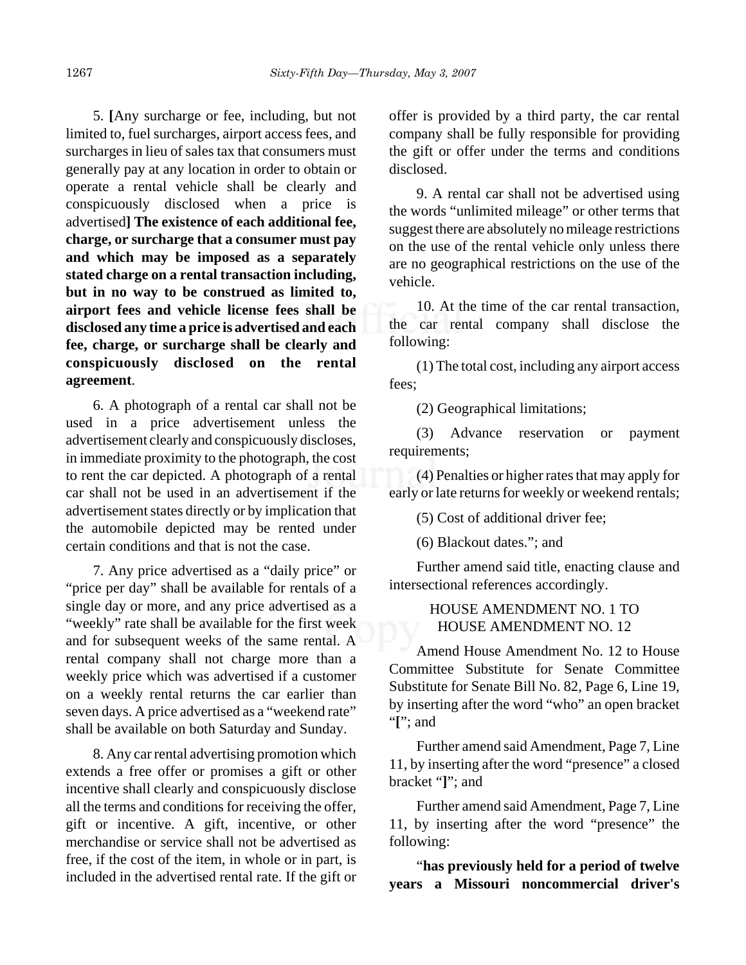5. **[**Any surcharge or fee, including, but not limited to, fuel surcharges, airport access fees, and surcharges in lieu of sales tax that consumers must generally pay at any location in order to obtain or operate a rental vehicle shall be clearly and conspicuously disclosed when a price is advertised**] The existence of each additional fee, charge, or surcharge that a consumer must pay and which may be imposed as a separately stated charge on a rental transaction including, but in no way to be construed as limited to, airport fees and vehicle license fees shall be disclosed any time a price is advertised and each fee, charge, or surcharge shall be clearly and conspicuously disclosed on the rental agreement**.

6. A photograph of a rental car shall not be used in a price advertisement unless the advertisement clearly and conspicuously discloses, in immediate proximity to the photograph, the cost to rent the car depicted. A photograph of a rental car shall not be used in an advertisement if the advertisement states directly or by implication that the automobile depicted may be rented under certain conditions and that is not the case.

7. Any price advertised as a "daily price" or "price per day" shall be available for rentals of a single day or more, and any price advertised as a "weekly" rate shall be available for the first week and for subsequent weeks of the same rental. A rental company shall not charge more than a weekly price which was advertised if a customer on a weekly rental returns the car earlier than seven days. A price advertised as a "weekend rate" shall be available on both Saturday and Sunday.

8. Any car rental advertising promotion which extends a free offer or promises a gift or other incentive shall clearly and conspicuously disclose all the terms and conditions for receiving the offer, gift or incentive. A gift, incentive, or other merchandise or service shall not be advertised as free, if the cost of the item, in whole or in part, is included in the advertised rental rate. If the gift or offer is provided by a third party, the car rental company shall be fully responsible for providing the gift or offer under the terms and conditions disclosed.

9. A rental car shall not be advertised using the words "unlimited mileage" or other terms that suggest there are absolutely no mileage restrictions on the use of the rental vehicle only unless there are no geographical restrictions on the use of the vehicle.

10. At the time of the car rental transaction, the car rental company shall disclose the following:

(1) The total cost, including any airport access fees;

(2) Geographical limitations;

(3) Advance reservation or payment requirements:

(4) Penalties or higher rates that may apply for early or late returns for weekly or weekend rentals;

(5) Cost of additional driver fee;

(6) Blackout dates."; and

Further amend said title, enacting clause and intersectional references accordingly.

> HOUSE AMENDMENT NO. 1 TO HOUSE AMENDMENT NO. 12

Amend House Amendment No. 12 to House Committee Substitute for Senate Committee Substitute for Senate Bill No. 82, Page 6, Line 19, by inserting after the word "who" an open bracket "**[**"; and

Further amend said Amendment, Page 7, Line 11, by inserting after the word "presence" a closed bracket "**]**"; and

Further amend said Amendment, Page 7, Line 11, by inserting after the word "presence" the following:

"**has previously held for a period of twelve years a Missouri noncommercial driver's**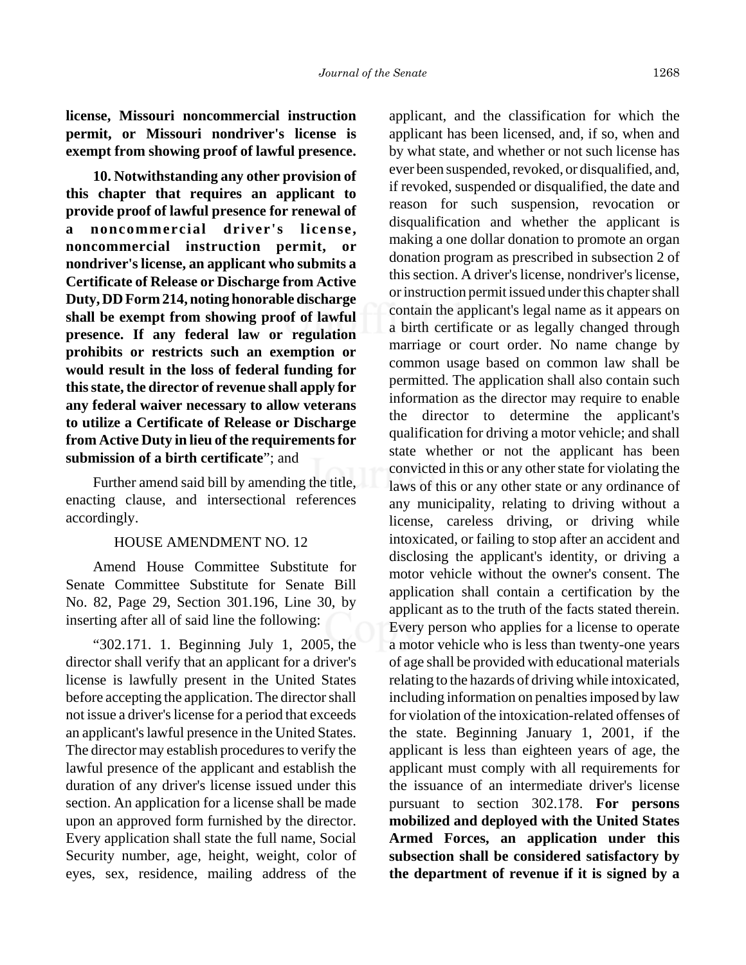**license, Missouri noncommercial instruction permit, or Missouri nondriver's license is exempt from showing proof of lawful presence.**

**10. Notwithstanding any other provision of this chapter that requires an applicant to provide proof of lawful presence for renewal of a noncommercial driver's license, noncommercial instruction permit, or nondriver's license, an applicant who submits a Certificate of Release or Discharge from Active Duty, DD Form 214, noting honorable discharge shall be exempt from showing proof of lawful presence. If any federal law or regulation prohibits or restricts such an exemption or would result in the loss of federal funding for this state, the director of revenue shall apply for any federal waiver necessary to allow veterans to utilize a Certificate of Release or Discharge from Active Duty in lieu of the requirements for submission of a birth certificate**"; and

Further amend said bill by amending the title, enacting clause, and intersectional references accordingly.

### HOUSE AMENDMENT NO. 12

Amend House Committee Substitute for Senate Committee Substitute for Senate Bill No. 82, Page 29, Section 301.196, Line 30, by inserting after all of said line the following:

 "302.171. 1. Beginning July 1, 2005, the director shall verify that an applicant for a driver's license is lawfully present in the United States before accepting the application. The director shall not issue a driver's license for a period that exceeds an applicant's lawful presence in the United States. The director may establish procedures to verify the lawful presence of the applicant and establish the duration of any driver's license issued under this section. An application for a license shall be made upon an approved form furnished by the director. Every application shall state the full name, Social Security number, age, height, weight, color of eyes, sex, residence, mailing address of the

applicant, and the classification for which the applicant has been licensed, and, if so, when and by what state, and whether or not such license has ever been suspended, revoked, or disqualified, and, if revoked, suspended or disqualified, the date and reason for such suspension, revocation or disqualification and whether the applicant is making a one dollar donation to promote an organ donation program as prescribed in subsection 2 of this section. A driver's license, nondriver's license, or instruction permit issued under this chapter shall contain the applicant's legal name as it appears on a birth certificate or as legally changed through marriage or court order. No name change by common usage based on common law shall be permitted. The application shall also contain such information as the director may require to enable the director to determine the applicant's qualification for driving a motor vehicle; and shall state whether or not the applicant has been convicted in this or any other state for violating the laws of this or any other state or any ordinance of any municipality, relating to driving without a license, careless driving, or driving while intoxicated, or failing to stop after an accident and disclosing the applicant's identity, or driving a motor vehicle without the owner's consent. The application shall contain a certification by the applicant as to the truth of the facts stated therein. Every person who applies for a license to operate a motor vehicle who is less than twenty-one years of age shall be provided with educational materials relating to the hazards of driving while intoxicated, including information on penalties imposed by law for violation of the intoxication-related offenses of the state. Beginning January 1, 2001, if the applicant is less than eighteen years of age, the applicant must comply with all requirements for the issuance of an intermediate driver's license pursuant to section 302.178. **For persons mobilized and deployed with the United States Armed Forces, an application under this subsection shall be considered satisfactory by the department of revenue if it is signed by a**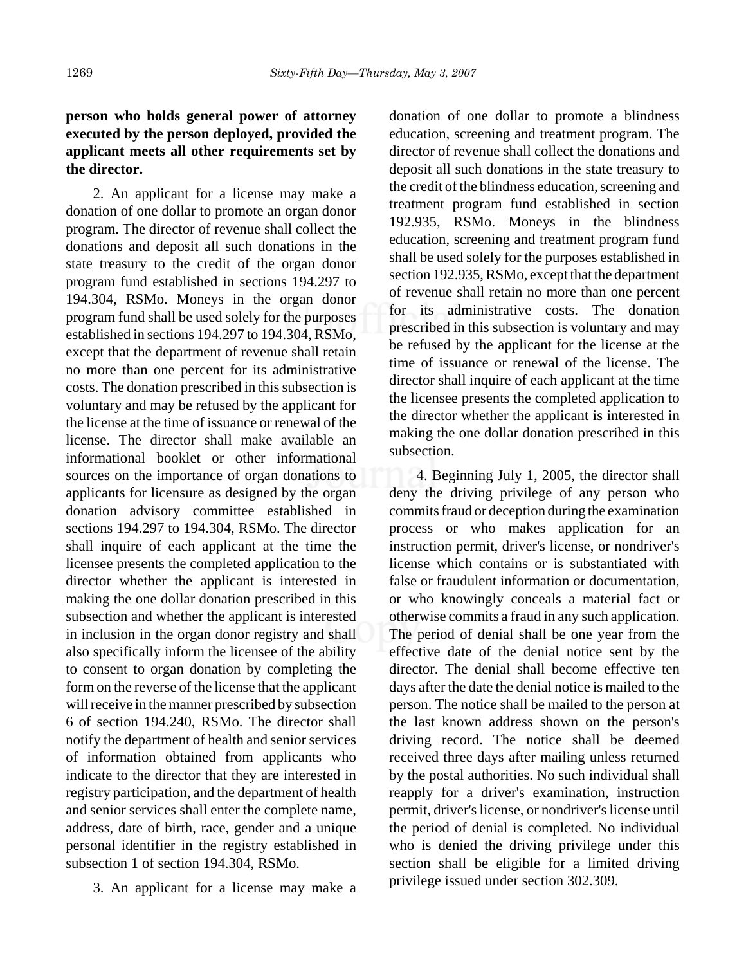# **person who holds general power of attorney executed by the person deployed, provided the applicant meets all other requirements set by the director.**

2. An applicant for a license may make a donation of one dollar to promote an organ donor program. The director of revenue shall collect the donations and deposit all such donations in the state treasury to the credit of the organ donor program fund established in sections 194.297 to 194.304, RSMo. Moneys in the organ donor program fund shall be used solely for the purposes established in sections 194.297 to 194.304, RSMo, except that the department of revenue shall retain no more than one percent for its administrative costs. The donation prescribed in this subsection is voluntary and may be refused by the applicant for the license at the time of issuance or renewal of the license. The director shall make available an informational booklet or other informational sources on the importance of organ donations to applicants for licensure as designed by the organ donation advisory committee established in sections 194.297 to 194.304, RSMo. The director shall inquire of each applicant at the time the licensee presents the completed application to the director whether the applicant is interested in making the one dollar donation prescribed in this subsection and whether the applicant is interested in inclusion in the organ donor registry and shall also specifically inform the licensee of the ability to consent to organ donation by completing the form on the reverse of the license that the applicant will receive in the manner prescribed by subsection 6 of section 194.240, RSMo. The director shall notify the department of health and senior services of information obtained from applicants who indicate to the director that they are interested in registry participation, and the department of health and senior services shall enter the complete name, address, date of birth, race, gender and a unique personal identifier in the registry established in subsection 1 of section 194.304, RSMo.

3. An applicant for a license may make a

donation of one dollar to promote a blindness education, screening and treatment program. The director of revenue shall collect the donations and deposit all such donations in the state treasury to the credit of the blindness education, screening and treatment program fund established in section 192.935, RSMo. Moneys in the blindness education, screening and treatment program fund shall be used solely for the purposes established in section 192.935, RSMo, except that the department of revenue shall retain no more than one percent for its administrative costs. The donation prescribed in this subsection is voluntary and may be refused by the applicant for the license at the time of issuance or renewal of the license. The director shall inquire of each applicant at the time the licensee presents the completed application to the director whether the applicant is interested in making the one dollar donation prescribed in this subsection.

4. Beginning July 1, 2005, the director shall deny the driving privilege of any person who commits fraud or deception during the examination process or who makes application for an instruction permit, driver's license, or nondriver's license which contains or is substantiated with false or fraudulent information or documentation, or who knowingly conceals a material fact or otherwise commits a fraud in any such application. The period of denial shall be one year from the effective date of the denial notice sent by the director. The denial shall become effective ten days after the date the denial notice is mailed to the person. The notice shall be mailed to the person at the last known address shown on the person's driving record. The notice shall be deemed received three days after mailing unless returned by the postal authorities. No such individual shall reapply for a driver's examination, instruction permit, driver's license, or nondriver's license until the period of denial is completed. No individual who is denied the driving privilege under this section shall be eligible for a limited driving privilege issued under section 302.309.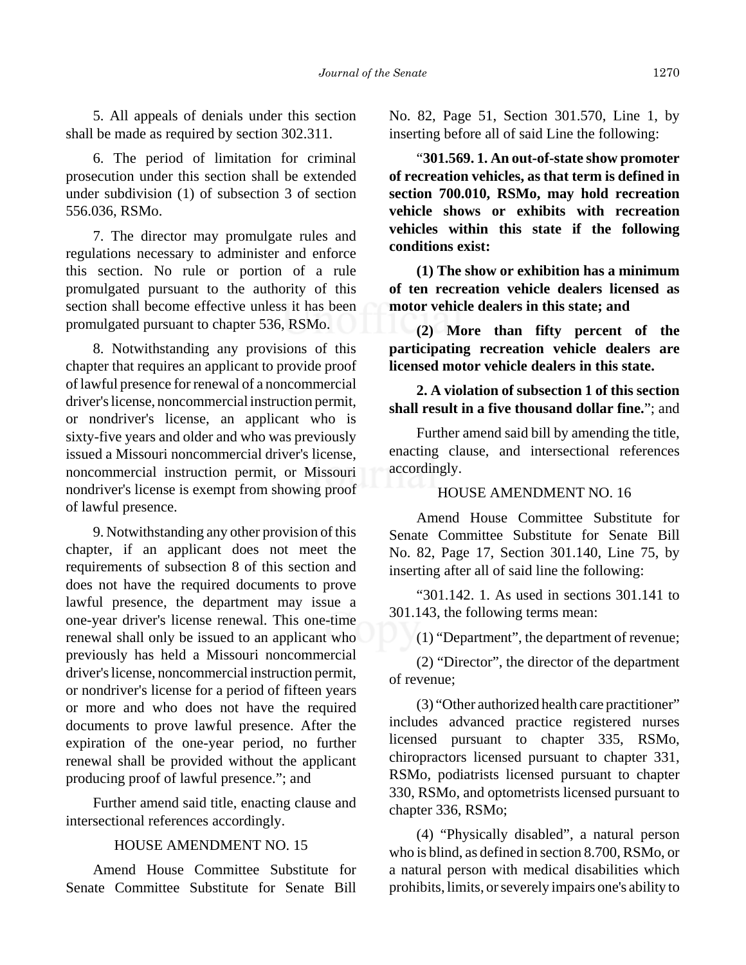5. All appeals of denials under this section shall be made as required by section 302.311.

6. The period of limitation for criminal prosecution under this section shall be extended under subdivision (1) of subsection 3 of section 556.036, RSMo.

7. The director may promulgate rules and regulations necessary to administer and enforce this section. No rule or portion of a rule promulgated pursuant to the authority of this section shall become effective unless it has been promulgated pursuant to chapter 536, RSMo.

8. Notwithstanding any provisions of this chapter that requires an applicant to provide proof of lawful presence for renewal of a noncommercial driver's license, noncommercial instruction permit, or nondriver's license, an applicant who is sixty-five years and older and who was previously issued a Missouri noncommercial driver's license, noncommercial instruction permit, or Missouri nondriver's license is exempt from showing proof of lawful presence.

9. Notwithstanding any other provision of this chapter, if an applicant does not meet the requirements of subsection 8 of this section and does not have the required documents to prove lawful presence, the department may issue a one-year driver's license renewal. This one-time renewal shall only be issued to an applicant who previously has held a Missouri noncommercial driver's license, noncommercial instruction permit, or nondriver's license for a period of fifteen years or more and who does not have the required documents to prove lawful presence. After the expiration of the one-year period, no further renewal shall be provided without the applicant producing proof of lawful presence."; and

Further amend said title, enacting clause and intersectional references accordingly.

# HOUSE AMENDMENT NO. 15

Amend House Committee Substitute for Senate Committee Substitute for Senate Bill No. 82, Page 51, Section 301.570, Line 1, by inserting before all of said Line the following:

"**301.569. 1. An out-of-state show promoter of recreation vehicles, as that term is defined in section 700.010, RSMo, may hold recreation vehicle shows or exhibits with recreation vehicles within this state if the following conditions exist:**

**(1) The show or exhibition has a minimum of ten recreation vehicle dealers licensed as motor vehicle dealers in this state; and**

**(2) More than fifty percent of the participating recreation vehicle dealers are licensed motor vehicle dealers in this state.**

# **2. A violation of subsection 1 of this section shall result in a five thousand dollar fine.**"; and

Further amend said bill by amending the title, enacting clause, and intersectional references accordingly.

#### HOUSE AMENDMENT NO. 16

Amend House Committee Substitute for Senate Committee Substitute for Senate Bill No. 82, Page 17, Section 301.140, Line 75, by inserting after all of said line the following:

"301.142. 1. As used in sections 301.141 to 301.143, the following terms mean:

(1) "Department", the department of revenue;

(2) "Director", the director of the department of revenue;

(3) "Other authorized health care practitioner" includes advanced practice registered nurses licensed pursuant to chapter 335, RSMo, chiropractors licensed pursuant to chapter 331, RSMo, podiatrists licensed pursuant to chapter 330, RSMo, and optometrists licensed pursuant to chapter 336, RSMo;

(4) "Physically disabled", a natural person who is blind, as defined in section 8.700, RSMo, or a natural person with medical disabilities which prohibits, limits, or severely impairs one's ability to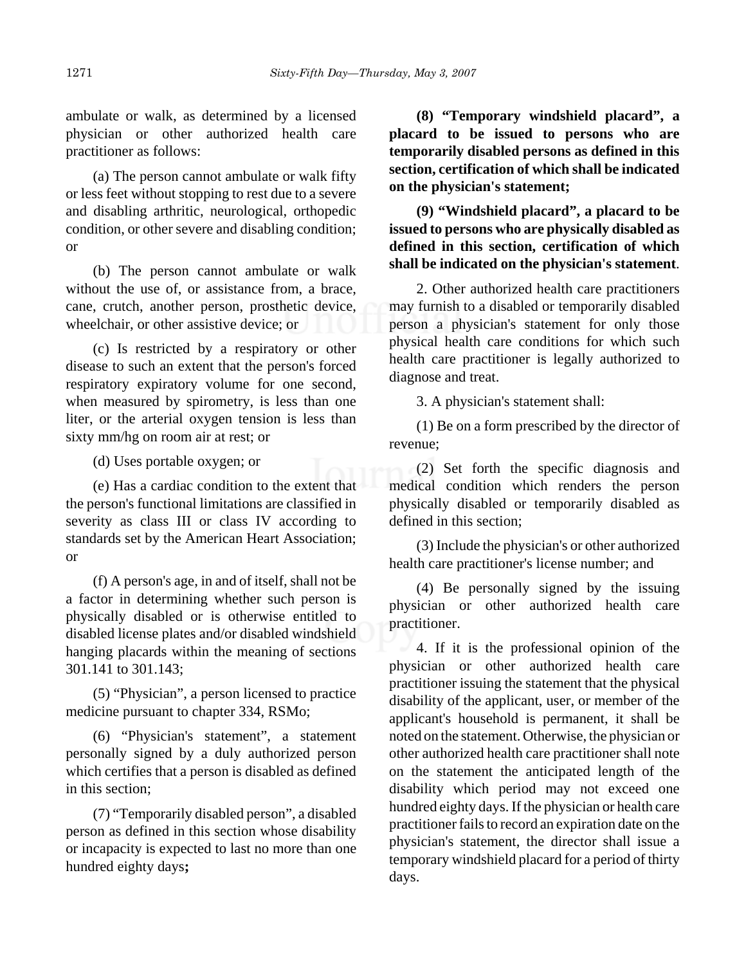ambulate or walk, as determined by a licensed physician or other authorized health care practitioner as follows:

(a) The person cannot ambulate or walk fifty or less feet without stopping to rest due to a severe and disabling arthritic, neurological, orthopedic condition, or other severe and disabling condition; or

(b) The person cannot ambulate or walk without the use of, or assistance from, a brace, cane, crutch, another person, prosthetic device, wheelchair, or other assistive device; or

(c) Is restricted by a respiratory or other disease to such an extent that the person's forced respiratory expiratory volume for one second, when measured by spirometry, is less than one liter, or the arterial oxygen tension is less than sixty mm/hg on room air at rest; or

(d) Uses portable oxygen; or

(e) Has a cardiac condition to the extent that the person's functional limitations are classified in severity as class III or class IV according to standards set by the American Heart Association; or

(f) A person's age, in and of itself, shall not be a factor in determining whether such person is physically disabled or is otherwise entitled to disabled license plates and/or disabled windshield hanging placards within the meaning of sections 301.141 to 301.143;

(5) "Physician", a person licensed to practice medicine pursuant to chapter 334, RSMo;

(6) "Physician's statement", a statement personally signed by a duly authorized person which certifies that a person is disabled as defined in this section;

(7) "Temporarily disabled person", a disabled person as defined in this section whose disability or incapacity is expected to last no more than one hundred eighty days**;**

**(8) "Temporary windshield placard", a placard to be issued to persons who are temporarily disabled persons as defined in this section, certification of which shall be indicated on the physician's statement;**

**(9) "Windshield placard", a placard to be issued to persons who are physically disabled as defined in this section, certification of which shall be indicated on the physician's statement**.

2. Other authorized health care practitioners may furnish to a disabled or temporarily disabled person a physician's statement for only those physical health care conditions for which such health care practitioner is legally authorized to diagnose and treat.

3. A physician's statement shall:

(1) Be on a form prescribed by the director of revenue;

(2) Set forth the specific diagnosis and medical condition which renders the person physically disabled or temporarily disabled as defined in this section;

(3) Include the physician's or other authorized health care practitioner's license number; and

(4) Be personally signed by the issuing physician or other authorized health care practitioner.

4. If it is the professional opinion of the physician or other authorized health care practitioner issuing the statement that the physical disability of the applicant, user, or member of the applicant's household is permanent, it shall be noted on the statement. Otherwise, the physician or other authorized health care practitioner shall note on the statement the anticipated length of the disability which period may not exceed one hundred eighty days. If the physician or health care practitioner fails to record an expiration date on the physician's statement, the director shall issue a temporary windshield placard for a period of thirty days.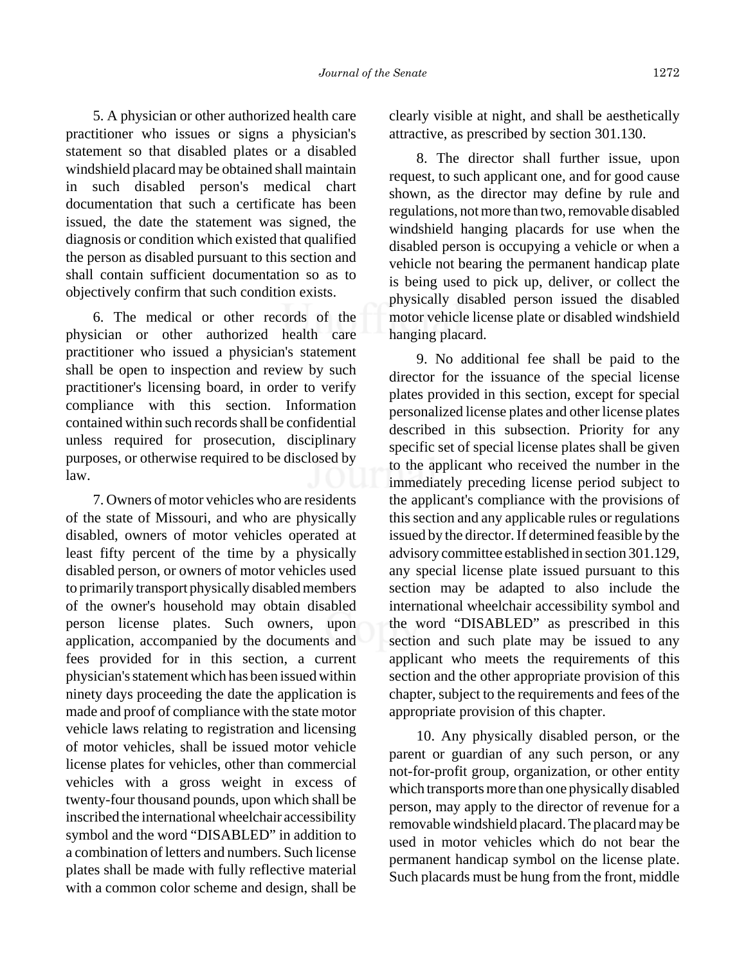5. A physician or other authorized health care practitioner who issues or signs a physician's statement so that disabled plates or a disabled windshield placard may be obtained shall maintain in such disabled person's medical chart documentation that such a certificate has been issued, the date the statement was signed, the diagnosis or condition which existed that qualified the person as disabled pursuant to this section and shall contain sufficient documentation so as to objectively confirm that such condition exists.

6. The medical or other records of the physician or other authorized health care practitioner who issued a physician's statement shall be open to inspection and review by such practitioner's licensing board, in order to verify compliance with this section. Information contained within such records shall be confidential unless required for prosecution, disciplinary purposes, or otherwise required to be disclosed by law.

7. Owners of motor vehicles who are residents of the state of Missouri, and who are physically disabled, owners of motor vehicles operated at least fifty percent of the time by a physically disabled person, or owners of motor vehicles used to primarily transport physically disabled members of the owner's household may obtain disabled person license plates. Such owners, upon application, accompanied by the documents and fees provided for in this section, a current physician's statement which has been issued within ninety days proceeding the date the application is made and proof of compliance with the state motor vehicle laws relating to registration and licensing of motor vehicles, shall be issued motor vehicle license plates for vehicles, other than commercial vehicles with a gross weight in excess of twenty-four thousand pounds, upon which shall be inscribed the international wheelchair accessibility symbol and the word "DISABLED" in addition to a combination of letters and numbers. Such license plates shall be made with fully reflective material with a common color scheme and design, shall be clearly visible at night, and shall be aesthetically attractive, as prescribed by section 301.130.

8. The director shall further issue, upon request, to such applicant one, and for good cause shown, as the director may define by rule and regulations, not more than two, removable disabled windshield hanging placards for use when the disabled person is occupying a vehicle or when a vehicle not bearing the permanent handicap plate is being used to pick up, deliver, or collect the physically disabled person issued the disabled motor vehicle license plate or disabled windshield hanging placard.

9. No additional fee shall be paid to the director for the issuance of the special license plates provided in this section, except for special personalized license plates and other license plates described in this subsection. Priority for any specific set of special license plates shall be given to the applicant who received the number in the immediately preceding license period subject to the applicant's compliance with the provisions of this section and any applicable rules or regulations issued by the director. If determined feasible by the advisory committee established in section 301.129, any special license plate issued pursuant to this section may be adapted to also include the international wheelchair accessibility symbol and the word "DISABLED" as prescribed in this section and such plate may be issued to any applicant who meets the requirements of this section and the other appropriate provision of this chapter, subject to the requirements and fees of the appropriate provision of this chapter.

10. Any physically disabled person, or the parent or guardian of any such person, or any not-for-profit group, organization, or other entity which transports more than one physically disabled person, may apply to the director of revenue for a removable windshield placard. The placard may be used in motor vehicles which do not bear the permanent handicap symbol on the license plate. Such placards must be hung from the front, middle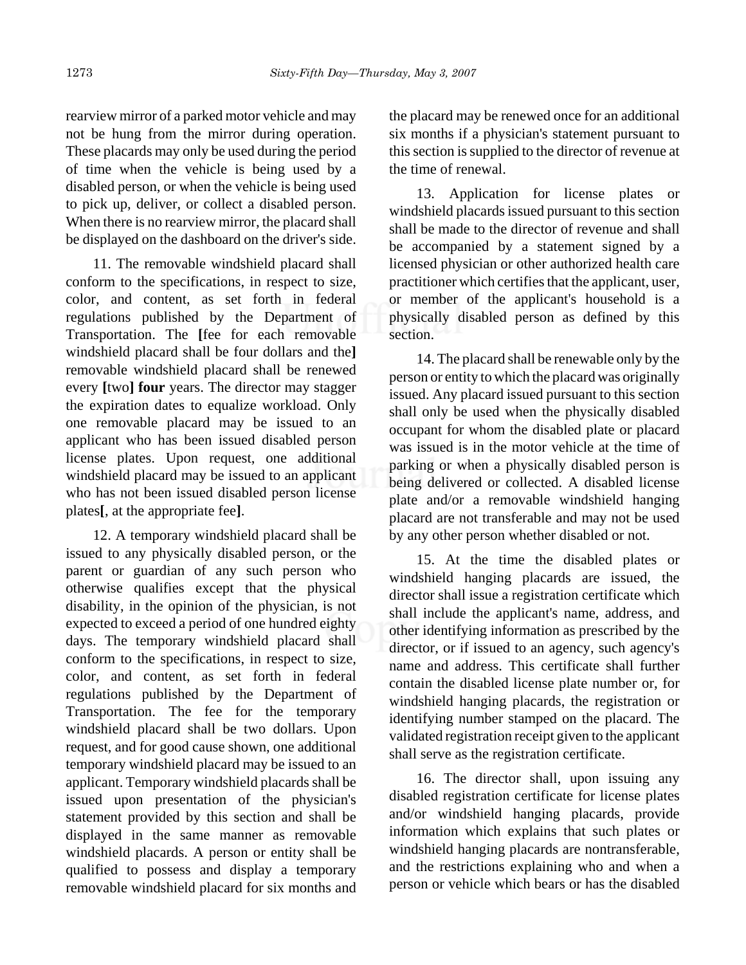rearview mirror of a parked motor vehicle and may not be hung from the mirror during operation. These placards may only be used during the period of time when the vehicle is being used by a disabled person, or when the vehicle is being used to pick up, deliver, or collect a disabled person. When there is no rearview mirror, the placard shall be displayed on the dashboard on the driver's side.

11. The removable windshield placard shall conform to the specifications, in respect to size, color, and content, as set forth in federal regulations published by the Department of Transportation. The **[**fee for each removable windshield placard shall be four dollars and the**]** removable windshield placard shall be renewed every **[**two**] four** years. The director may stagger the expiration dates to equalize workload. Only one removable placard may be issued to an applicant who has been issued disabled person license plates. Upon request, one additional windshield placard may be issued to an applicant who has not been issued disabled person license plates**[**, at the appropriate fee**]**.

12. A temporary windshield placard shall be issued to any physically disabled person, or the parent or guardian of any such person who otherwise qualifies except that the physical disability, in the opinion of the physician, is not expected to exceed a period of one hundred eighty days. The temporary windshield placard shall conform to the specifications, in respect to size, color, and content, as set forth in federal regulations published by the Department of Transportation. The fee for the temporary windshield placard shall be two dollars. Upon request, and for good cause shown, one additional temporary windshield placard may be issued to an applicant. Temporary windshield placards shall be issued upon presentation of the physician's statement provided by this section and shall be displayed in the same manner as removable windshield placards. A person or entity shall be qualified to possess and display a temporary removable windshield placard for six months and

the placard may be renewed once for an additional six months if a physician's statement pursuant to this section is supplied to the director of revenue at the time of renewal.

13. Application for license plates or windshield placards issued pursuant to this section shall be made to the director of revenue and shall be accompanied by a statement signed by a licensed physician or other authorized health care practitioner which certifies that the applicant, user, or member of the applicant's household is a physically disabled person as defined by this section.

14. The placard shall be renewable only by the person or entity to which the placard was originally issued. Any placard issued pursuant to this section shall only be used when the physically disabled occupant for whom the disabled plate or placard was issued is in the motor vehicle at the time of parking or when a physically disabled person is being delivered or collected. A disabled license plate and/or a removable windshield hanging placard are not transferable and may not be used by any other person whether disabled or not.

15. At the time the disabled plates or windshield hanging placards are issued, the director shall issue a registration certificate which shall include the applicant's name, address, and other identifying information as prescribed by the director, or if issued to an agency, such agency's name and address. This certificate shall further contain the disabled license plate number or, for windshield hanging placards, the registration or identifying number stamped on the placard. The validated registration receipt given to the applicant shall serve as the registration certificate.

16. The director shall, upon issuing any disabled registration certificate for license plates and/or windshield hanging placards, provide information which explains that such plates or windshield hanging placards are nontransferable, and the restrictions explaining who and when a person or vehicle which bears or has the disabled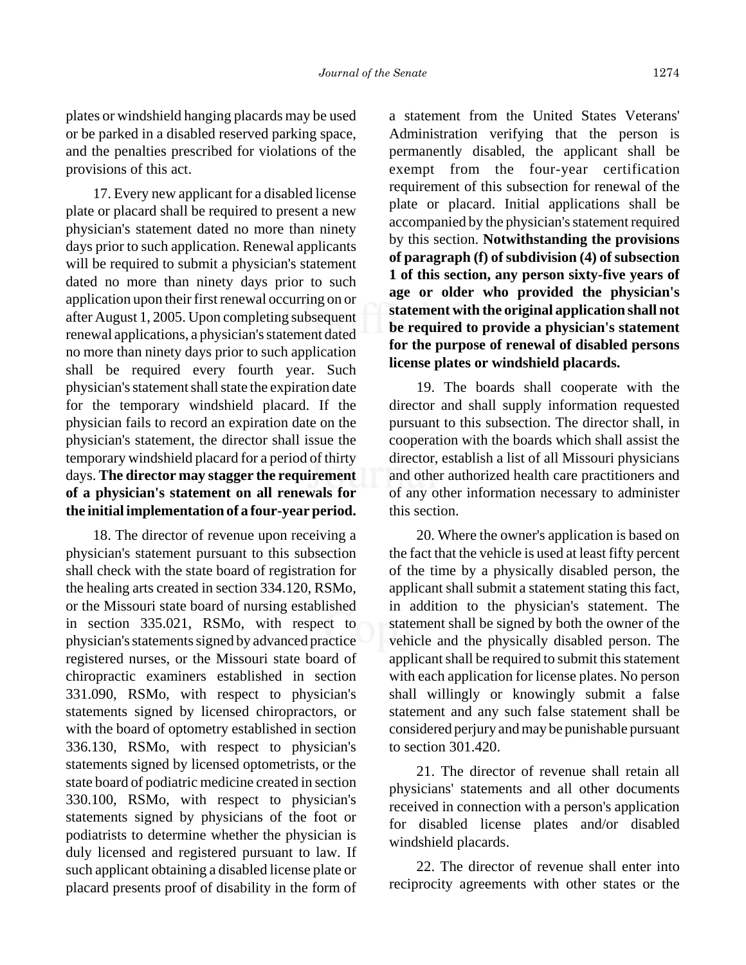plates or windshield hanging placards may be used or be parked in a disabled reserved parking space, and the penalties prescribed for violations of the provisions of this act.

17. Every new applicant for a disabled license plate or placard shall be required to present a new physician's statement dated no more than ninety days prior to such application. Renewal applicants will be required to submit a physician's statement dated no more than ninety days prior to such application upon their first renewal occurring on or after August 1, 2005. Upon completing subsequent renewal applications, a physician's statement dated no more than ninety days prior to such application shall be required every fourth year. Such physician's statement shall state the expiration date for the temporary windshield placard. If the physician fails to record an expiration date on the physician's statement, the director shall issue the temporary windshield placard for a period of thirty days. **The director may stagger the requirement of a physician's statement on all renewals for the initial implementation of a four-year period.**

18. The director of revenue upon receiving a physician's statement pursuant to this subsection shall check with the state board of registration for the healing arts created in section 334.120, RSMo, or the Missouri state board of nursing established in section 335.021, RSMo, with respect to physician's statements signed by advanced practice registered nurses, or the Missouri state board of chiropractic examiners established in section 331.090, RSMo, with respect to physician's statements signed by licensed chiropractors, or with the board of optometry established in section 336.130, RSMo, with respect to physician's statements signed by licensed optometrists, or the state board of podiatric medicine created in section 330.100, RSMo, with respect to physician's statements signed by physicians of the foot or podiatrists to determine whether the physician is duly licensed and registered pursuant to law. If such applicant obtaining a disabled license plate or placard presents proof of disability in the form of

a statement from the United States Veterans' Administration verifying that the person is permanently disabled, the applicant shall be exempt from the four-year certification requirement of this subsection for renewal of the plate or placard. Initial applications shall be accompanied by the physician's statement required by this section. **Notwithstanding the provisions of paragraph (f) of subdivision (4) of subsection 1 of this section, any person sixty-five years of age or older who provided the physician's statement with the original application shall not be required to provide a physician's statement for the purpose of renewal of disabled persons license plates or windshield placards.**

19. The boards shall cooperate with the director and shall supply information requested pursuant to this subsection. The director shall, in cooperation with the boards which shall assist the director, establish a list of all Missouri physicians and other authorized health care practitioners and of any other information necessary to administer this section.

20. Where the owner's application is based on the fact that the vehicle is used at least fifty percent of the time by a physically disabled person, the applicant shall submit a statement stating this fact, in addition to the physician's statement. The statement shall be signed by both the owner of the vehicle and the physically disabled person. The applicant shall be required to submit this statement with each application for license plates. No person shall willingly or knowingly submit a false statement and any such false statement shall be considered perjury and may be punishable pursuant to section 301.420.

21. The director of revenue shall retain all physicians' statements and all other documents received in connection with a person's application for disabled license plates and/or disabled windshield placards.

22. The director of revenue shall enter into reciprocity agreements with other states or the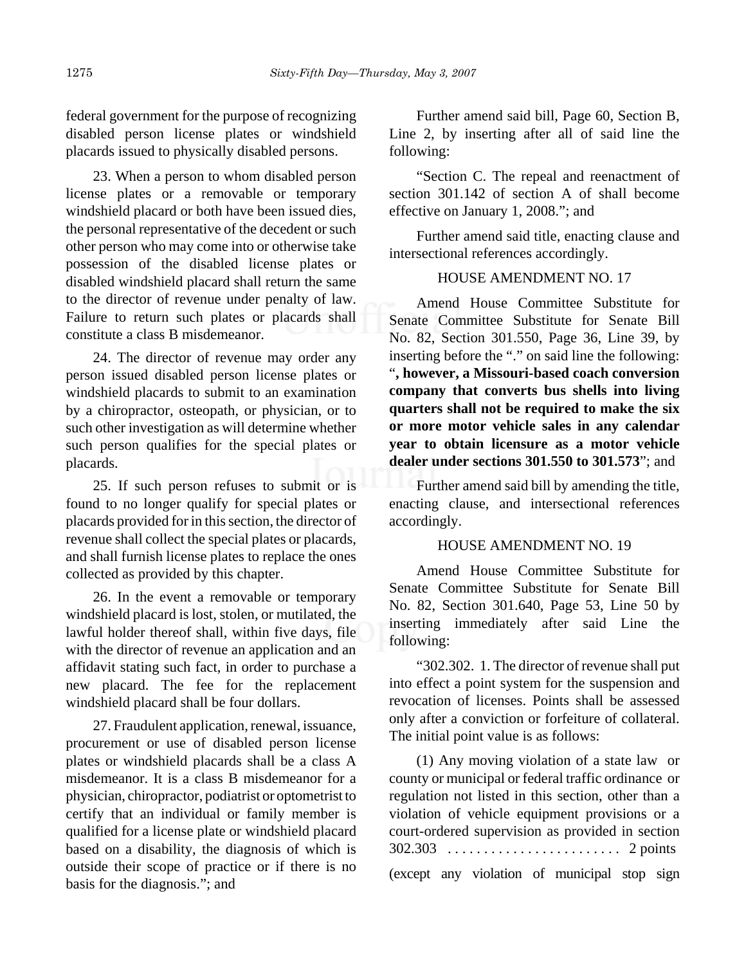federal government for the purpose of recognizing disabled person license plates or windshield placards issued to physically disabled persons.

23. When a person to whom disabled person license plates or a removable or temporary windshield placard or both have been issued dies, the personal representative of the decedent or such other person who may come into or otherwise take possession of the disabled license plates or disabled windshield placard shall return the same to the director of revenue under penalty of law. Failure to return such plates or placards shall constitute a class B misdemeanor.

24. The director of revenue may order any person issued disabled person license plates or windshield placards to submit to an examination by a chiropractor, osteopath, or physician, or to such other investigation as will determine whether such person qualifies for the special plates or placards.

25. If such person refuses to submit or is found to no longer qualify for special plates or placards provided for in this section, the director of revenue shall collect the special plates or placards, and shall furnish license plates to replace the ones collected as provided by this chapter.

26. In the event a removable or temporary windshield placard is lost, stolen, or mutilated, the lawful holder thereof shall, within five days, file with the director of revenue an application and an affidavit stating such fact, in order to purchase a new placard. The fee for the replacement windshield placard shall be four dollars.

27. Fraudulent application, renewal, issuance, procurement or use of disabled person license plates or windshield placards shall be a class A misdemeanor. It is a class B misdemeanor for a physician, chiropractor, podiatrist or optometrist to certify that an individual or family member is qualified for a license plate or windshield placard based on a disability, the diagnosis of which is outside their scope of practice or if there is no basis for the diagnosis."; and

Further amend said bill, Page 60, Section B, Line 2, by inserting after all of said line the following:

"Section C. The repeal and reenactment of section 301.142 of section A of shall become effective on January 1, 2008."; and

Further amend said title, enacting clause and intersectional references accordingly.

# HOUSE AMENDMENT NO. 17

Amend House Committee Substitute for Senate Committee Substitute for Senate Bill No. 82, Section 301.550, Page 36, Line 39, by inserting before the "." on said line the following: "**, however, a Missouri-based coach conversion company that converts bus shells into living quarters shall not be required to make the six or more motor vehicle sales in any calendar year to obtain licensure as a motor vehicle dealer under sections 301.550 to 301.573**"; and

Further amend said bill by amending the title, enacting clause, and intersectional references accordingly.

#### HOUSE AMENDMENT NO. 19

Amend House Committee Substitute for Senate Committee Substitute for Senate Bill No. 82, Section 301.640, Page 53, Line 50 by inserting immediately after said Line the following:

"302.302. 1. The director of revenue shall put into effect a point system for the suspension and revocation of licenses. Points shall be assessed only after a conviction or forfeiture of collateral. The initial point value is as follows:

(1) Any moving violation of a state law or county or municipal or federal traffic ordinance or regulation not listed in this section, other than a violation of vehicle equipment provisions or a court-ordered supervision as provided in section 302.303 . . . . . . . . . . . . . . . . . . . . . . . . 2 points (except any violation of municipal stop sign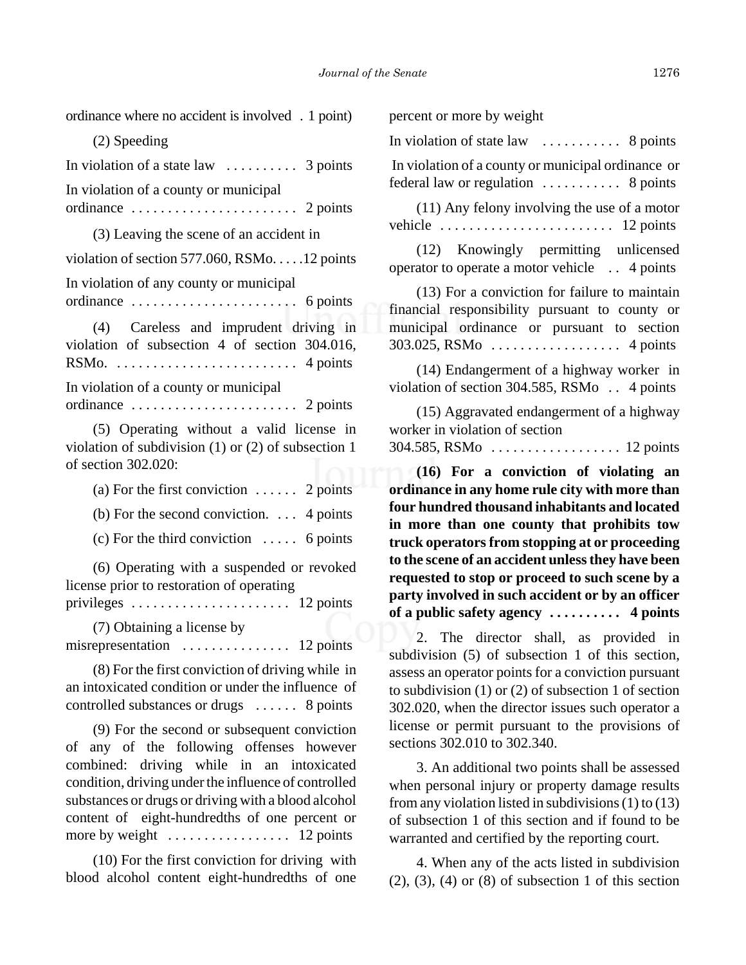| $(2)$ Speeding                                                                                                             |
|----------------------------------------------------------------------------------------------------------------------------|
| In violation of a state law $\dots \dots \dots$ 3 points                                                                   |
| In violation of a county or municipal<br>ordinance $\ldots \ldots \ldots \ldots \ldots \ldots$ 2 points                    |
| (3) Leaving the scene of an accident in                                                                                    |
| violation of section 577.060, RSMo. 12 points                                                                              |
| In violation of any county or municipal                                                                                    |
| (4) Careless and imprudent driving in<br>violation of subsection 4 of section 304.016,                                     |
| In violation of a county or municipal                                                                                      |
| (5) Operating without a valid license in<br>violation of subdivision $(1)$ or $(2)$ of subsection 1<br>of section 302.020: |
| (a) For the first conviction $\dots \dots$ 2 points                                                                        |
| (b) For the second conviction. $\ldots$ 4 points                                                                           |
| (c) For the third conviction $\dots$ 6 points                                                                              |
| (6) Operating with a suspended or revoked<br>license prior to restoration of operating                                     |

ordinance where no accident is involved . 1 point)

(7) Obtaining a license by

misrepresentation . . . . . . . . . . . . . . 12 points

(8) For the first conviction of driving while in an intoxicated condition or under the influence of controlled substances or drugs . . . . . . 8 points

(9) For the second or subsequent conviction of any of the following offenses however combined: driving while in an intoxicated condition, driving under the influence of controlled substances or drugs or driving with a blood alcohol content of eight-hundredths of one percent or more by weight . . . . . . . . . . . . . . . . . 12 points

(10) For the first conviction for driving with blood alcohol content eight-hundredths of one

percent or more by weight

| In violation of state law $\dots \dots \dots$ 8 points |  |
|--------------------------------------------------------|--|
| In violation of a county or municipal ordinance or     |  |
| federal law or regulation $\dots \dots \dots$ 8 points |  |

(11) Any felony involving the use of a motor vehicle  $\dots \dots \dots \dots \dots \dots \dots \dots$  12 points

(12) Knowingly permitting unlicensed operator to operate a motor vehicle . . 4 points

(13) For a conviction for failure to maintain financial responsibility pursuant to county or municipal ordinance or pursuant to section 303.025, RSMo . . . . . . . . . . . . . . . . . . 4 points

(14) Endangerment of a highway worker in violation of section 304.585, RSMo . . 4 points

(15) Aggravated endangerment of a highway worker in violation of section

304.585, RSMo . . . . . . . . . . . . . . . . . . 12 points

**(16) For a conviction of violating an ordinance in any home rule city with more than four hundred thousand inhabitants and located in more than one county that prohibits tow truck operators from stopping at or proceeding to the scene of an accident unless they have been requested to stop or proceed to such scene by a party involved in such accident or by an officer of a public safety agency . . . . . . . . . . 4 points**

2. The director shall, as provided in subdivision (5) of subsection 1 of this section, assess an operator points for a conviction pursuant to subdivision (1) or (2) of subsection 1 of section 302.020, when the director issues such operator a license or permit pursuant to the provisions of sections 302.010 to 302.340.

3. An additional two points shall be assessed when personal injury or property damage results from any violation listed in subdivisions (1) to (13) of subsection 1 of this section and if found to be warranted and certified by the reporting court.

4. When any of the acts listed in subdivision  $(2)$ ,  $(3)$ ,  $(4)$  or  $(8)$  of subsection 1 of this section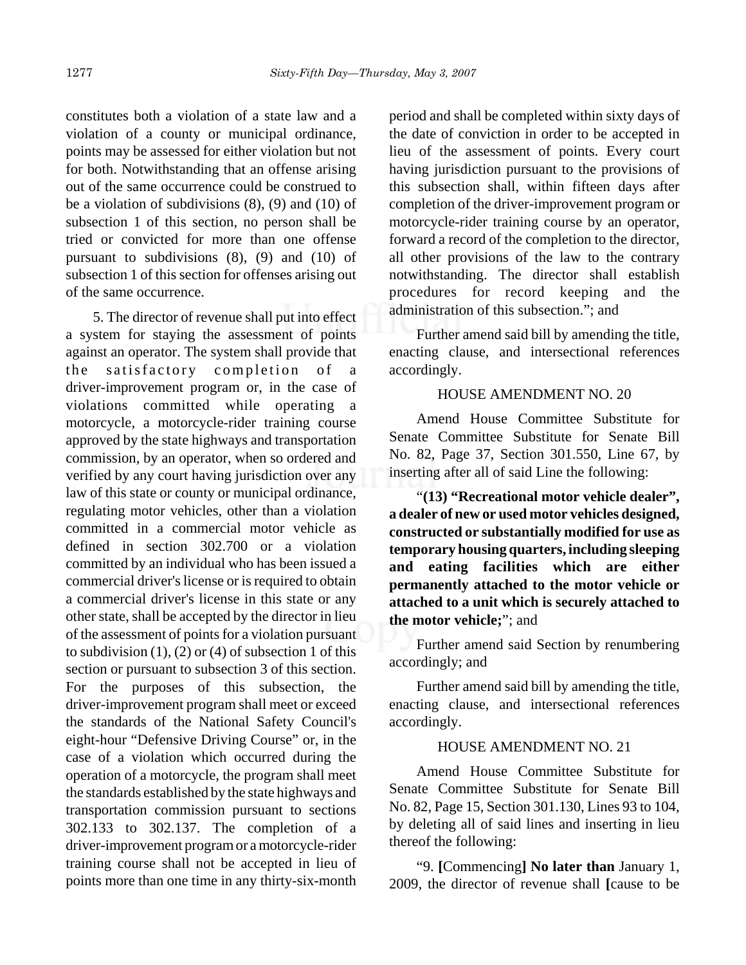constitutes both a violation of a state law and a violation of a county or municipal ordinance, points may be assessed for either violation but not for both. Notwithstanding that an offense arising out of the same occurrence could be construed to be a violation of subdivisions (8), (9) and (10) of subsection 1 of this section, no person shall be tried or convicted for more than one offense pursuant to subdivisions (8), (9) and (10) of subsection 1 of this section for offenses arising out of the same occurrence.

5. The director of revenue shall put into effect a system for staying the assessment of points against an operator. The system shall provide that the satisfactory completion of a driver-improvement program or, in the case of violations committed while operating a motorcycle, a motorcycle-rider training course approved by the state highways and transportation commission, by an operator, when so ordered and verified by any court having jurisdiction over any law of this state or county or municipal ordinance, regulating motor vehicles, other than a violation committed in a commercial motor vehicle as defined in section 302.700 or a violation committed by an individual who has been issued a commercial driver's license or is required to obtain a commercial driver's license in this state or any other state, shall be accepted by the director in lieu of the assessment of points for a violation pursuant to subdivision  $(1)$ ,  $(2)$  or  $(4)$  of subsection 1 of this section or pursuant to subsection 3 of this section. For the purposes of this subsection, the driver-improvement program shall meet or exceed the standards of the National Safety Council's eight-hour "Defensive Driving Course" or, in the case of a violation which occurred during the operation of a motorcycle, the program shall meet the standards established by the state highways and transportation commission pursuant to sections 302.133 to 302.137. The completion of a driver-improvement program or a motorcycle-rider training course shall not be accepted in lieu of points more than one time in any thirty-six-month

period and shall be completed within sixty days of the date of conviction in order to be accepted in lieu of the assessment of points. Every court having jurisdiction pursuant to the provisions of this subsection shall, within fifteen days after completion of the driver-improvement program or motorcycle-rider training course by an operator, forward a record of the completion to the director, all other provisions of the law to the contrary notwithstanding. The director shall establish procedures for record keeping and the administration of this subsection."; and

Further amend said bill by amending the title, enacting clause, and intersectional references accordingly.

#### HOUSE AMENDMENT NO. 20

Amend House Committee Substitute for Senate Committee Substitute for Senate Bill No. 82, Page 37, Section 301.550, Line 67, by inserting after all of said Line the following:

"**(13) "Recreational motor vehicle dealer", a dealer of new or used motor vehicles designed, constructed or substantially modified for use as temporary housing quarters, including sleeping and eating facilities which are either permanently attached to the motor vehicle or attached to a unit which is securely attached to the motor vehicle;**"; and

Further amend said Section by renumbering accordingly; and

Further amend said bill by amending the title, enacting clause, and intersectional references accordingly.

## HOUSE AMENDMENT NO. 21

Amend House Committee Substitute for Senate Committee Substitute for Senate Bill No. 82, Page 15, Section 301.130, Lines 93 to 104, by deleting all of said lines and inserting in lieu thereof the following:

"9. **[**Commencing**] No later than** January 1, 2009, the director of revenue shall **[**cause to be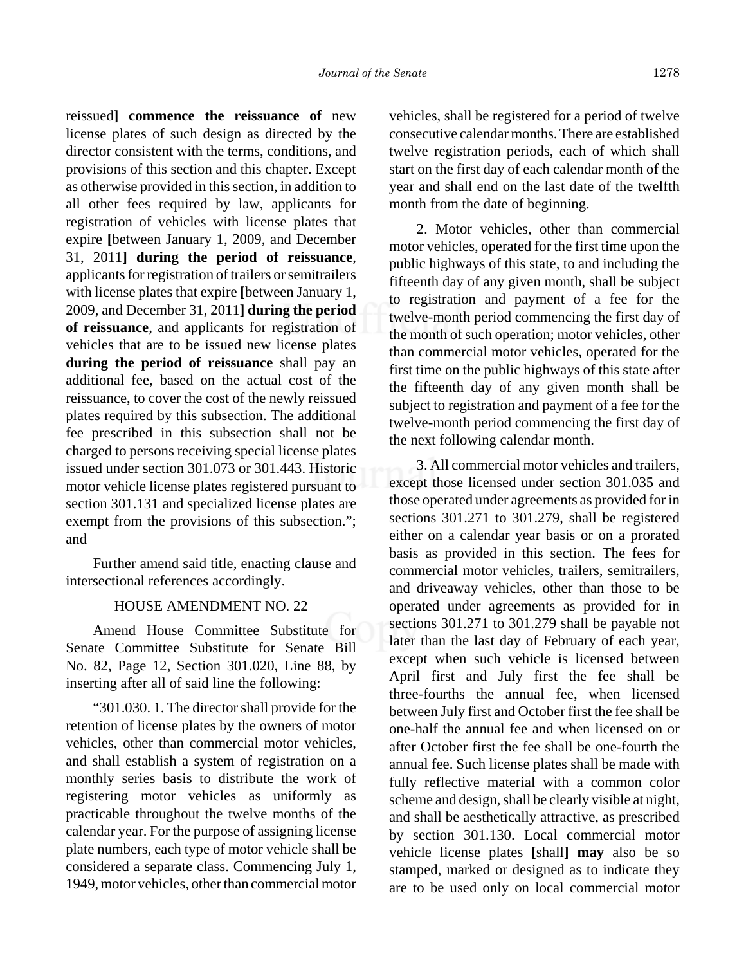reissued**] commence the reissuance of** new license plates of such design as directed by the director consistent with the terms, conditions, and provisions of this section and this chapter. Except as otherwise provided in this section, in addition to all other fees required by law, applicants for registration of vehicles with license plates that expire **[**between January 1, 2009, and December 31, 2011**] during the period of reissuance**, applicants for registration of trailers or semitrailers with license plates that expire **[**between January 1, 2009, and December 31, 2011**] during the period of reissuance**, and applicants for registration of vehicles that are to be issued new license plates **during the period of reissuance** shall pay an additional fee, based on the actual cost of the reissuance, to cover the cost of the newly reissued plates required by this subsection. The additional fee prescribed in this subsection shall not be charged to persons receiving special license plates issued under section 301.073 or 301.443. Historic motor vehicle license plates registered pursuant to section 301.131 and specialized license plates are exempt from the provisions of this subsection."; and

Further amend said title, enacting clause and intersectional references accordingly.

## HOUSE AMENDMENT NO. 22

Amend House Committee Substitute for Senate Committee Substitute for Senate Bill No. 82, Page 12, Section 301.020, Line 88, by inserting after all of said line the following:

"301.030. 1. The director shall provide for the retention of license plates by the owners of motor vehicles, other than commercial motor vehicles, and shall establish a system of registration on a monthly series basis to distribute the work of registering motor vehicles as uniformly as practicable throughout the twelve months of the calendar year. For the purpose of assigning license plate numbers, each type of motor vehicle shall be considered a separate class. Commencing July 1, 1949, motor vehicles, other than commercial motor

vehicles, shall be registered for a period of twelve consecutive calendar months. There are established twelve registration periods, each of which shall start on the first day of each calendar month of the year and shall end on the last date of the twelfth month from the date of beginning.

2. Motor vehicles, other than commercial motor vehicles, operated for the first time upon the public highways of this state, to and including the fifteenth day of any given month, shall be subject to registration and payment of a fee for the twelve-month period commencing the first day of the month of such operation; motor vehicles, other than commercial motor vehicles, operated for the first time on the public highways of this state after the fifteenth day of any given month shall be subject to registration and payment of a fee for the twelve-month period commencing the first day of the next following calendar month.

3. All commercial motor vehicles and trailers, except those licensed under section 301.035 and those operated under agreements as provided for in sections 301.271 to 301.279, shall be registered either on a calendar year basis or on a prorated basis as provided in this section. The fees for commercial motor vehicles, trailers, semitrailers, and driveaway vehicles, other than those to be operated under agreements as provided for in sections 301.271 to 301.279 shall be payable not later than the last day of February of each year, except when such vehicle is licensed between April first and July first the fee shall be three-fourths the annual fee, when licensed between July first and October first the fee shall be one-half the annual fee and when licensed on or after October first the fee shall be one-fourth the annual fee. Such license plates shall be made with fully reflective material with a common color scheme and design, shall be clearly visible at night, and shall be aesthetically attractive, as prescribed by section 301.130. Local commercial motor vehicle license plates **[**shall**] may** also be so stamped, marked or designed as to indicate they are to be used only on local commercial motor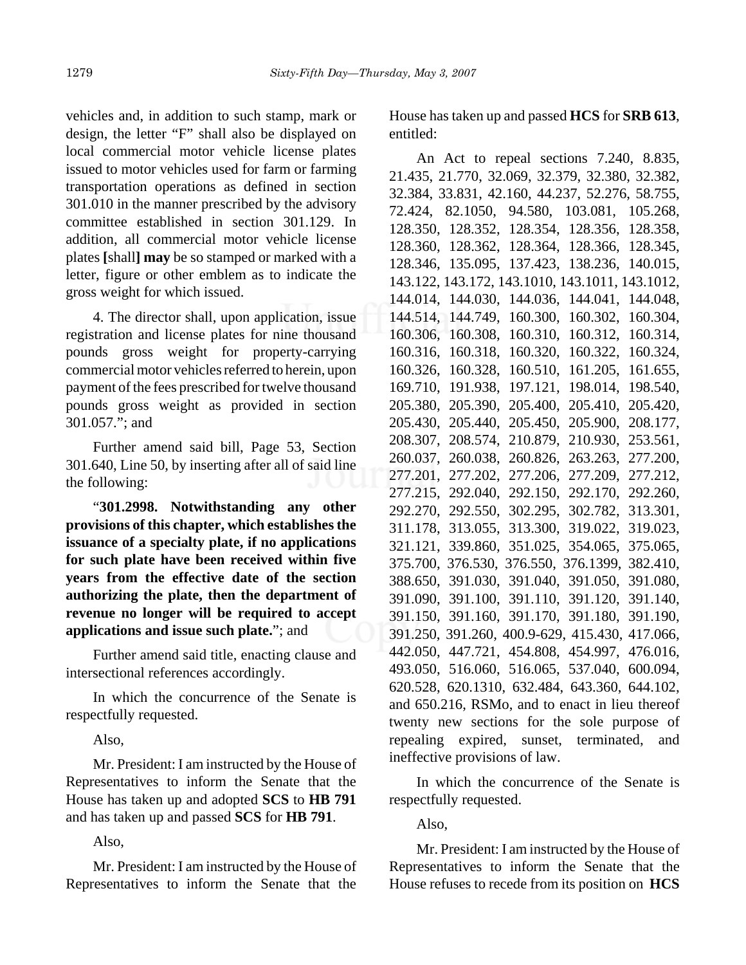vehicles and, in addition to such stamp, mark or design, the letter "F" shall also be displayed on local commercial motor vehicle license plates issued to motor vehicles used for farm or farming transportation operations as defined in section 301.010 in the manner prescribed by the advisory committee established in section 301.129. In addition, all commercial motor vehicle license plates **[**shall**] may** be so stamped or marked with a letter, figure or other emblem as to indicate the gross weight for which issued.

4. The director shall, upon application, issue registration and license plates for nine thousand pounds gross weight for property-carrying commercial motor vehicles referred to herein, upon payment of the fees prescribed for twelve thousand pounds gross weight as provided in section 301.057."; and

Further amend said bill, Page 53, Section 301.640, Line 50, by inserting after all of said line the following:

"**301.2998. Notwithstanding any other provisions of this chapter, which establishes the issuance of a specialty plate, if no applications for such plate have been received within five years from the effective date of the section authorizing the plate, then the department of revenue no longer will be required to accept applications and issue such plate.**"; and

Further amend said title, enacting clause and intersectional references accordingly.

In which the concurrence of the Senate is respectfully requested.

Also,

Mr. President: I am instructed by the House of Representatives to inform the Senate that the House has taken up and adopted **SCS** to **HB 791** and has taken up and passed **SCS** for **HB 791**.

Also,

Mr. President: I am instructed by the House of Representatives to inform the Senate that the House has taken up and passed **HCS** for **SRB 613**, entitled:

An Act to repeal sections 7.240, 8.835, 21.435, 21.770, 32.069, 32.379, 32.380, 32.382, 32.384, 33.831, 42.160, 44.237, 52.276, 58.755, 72.424, 82.1050, 94.580, 103.081, 105.268, 128.350, 128.352, 128.354, 128.356, 128.358, 128.360, 128.362, 128.364, 128.366, 128.345, 128.346, 135.095, 137.423, 138.236, 140.015, 143.122, 143.172, 143.1010, 143.1011, 143.1012, 144.014, 144.030, 144.036, 144.041, 144.048, 144.514, 144.749, 160.300, 160.302, 160.304, 160.306, 160.308, 160.310, 160.312, 160.314, 160.316, 160.318, 160.320, 160.322, 160.324, 160.326, 160.328, 160.510, 161.205, 161.655, 169.710, 191.938, 197.121, 198.014, 198.540, 205.380, 205.390, 205.400, 205.410, 205.420, 205.430, 205.440, 205.450, 205.900, 208.177, 208.307, 208.574, 210.879, 210.930, 253.561, 260.037, 260.038, 260.826, 263.263, 277.200, 277.201, 277.202, 277.206, 277.209, 277.212, 277.215, 292.040, 292.150, 292.170, 292.260, 292.270, 292.550, 302.295, 302.782, 313.301, 311.178, 313.055, 313.300, 319.022, 319.023, 321.121, 339.860, 351.025, 354.065, 375.065, 375.700, 376.530, 376.550, 376.1399, 382.410, 388.650, 391.030, 391.040, 391.050, 391.080, 391.090, 391.100, 391.110, 391.120, 391.140, 391.150, 391.160, 391.170, 391.180, 391.190, 391.250, 391.260, 400.9-629, 415.430, 417.066, 442.050, 447.721, 454.808, 454.997, 476.016, 493.050, 516.060, 516.065, 537.040, 600.094, 620.528, 620.1310, 632.484, 643.360, 644.102, and 650.216, RSMo, and to enact in lieu thereof twenty new sections for the sole purpose of repealing expired, sunset, terminated, and ineffective provisions of law.

In which the concurrence of the Senate is respectfully requested.

Also,

Mr. President: I am instructed by the House of Representatives to inform the Senate that the House refuses to recede from its position on **HCS**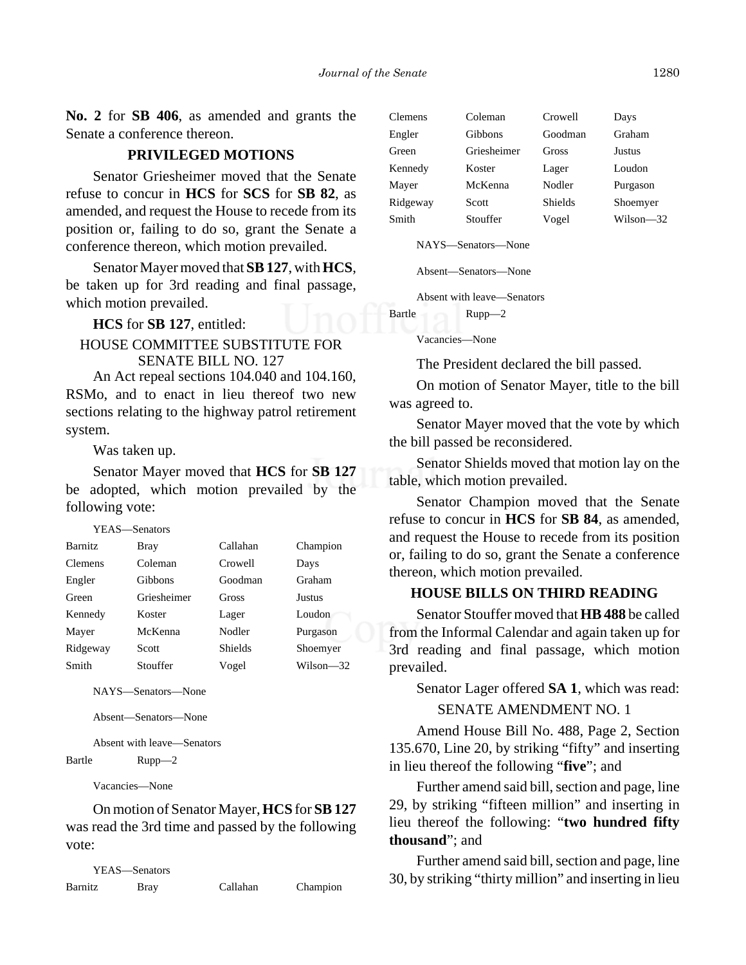**No. 2** for **SB 406**, as amended and grants the Senate a conference thereon.

#### **PRIVILEGED MOTIONS**

Senator Griesheimer moved that the Senate refuse to concur in **HCS** for **SCS** for **SB 82**, as amended, and request the House to recede from its position or, failing to do so, grant the Senate a conference thereon, which motion prevailed.

Senator Mayer moved that **SB 127**, with **HCS**, be taken up for 3rd reading and final passage, which motion prevailed.

**HCS** for **SB 127**, entitled:

#### HOUSE COMMITTEE SUBSTITUTE FOR SENATE BILL NO. 127

An Act repeal sections 104.040 and 104.160, RSMo, and to enact in lieu thereof two new sections relating to the highway patrol retirement system.

Was taken up.

Senator Mayer moved that **HCS** for **SB 127** be adopted, which motion prevailed by the following vote:

YEAS—Senators

| <b>Barnitz</b> | Bray        | Callahan       | Champion  |
|----------------|-------------|----------------|-----------|
| <b>Clemens</b> | Coleman     | Crowell        | Days      |
| Engler         | Gibbons     | Goodman        | Graham    |
| Green          | Griesheimer | Gross          | Justus    |
| Kennedy        | Koster      | Lager          | Loudon    |
| Mayer          | McKenna     | Nodler         | Purgason  |
| Ridgeway       | Scott       | <b>Shields</b> | Shoemyer  |
| Smith          | Stouffer    | Vogel          | Wilson-32 |

NAYS—Senators—None

Absent—Senators—None

Absent with leave—Senators

Bartle Rupp—2

Vacancies—None

On motion of Senator Mayer, **HCS** for **SB 127** was read the 3rd time and passed by the following vote:

YEAS—Senators Barnitz Bray Callahan Champion

| <b>Clemens</b> | Coleman     | Crowell        | Days      |
|----------------|-------------|----------------|-----------|
| Engler         | Gibbons     | Goodman        | Graham    |
| Green          | Griesheimer | Gross          | Justus    |
| Kennedy        | Koster      | Lager          | Loudon    |
| Mayer          | McKenna     | Nodler         | Purgason  |
| Ridgeway       | Scott       | <b>Shields</b> | Shoemyer  |
| Smith          | Stouffer    | Vogel          | Wilson—32 |
|                |             |                |           |

NAYS—Senators—None

Absent—Senators—None

Absent with leave—Senators

Bartle Rupp—2

Vacancies—None

The President declared the bill passed.

On motion of Senator Mayer, title to the bill was agreed to.

Senator Mayer moved that the vote by which the bill passed be reconsidered.

Senator Shields moved that motion lay on the table, which motion prevailed.

Senator Champion moved that the Senate refuse to concur in **HCS** for **SB 84**, as amended, and request the House to recede from its position or, failing to do so, grant the Senate a conference thereon, which motion prevailed.

# **HOUSE BILLS ON THIRD READING**

Senator Stouffer moved that **HB 488** be called from the Informal Calendar and again taken up for 3rd reading and final passage, which motion prevailed.

Senator Lager offered **SA 1**, which was read:

SENATE AMENDMENT NO. 1

Amend House Bill No. 488, Page 2, Section 135.670, Line 20, by striking "fifty" and inserting in lieu thereof the following "**five**"; and

Further amend said bill, section and page, line 29, by striking "fifteen million" and inserting in lieu thereof the following: "**two hundred fifty thousand**"; and

Further amend said bill, section and page, line 30, by striking "thirty million" and inserting in lieu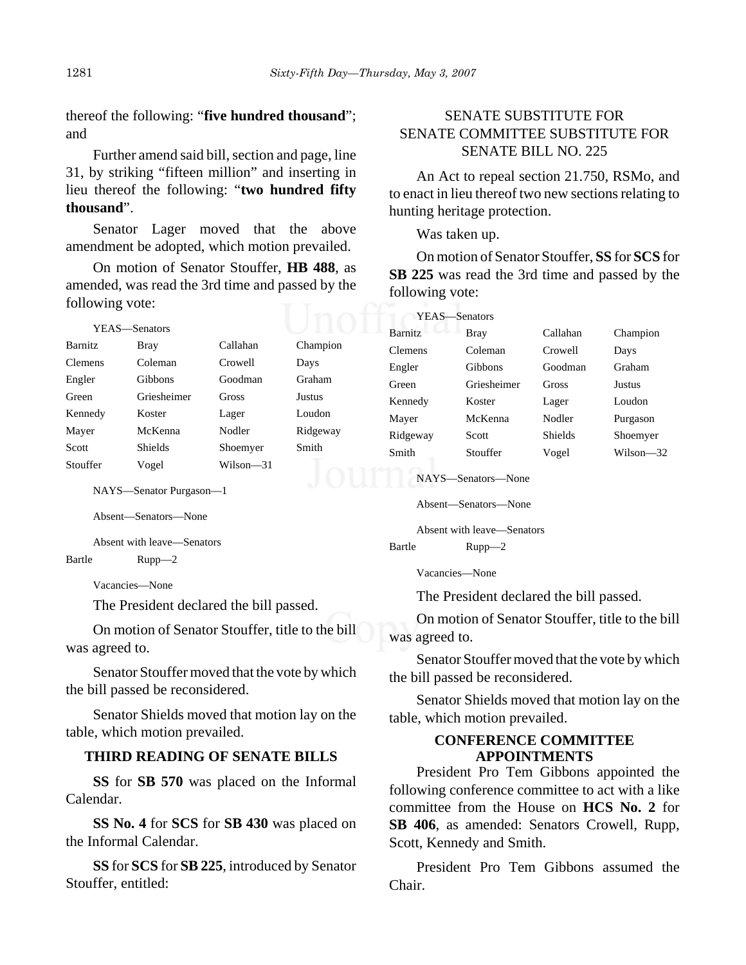thereof the following: "**five hundred thousand**"; and

Further amend said bill, section and page, line 31, by striking "fifteen million" and inserting in lieu thereof the following: "**two hundred fifty thousand**".

Senator Lager moved that the above amendment be adopted, which motion prevailed.

On motion of Senator Stouffer, **HB 488**, as amended, was read the 3rd time and passed by the following vote:

| YEAS—Senators  |                |           |               |
|----------------|----------------|-----------|---------------|
| <b>Barnitz</b> | Bray           | Callahan  | Champion      |
| <b>Clemens</b> | Coleman        | Crowell   | Days          |
| Engler         | <b>Gibbons</b> | Goodman   | Graham        |
| Green          | Griesheimer    | Gross     | <b>Justus</b> |
| Kennedy        | Koster         | Lager     | Loudon        |
| Mayer          | McKenna        | Nodler    | Ridgeway      |
| Scott          | <b>Shields</b> | Shoemyer  | Smith         |
| Stouffer       | Vogel          | Wilson—31 |               |

NAYS—Senator Purgason—1

Absent—Senators—None

Absent with leave—Senators

Bartle Rupp—2

Vacancies—None

The President declared the bill passed.

On motion of Senator Stouffer, title to the bill was agreed to.

Senator Stouffer moved that the vote by which the bill passed be reconsidered.

Senator Shields moved that motion lay on the table, which motion prevailed.

## **THIRD READING OF SENATE BILLS**

**SS** for **SB 570** was placed on the Informal Calendar.

**SS No. 4** for **SCS** for **SB 430** was placed on the Informal Calendar.

**SS** for **SCS** for **SB 225**, introduced by Senator Stouffer, entitled:

# SENATE SUBSTITUTE FOR SENATE COMMITTEE SUBSTITUTE FOR SENATE BILL NO. 225

An Act to repeal section 21.750, RSMo, and to enact in lieu thereof two new sections relating to hunting heritage protection.

Was taken up.

On motion of Senator Stouffer, **SS** for **SCS** for **SB 225** was read the 3rd time and passed by the following vote:

| YEAS—Senators |             |          |           |
|---------------|-------------|----------|-----------|
| Barnitz       | Bray        | Callahan | Champion  |
| Clemens       | Coleman     | Crowell  | Days      |
| Engler        | Gibbons     | Goodman  | Graham    |
| Green         | Griesheimer | Gross    | Justus    |
| Kennedy       | Koster      | Lager    | Loudon    |
| Mayer         | McKenna     | Nodler   | Purgason  |
| Ridgeway      | Scott       | Shields  | Shoemyer  |
| Smith         | Stouffer    | Vogel    | Wilson-32 |

```
NAYS—Senators—None
```
Absent—Senators—None

Absent with leave—Senators Bartle Rupp—2

Vacancies—None

The President declared the bill passed.

On motion of Senator Stouffer, title to the bill was agreed to.

Senator Stouffer moved that the vote by which the bill passed be reconsidered.

Senator Shields moved that motion lay on the table, which motion prevailed.

# **CONFERENCE COMMITTEE APPOINTMENTS**

President Pro Tem Gibbons appointed the following conference committee to act with a like committee from the House on **HCS No. 2** for **SB 406**, as amended: Senators Crowell, Rupp, Scott, Kennedy and Smith.

President Pro Tem Gibbons assumed the Chair.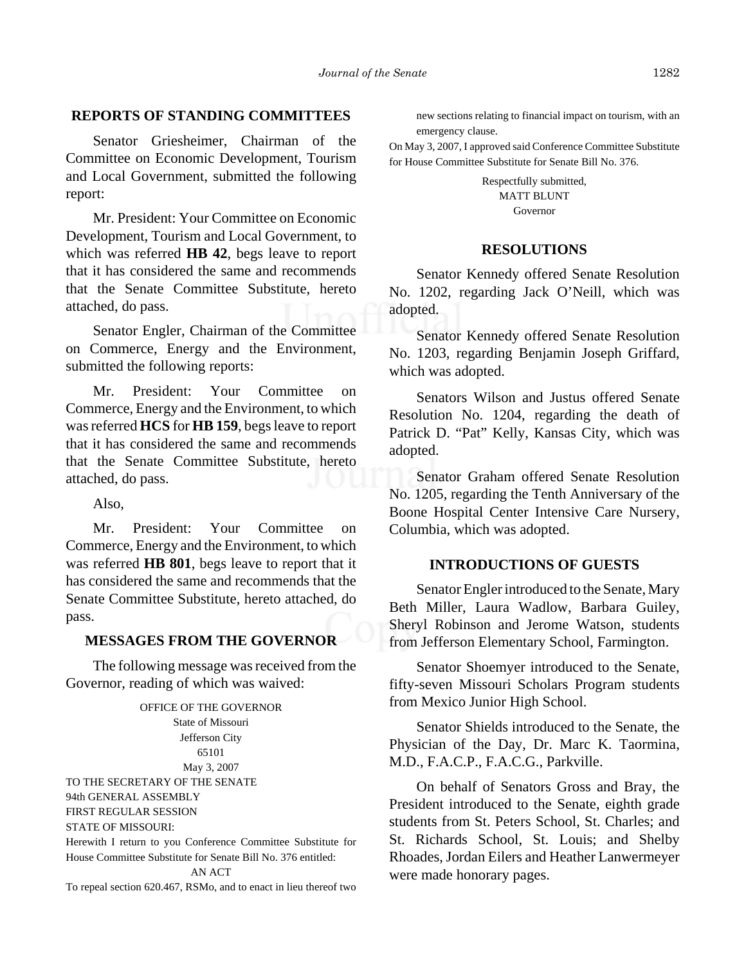#### **REPORTS OF STANDING COMMITTEES**

Senator Griesheimer, Chairman of the Committee on Economic Development, Tourism and Local Government, submitted the following report:

Mr. President: Your Committee on Economic Development, Tourism and Local Government, to which was referred **HB 42**, begs leave to report that it has considered the same and recommends that the Senate Committee Substitute, hereto attached, do pass.

Senator Engler, Chairman of the Committee on Commerce, Energy and the Environment, submitted the following reports:

Mr. President: Your Committee on Commerce, Energy and the Environment, to which was referred **HCS** for **HB 159**, begs leave to report that it has considered the same and recommends that the Senate Committee Substitute, hereto attached, do pass.

Also,

Mr. President: Your Committee on Commerce, Energy and the Environment, to which was referred **HB 801**, begs leave to report that it has considered the same and recommends that the Senate Committee Substitute, hereto attached, do pass.

#### **MESSAGES FROM THE GOVERNOR**

The following message was received from the Governor, reading of which was waived:

OFFICE OF THE GOVERNOR State of Missouri Jefferson City 65101 May 3, 2007 TO THE SECRETARY OF THE SENATE 94th GENERAL ASSEMBLY FIRST REGULAR SESSION STATE OF MISSOURI: Herewith I return to you Conference Committee Substitute for House Committee Substitute for Senate Bill No. 376 entitled: AN ACT

To repeal section 620.467, RSMo, and to enact in lieu thereof two

new sections relating to financial impact on tourism, with an emergency clause.

On May 3, 2007, I approved said Conference Committee Substitute for House Committee Substitute for Senate Bill No. 376.

> Respectfully submitted, MATT BLUNT Governor

#### **RESOLUTIONS**

Senator Kennedy offered Senate Resolution No. 1202, regarding Jack O'Neill, which was adopted.

Senator Kennedy offered Senate Resolution No. 1203, regarding Benjamin Joseph Griffard, which was adopted.

Senators Wilson and Justus offered Senate Resolution No. 1204, regarding the death of Patrick D. "Pat" Kelly, Kansas City, which was adopted.

Senator Graham offered Senate Resolution No. 1205, regarding the Tenth Anniversary of the Boone Hospital Center Intensive Care Nursery, Columbia, which was adopted.

## **INTRODUCTIONS OF GUESTS**

Senator Engler introduced to the Senate, Mary Beth Miller, Laura Wadlow, Barbara Guiley, Sheryl Robinson and Jerome Watson, students from Jefferson Elementary School, Farmington.

Senator Shoemyer introduced to the Senate, fifty-seven Missouri Scholars Program students from Mexico Junior High School.

Senator Shields introduced to the Senate, the Physician of the Day, Dr. Marc K. Taormina, M.D., F.A.C.P., F.A.C.G., Parkville.

On behalf of Senators Gross and Bray, the President introduced to the Senate, eighth grade students from St. Peters School, St. Charles; and St. Richards School, St. Louis; and Shelby Rhoades, Jordan Eilers and Heather Lanwermeyer were made honorary pages.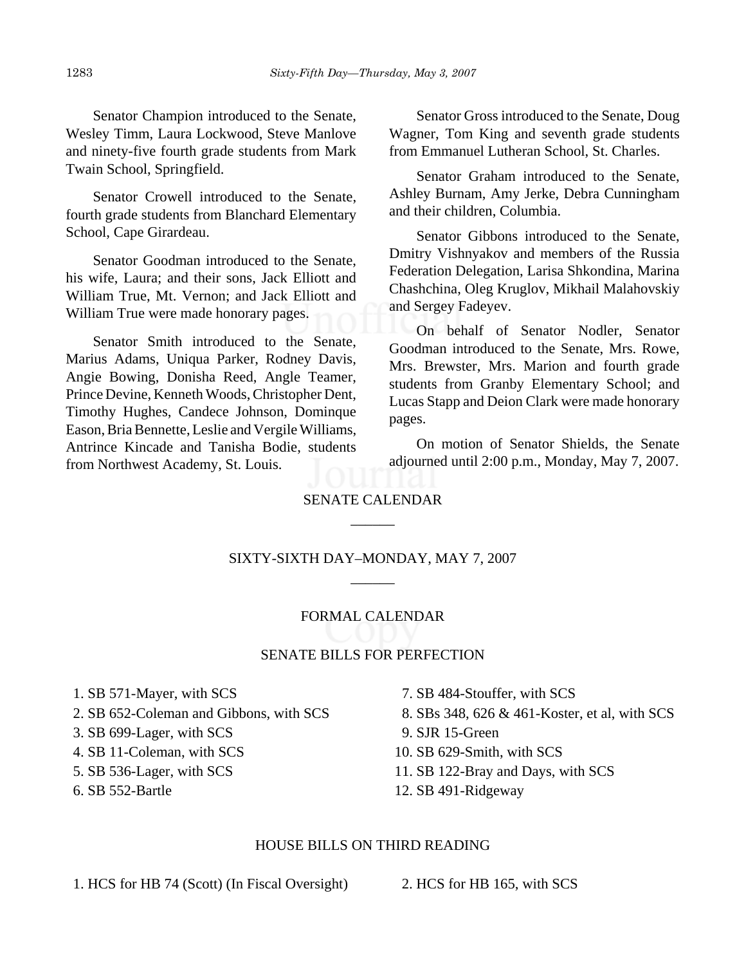Senator Champion introduced to the Senate, Wesley Timm, Laura Lockwood, Steve Manlove and ninety-five fourth grade students from Mark Twain School, Springfield.

Senator Crowell introduced to the Senate, fourth grade students from Blanchard Elementary School, Cape Girardeau.

Senator Goodman introduced to the Senate, his wife, Laura; and their sons, Jack Elliott and William True, Mt. Vernon; and Jack Elliott and William True were made honorary pages.

Senator Smith introduced to the Senate, Marius Adams, Uniqua Parker, Rodney Davis, Angie Bowing, Donisha Reed, Angle Teamer, Prince Devine, Kenneth Woods, Christopher Dent, Timothy Hughes, Candece Johnson, Dominque Eason, Bria Bennette, Leslie and Vergile Williams, Antrince Kincade and Tanisha Bodie, students from Northwest Academy, St. Louis.

Senator Gross introduced to the Senate, Doug Wagner, Tom King and seventh grade students from Emmanuel Lutheran School, St. Charles.

Senator Graham introduced to the Senate, Ashley Burnam, Amy Jerke, Debra Cunningham and their children, Columbia.

Senator Gibbons introduced to the Senate, Dmitry Vishnyakov and members of the Russia Federation Delegation, Larisa Shkondina, Marina Chashchina, Oleg Kruglov, Mikhail Malahovskiy and Sergey Fadeyev.

On behalf of Senator Nodler, Senator Goodman introduced to the Senate, Mrs. Rowe, Mrs. Brewster, Mrs. Marion and fourth grade students from Granby Elementary School; and Lucas Stapp and Deion Clark were made honorary pages.

On motion of Senator Shields, the Senate adjourned until 2:00 p.m., Monday, May 7, 2007.

# SENATE CALENDAR \_\_\_\_\_\_

# SIXTY-SIXTH DAY–MONDAY, MAY 7, 2007  $\overline{\phantom{a}}$

# FORMAL CALENDAR

## SENATE BILLS FOR PERFECTION

1. SB 571-Mayer, with SCS

## 2. SB 652-Coleman and Gibbons, with SCS

3. SB 699-Lager, with SCS

4. SB 11-Coleman, with SCS

- 5. SB 536-Lager, with SCS
- 6. SB 552-Bartle
- 7. SB 484-Stouffer, with SCS
- 8. SBs 348, 626 & 461-Koster, et al, with SCS
- 9. SJR 15-Green
- 10. SB 629-Smith, with SCS
- 11. SB 122-Bray and Days, with SCS
- 12. SB 491-Ridgeway

# HOUSE BILLS ON THIRD READING

1. HCS for HB 74 (Scott) (In Fiscal Oversight) 2. HCS for HB 165, with SCS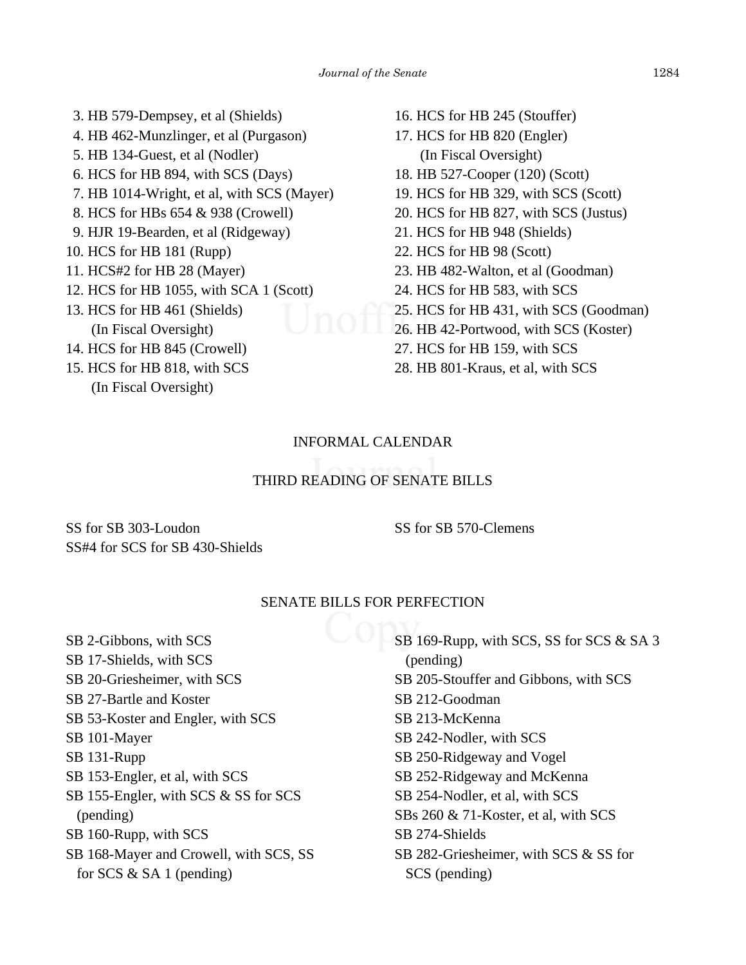- 3. HB 579-Dempsey, et al (Shields) 4. HB 462-Munzlinger, et al (Purgason) 5. HB 134-Guest, et al (Nodler) 6. HCS for HB 894, with SCS (Days) 7. HB 1014-Wright, et al, with SCS (Mayer) 8. HCS for HBs 654 & 938 (Crowell) 9. HJR 19-Bearden, et al (Ridgeway) 10. HCS for HB 181 (Rupp) 11. HCS#2 for HB 28 (Mayer) 12. HCS for HB 1055, with SCA 1 (Scott) 13. HCS for HB 461 (Shields) (In Fiscal Oversight) 14. HCS for HB 845 (Crowell) 15. HCS for HB 818, with SCS (In Fiscal Oversight)
- 16. HCS for HB 245 (Stouffer)
- 17. HCS for HB 820 (Engler) (In Fiscal Oversight)
- 18. HB 527-Cooper (120) (Scott)
- 19. HCS for HB 329, with SCS (Scott)
- 20. HCS for HB 827, with SCS (Justus)
- 21. HCS for HB 948 (Shields)
- 22. HCS for HB 98 (Scott)
- 23. HB 482-Walton, et al (Goodman)
- 24. HCS for HB 583, with SCS
- 25. HCS for HB 431, with SCS (Goodman)
- 26. HB 42-Portwood, with SCS (Koster)
- 27. HCS for HB 159, with SCS
- 28. HB 801-Kraus, et al, with SCS

## INFORMAL CALENDAR

## THIRD READING OF SENATE BILLS

SS for SB 303-Loudon SS#4 for SCS for SB 430-Shields SS for SB 570-Clemens

## SENATE BILLS FOR PERFECTION

SB 2-Gibbons, with SCS SB 17-Shields, with SCS SB 20-Griesheimer, with SCS SB 27-Bartle and Koster SB 53-Koster and Engler, with SCS SB 101-Mayer SB 131-Rupp SB 153-Engler, et al, with SCS SB 155-Engler, with SCS & SS for SCS (pending) SB 160-Rupp, with SCS SB 168-Mayer and Crowell, with SCS, SS for SCS & SA 1 (pending)

SB 169-Rupp, with SCS, SS for SCS & SA 3 (pending) SB 205-Stouffer and Gibbons, with SCS SB 212-Goodman SB 213-McKenna SB 242-Nodler, with SCS SB 250-Ridgeway and Vogel SB 252-Ridgeway and McKenna SB 254-Nodler, et al, with SCS SBs 260 & 71-Koster, et al, with SCS SB 274-Shields SB 282-Griesheimer, with SCS & SS for SCS (pending)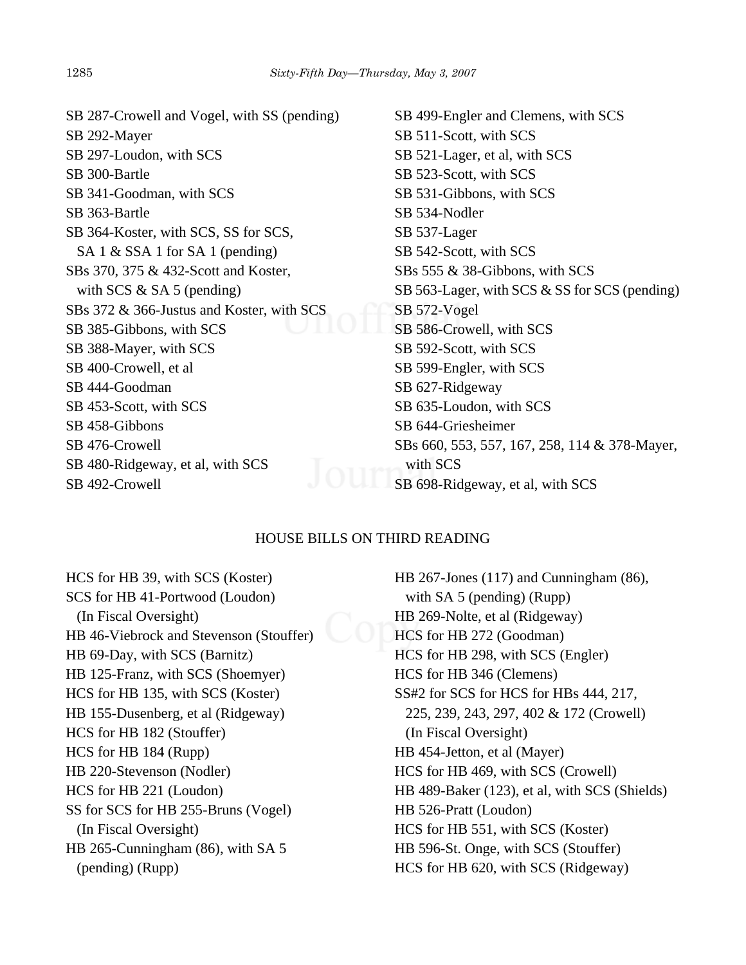SB 287-Crowell and Vogel, with SS (pending) SB 292-Mayer SB 297-Loudon, with SCS SB 300-Bartle SB 341-Goodman, with SCS SB 363-Bartle SB 364-Koster, with SCS, SS for SCS, SA 1 & SSA 1 for SA 1 (pending) SBs 370, 375 & 432-Scott and Koster, with SCS  $&$  SA 5 (pending) SBs 372 & 366-Justus and Koster, with SCS SB 385-Gibbons, with SCS SB 388-Mayer, with SCS SB 400-Crowell, et al SB 444-Goodman SB 453-Scott, with SCS SB 458-Gibbons SB 476-Crowell SB 480-Ridgeway, et al, with SCS SB 492-Crowell

SB 499-Engler and Clemens, with SCS SB 511-Scott, with SCS SB 521-Lager, et al, with SCS SB 523-Scott, with SCS SB 531-Gibbons, with SCS SB 534-Nodler SB 537-Lager SB 542-Scott, with SCS SBs 555 & 38-Gibbons, with SCS SB 563-Lager, with SCS & SS for SCS (pending) SB 572-Vogel SB 586-Crowell, with SCS SB 592-Scott, with SCS SB 599-Engler, with SCS SB 627-Ridgeway SB 635-Loudon, with SCS SB 644-Griesheimer SBs 660, 553, 557, 167, 258, 114 & 378-Mayer, with SCS SB 698-Ridgeway, et al, with SCS

## HOUSE BILLS ON THIRD READING

HCS for HB 39, with SCS (Koster) SCS for HB 41-Portwood (Loudon) (In Fiscal Oversight) HB 46-Viebrock and Stevenson (Stouffer) HB 69-Day, with SCS (Barnitz) HB 125-Franz, with SCS (Shoemyer) HCS for HB 135, with SCS (Koster) HB 155-Dusenberg, et al (Ridgeway) HCS for HB 182 (Stouffer) HCS for HB 184 (Rupp) HB 220-Stevenson (Nodler) HCS for HB 221 (Loudon) SS for SCS for HB 255-Bruns (Vogel) (In Fiscal Oversight) HB 265-Cunningham (86), with SA 5 (pending) (Rupp)

HB 267-Jones (117) and Cunningham (86), with SA 5 (pending) (Rupp) HB 269-Nolte, et al (Ridgeway) HCS for HB 272 (Goodman) HCS for HB 298, with SCS (Engler) HCS for HB 346 (Clemens) SS#2 for SCS for HCS for HBs 444, 217, 225, 239, 243, 297, 402 & 172 (Crowell) (In Fiscal Oversight) HB 454-Jetton, et al (Mayer) HCS for HB 469, with SCS (Crowell) HB 489-Baker (123), et al, with SCS (Shields) HB 526-Pratt (Loudon) HCS for HB 551, with SCS (Koster) HB 596-St. Onge, with SCS (Stouffer) HCS for HB 620, with SCS (Ridgeway)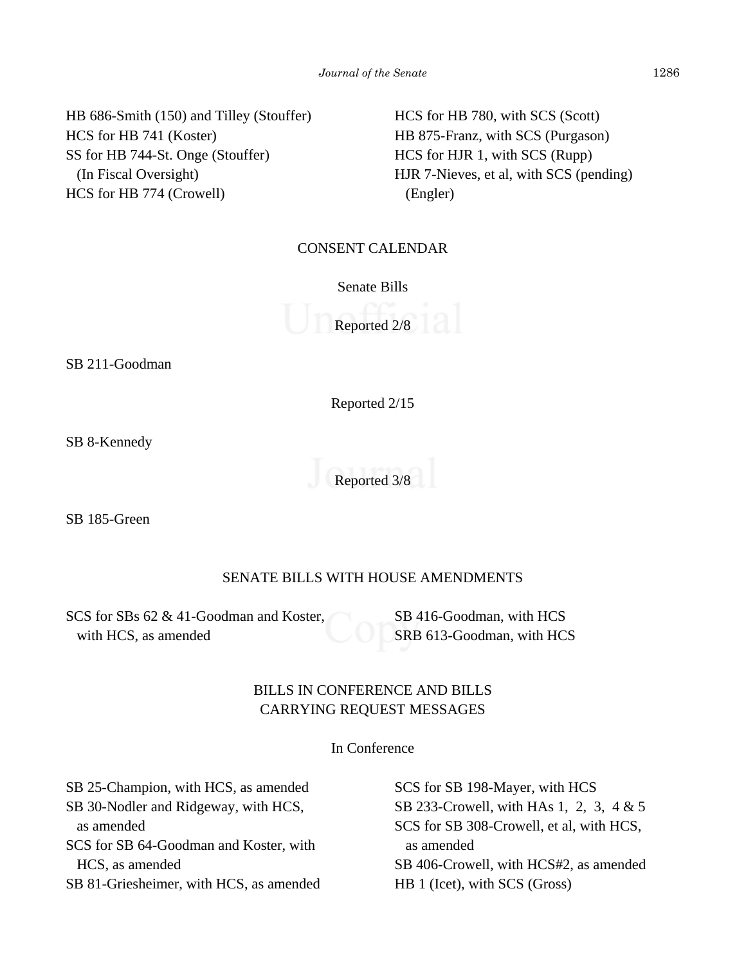HB 686-Smith (150) and Tilley (Stouffer) HCS for HB 741 (Koster) SS for HB 744-St. Onge (Stouffer) (In Fiscal Oversight) HCS for HB 774 (Crowell)

HCS for HB 780, with SCS (Scott) HB 875-Franz, with SCS (Purgason) HCS for HJR 1, with SCS (Rupp) HJR 7-Nieves, et al, with SCS (pending) (Engler)

# CONSENT CALENDAR

Senate Bills

Reported 2/8

SB 211-Goodman

Reported 2/15

SB 8-Kennedy

Reported 3/8

SB 185-Green

# SENATE BILLS WITH HOUSE AMENDMENTS

SCS for SBs 62 & 41-Goodman and Koster, with HCS, as amended

SB 416-Goodman, with HCS SRB 613-Goodman, with HCS

# BILLS IN CONFERENCE AND BILLS CARRYING REQUEST MESSAGES

In Conference

SB 25-Champion, with HCS, as amended SB 30-Nodler and Ridgeway, with HCS, as amended SCS for SB 64-Goodman and Koster, with HCS, as amended SB 81-Griesheimer, with HCS, as amended

SCS for SB 198-Mayer, with HCS SB 233-Crowell, with HAs 1, 2, 3, 4 & 5 SCS for SB 308-Crowell, et al, with HCS, as amended SB 406-Crowell, with HCS#2, as amended HB 1 (Icet), with SCS (Gross)